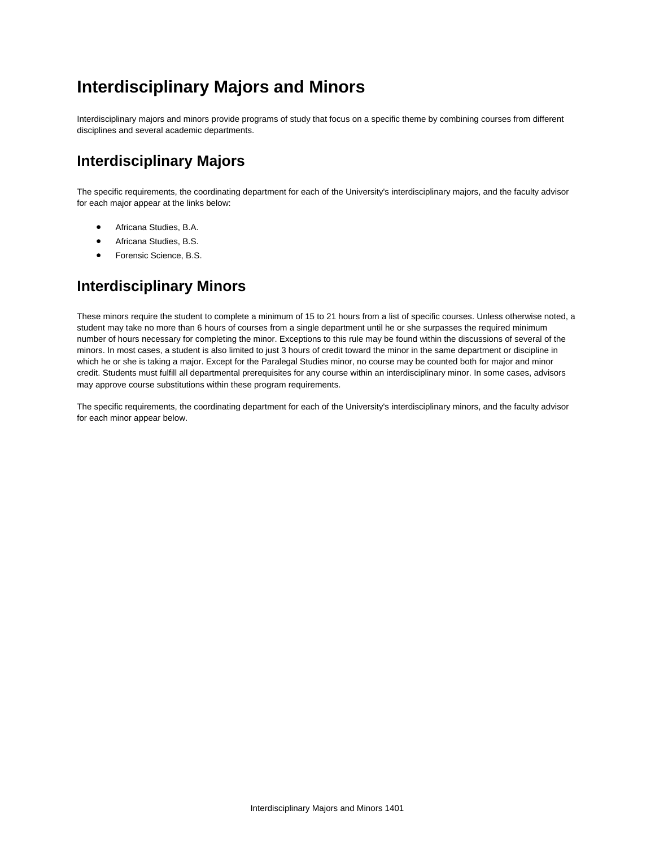# **Interdisciplinary Majors and Minors**

Interdisciplinary majors and minors provide programs of study that focus on a specific theme by combining courses from different disciplines and several academic departments.

### **Interdisciplinary Majors**

The specific requirements, the coordinating department for each of the University's interdisciplinary majors, and the faculty advisor for each major appear at the links below:

- Africana Studies, B.A.
- Africana Studies, B.S.
- **•** Forensic Science, B.S.

### **Interdisciplinary Minors**

These minors require the student to complete a minimum of 15 to 21 hours from a list of specific courses. Unless otherwise noted, a student may take no more than 6 hours of courses from a single department until he or she surpasses the required minimum number of hours necessary for completing the minor. Exceptions to this rule may be found within the discussions of several of the minors. In most cases, a student is also limited to just 3 hours of credit toward the minor in the same department or discipline in which he or she is taking a major. Except for the Paralegal Studies minor, no course may be counted both for major and minor credit. Students must fulfill all departmental prerequisites for any course within an interdisciplinary minor. In some cases, advisors may approve course substitutions within these program requirements.

The specific requirements, the coordinating department for each of the University's interdisciplinary minors, and the faculty advisor for each minor appear below.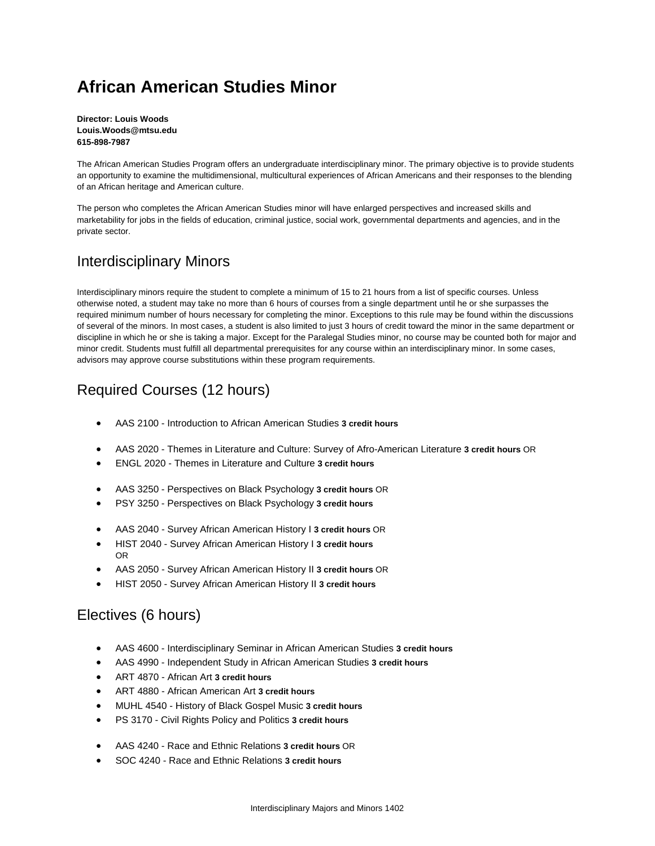# **African American Studies Minor**

**Director: Louis Woods Louis.Woods@mtsu.edu 615-898-7987**

The African American Studies Program offers an undergraduate interdisciplinary minor. The primary objective is to provide students an opportunity to examine the multidimensional, multicultural experiences of African Americans and their responses to the blending of an African heritage and American culture.

The person who completes the African American Studies minor will have enlarged perspectives and increased skills and marketability for jobs in the fields of education, criminal justice, social work, governmental departments and agencies, and in the private sector.

### Interdisciplinary Minors

Interdisciplinary minors require the student to complete a minimum of 15 to 21 hours from a list of specific courses. Unless otherwise noted, a student may take no more than 6 hours of courses from a single department until he or she surpasses the required minimum number of hours necessary for completing the minor. Exceptions to this rule may be found within the discussions of several of the minors. In most cases, a student is also limited to just 3 hours of credit toward the minor in the same department or discipline in which he or she is taking a major. Except for the Paralegal Studies minor, no course may be counted both for major and minor credit. Students must fulfill all departmental prerequisites for any course within an interdisciplinary minor. In some cases, advisors may approve course substitutions within these program requirements.

## Required Courses (12 hours)

- AAS 2100 Introduction to African American Studies **3 credit hours**
- AAS 2020 Themes in Literature and Culture: Survey of Afro-American Literature **3 credit hours** OR
- ENGL 2020 Themes in Literature and Culture **3 credit hours**
- AAS 3250 Perspectives on Black Psychology **3 credit hours** OR
- PSY 3250 Perspectives on Black Psychology **3 credit hours**
- AAS 2040 Survey African American History I **3 credit hours** OR
- HIST 2040 Survey African American History I **3 credit hours** OR
- AAS 2050 Survey African American History II **3 credit hours** OR
- HIST 2050 Survey African American History II **3 credit hours**

### Electives (6 hours)

- AAS 4600 Interdisciplinary Seminar in African American Studies **3 credit hours**
- AAS 4990 Independent Study in African American Studies **3 credit hours**
- ART 4870 African Art **3 credit hours**
- ART 4880 African American Art **3 credit hours**
- MUHL 4540 History of Black Gospel Music **3 credit hours**
- PS 3170 Civil Rights Policy and Politics **3 credit hours**
- AAS 4240 Race and Ethnic Relations **3 credit hours** OR
- SOC 4240 Race and Ethnic Relations **3 credit hours**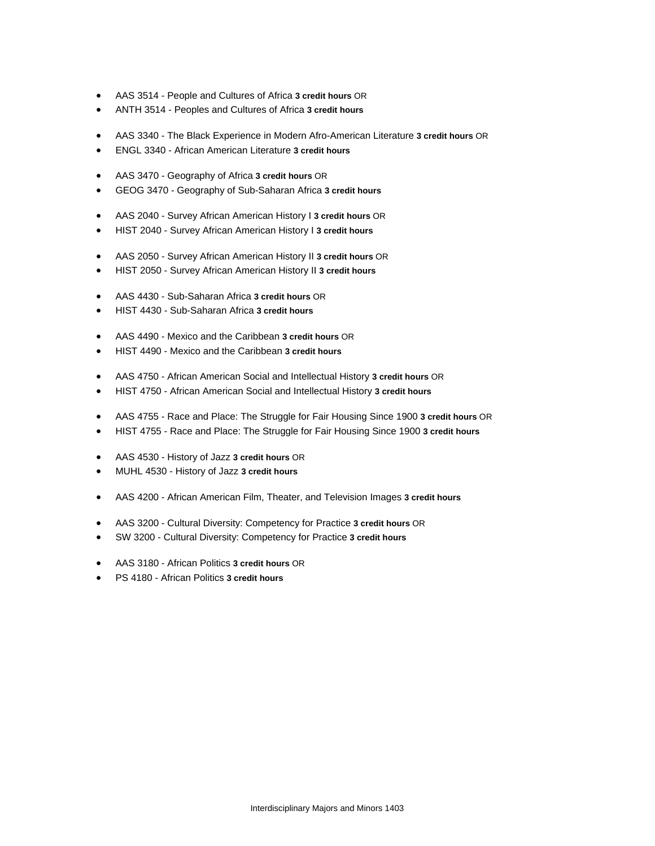- AAS 3514 People and Cultures of Africa **3 credit hours** OR
- ANTH 3514 Peoples and Cultures of Africa **3 credit hours**
- AAS 3340 The Black Experience in Modern Afro-American Literature **3 credit hours** OR
- ENGL 3340 African American Literature **3 credit hours**
- AAS 3470 Geography of Africa **3 credit hours** OR
- GEOG 3470 Geography of Sub-Saharan Africa **3 credit hours**
- AAS 2040 Survey African American History I **3 credit hours** OR
- HIST 2040 Survey African American History I **3 credit hours**
- AAS 2050 Survey African American History II **3 credit hours** OR
- HIST 2050 Survey African American History II **3 credit hours**
- AAS 4430 Sub-Saharan Africa **3 credit hours** OR
- HIST 4430 Sub-Saharan Africa **3 credit hours**
- AAS 4490 Mexico and the Caribbean **3 credit hours** OR
- HIST 4490 Mexico and the Caribbean **3 credit hours**
- AAS 4750 African American Social and Intellectual History **3 credit hours** OR
- HIST 4750 African American Social and Intellectual History **3 credit hours**
- AAS 4755 Race and Place: The Struggle for Fair Housing Since 1900 **3 credit hours** OR
- HIST 4755 Race and Place: The Struggle for Fair Housing Since 1900 **3 credit hours**
- AAS 4530 History of Jazz **3 credit hours** OR
- MUHL 4530 History of Jazz **3 credit hours**
- AAS 4200 African American Film, Theater, and Television Images **3 credit hours**
- AAS 3200 Cultural Diversity: Competency for Practice **3 credit hours** OR
- SW 3200 Cultural Diversity: Competency for Practice **3 credit hours**
- AAS 3180 African Politics **3 credit hours** OR
- PS 4180 African Politics **3 credit hours**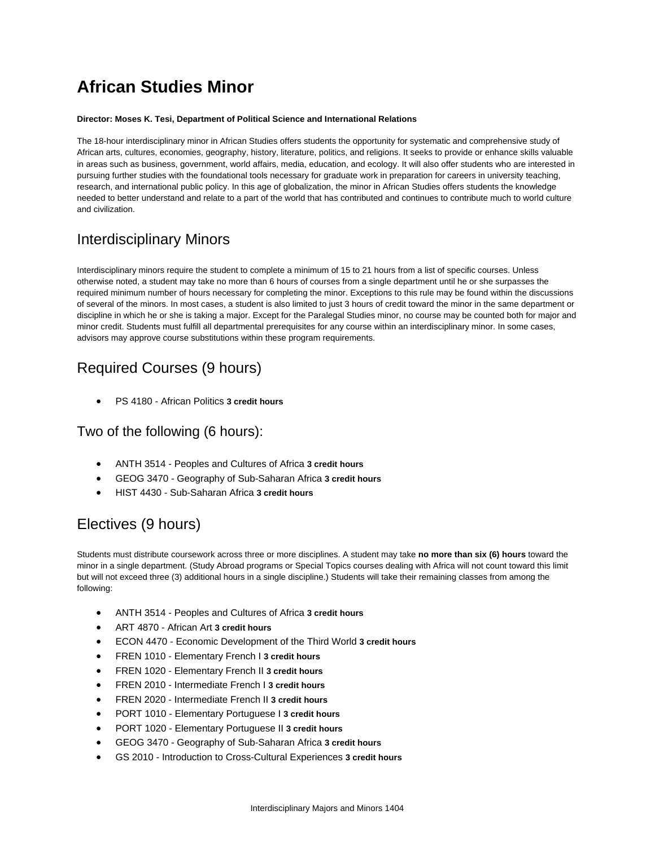# **African Studies Minor**

#### **Director: Moses K. Tesi, Department of Political Science and International Relations**

The 18-hour interdisciplinary minor in African Studies offers students the opportunity for systematic and comprehensive study of African arts, cultures, economies, geography, history, literature, politics, and religions. It seeks to provide or enhance skills valuable in areas such as business, government, world affairs, media, education, and ecology. It will also offer students who are interested in pursuing further studies with the foundational tools necessary for graduate work in preparation for careers in university teaching, research, and international public policy. In this age of globalization, the minor in African Studies offers students the knowledge needed to better understand and relate to a part of the world that has contributed and continues to contribute much to world culture and civilization.

### Interdisciplinary Minors

Interdisciplinary minors require the student to complete a minimum of 15 to 21 hours from a list of specific courses. Unless otherwise noted, a student may take no more than 6 hours of courses from a single department until he or she surpasses the required minimum number of hours necessary for completing the minor. Exceptions to this rule may be found within the discussions of several of the minors. In most cases, a student is also limited to just 3 hours of credit toward the minor in the same department or discipline in which he or she is taking a major. Except for the Paralegal Studies minor, no course may be counted both for major and minor credit. Students must fulfill all departmental prerequisites for any course within an interdisciplinary minor. In some cases, advisors may approve course substitutions within these program requirements.

## Required Courses (9 hours)

PS 4180 - African Politics **3 credit hours**

### Two of the following (6 hours):

- ANTH 3514 Peoples and Cultures of Africa **3 credit hours**
- GEOG 3470 Geography of Sub-Saharan Africa **3 credit hours**
- HIST 4430 Sub-Saharan Africa **3 credit hours**

## Electives (9 hours)

Students must distribute coursework across three or more disciplines. A student may take **no more than six (6) hours** toward the minor in a single department. (Study Abroad programs or Special Topics courses dealing with Africa will not count toward this limit but will not exceed three (3) additional hours in a single discipline.) Students will take their remaining classes from among the following:

- ANTH 3514 Peoples and Cultures of Africa **3 credit hours**
- ART 4870 African Art **3 credit hours**
- ECON 4470 Economic Development of the Third World **3 credit hours**
- FREN 1010 Elementary French I **3 credit hours**
- FREN 1020 Elementary French II **3 credit hours**
- FREN 2010 Intermediate French I **3 credit hours**
- FREN 2020 Intermediate French II **3 credit hours**
- PORT 1010 Elementary Portuguese I **3 credit hours**
- PORT 1020 Elementary Portuguese II **3 credit hours**
- GEOG 3470 Geography of Sub-Saharan Africa **3 credit hours**
- GS 2010 Introduction to Cross-Cultural Experiences **3 credit hours**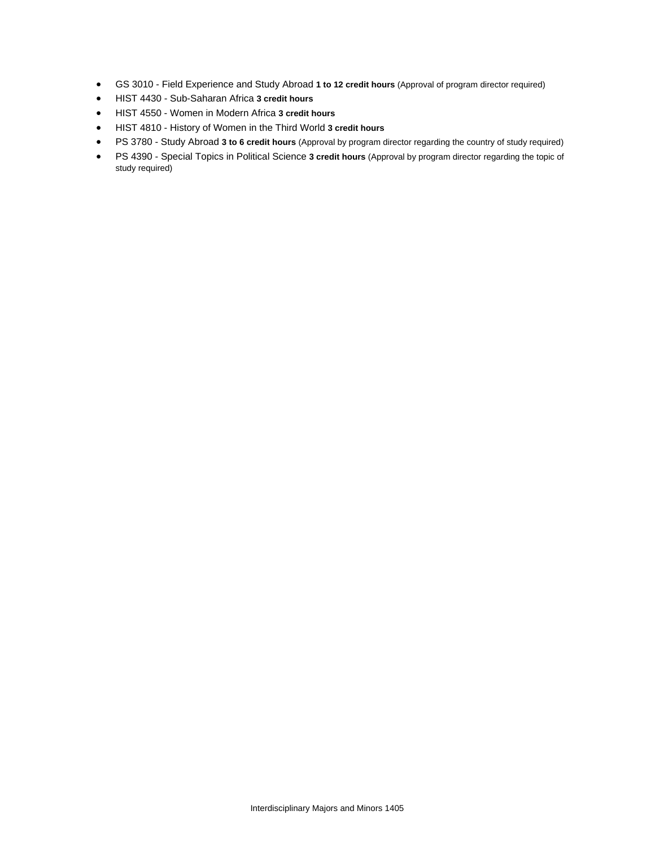- GS 3010 Field Experience and Study Abroad **1 to 12 credit hours** (Approval of program director required)
- HIST 4430 Sub-Saharan Africa **3 credit hours**
- HIST 4550 Women in Modern Africa **3 credit hours**
- HIST 4810 History of Women in the Third World **3 credit hours**
- PS 3780 Study Abroad **3 to 6 credit hours** (Approval by program director regarding the country of study required)
- PS 4390 Special Topics in Political Science **3 credit hours** (Approval by program director regarding the topic of study required)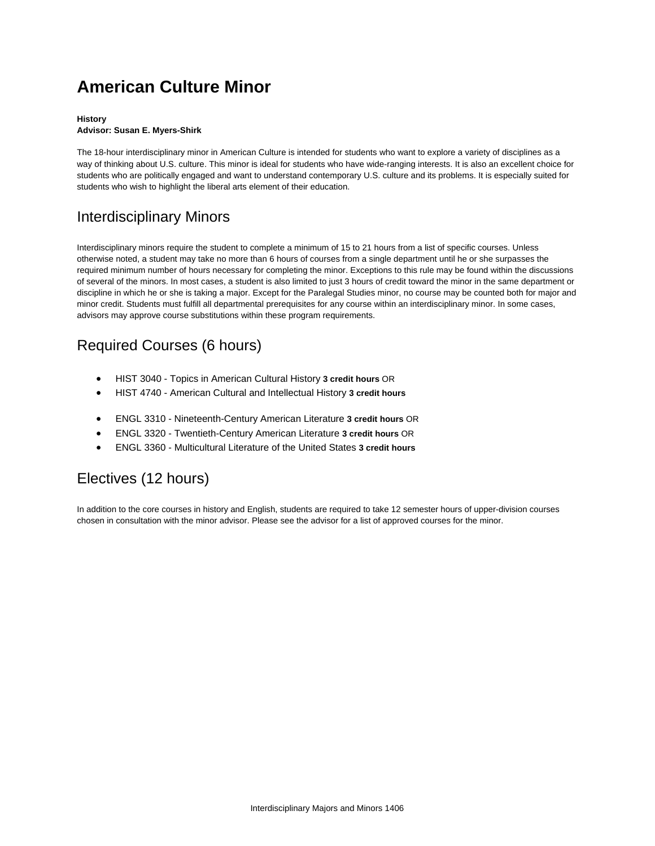# **American Culture Minor**

### **History**

#### **Advisor: Susan E. Myers-Shirk**

The 18-hour interdisciplinary minor in American Culture is intended for students who want to explore a variety of disciplines as a way of thinking about U.S. culture. This minor is ideal for students who have wide-ranging interests. It is also an excellent choice for students who are politically engaged and want to understand contemporary U.S. culture and its problems. It is especially suited for students who wish to highlight the liberal arts element of their education.

## Interdisciplinary Minors

Interdisciplinary minors require the student to complete a minimum of 15 to 21 hours from a list of specific courses. Unless otherwise noted, a student may take no more than 6 hours of courses from a single department until he or she surpasses the required minimum number of hours necessary for completing the minor. Exceptions to this rule may be found within the discussions of several of the minors. In most cases, a student is also limited to just 3 hours of credit toward the minor in the same department or discipline in which he or she is taking a major. Except for the Paralegal Studies minor, no course may be counted both for major and minor credit. Students must fulfill all departmental prerequisites for any course within an interdisciplinary minor. In some cases, advisors may approve course substitutions within these program requirements.

## Required Courses (6 hours)

- HIST 3040 Topics in American Cultural History **3 credit hours** OR
- HIST 4740 American Cultural and Intellectual History **3 credit hours**
- ENGL 3310 Nineteenth-Century American Literature **3 credit hours** OR
- ENGL 3320 Twentieth-Century American Literature **3 credit hours** OR
- ENGL 3360 Multicultural Literature of the United States **3 credit hours**

## Electives (12 hours)

In addition to the core courses in history and English, students are required to take 12 semester hours of upper-division courses chosen in consultation with the minor advisor. Please see the advisor for a list of approved courses for the minor.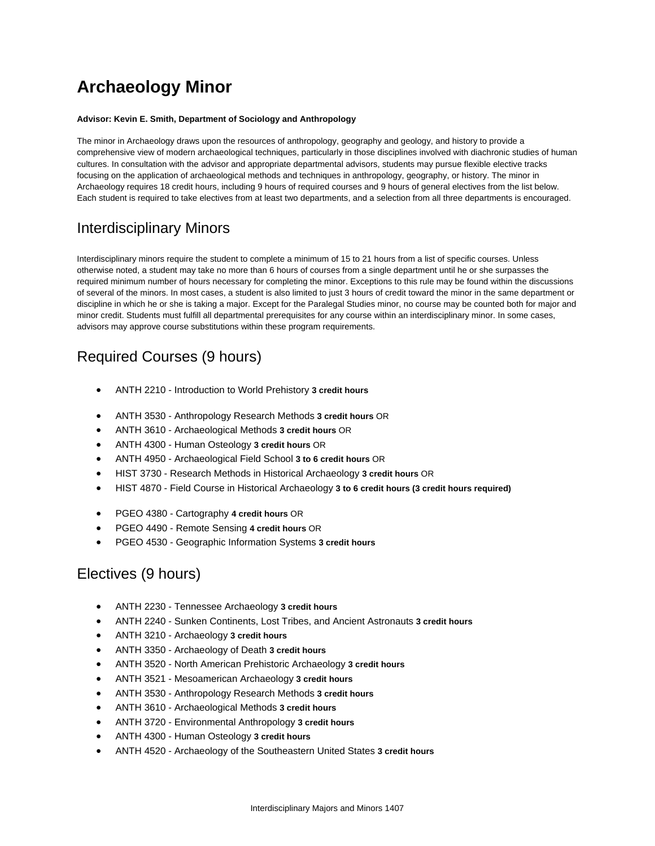# **Archaeology Minor**

#### **Advisor: Kevin E. Smith, Department of Sociology and Anthropology**

The minor in Archaeology draws upon the resources of anthropology, geography and geology, and history to provide a comprehensive view of modern archaeological techniques, particularly in those disciplines involved with diachronic studies of human cultures. In consultation with the advisor and appropriate departmental advisors, students may pursue flexible elective tracks focusing on the application of archaeological methods and techniques in anthropology, geography, or history. The minor in Archaeology requires 18 credit hours, including 9 hours of required courses and 9 hours of general electives from the list below. Each student is required to take electives from at least two departments, and a selection from all three departments is encouraged.

## Interdisciplinary Minors

Interdisciplinary minors require the student to complete a minimum of 15 to 21 hours from a list of specific courses. Unless otherwise noted, a student may take no more than 6 hours of courses from a single department until he or she surpasses the required minimum number of hours necessary for completing the minor. Exceptions to this rule may be found within the discussions of several of the minors. In most cases, a student is also limited to just 3 hours of credit toward the minor in the same department or discipline in which he or she is taking a major. Except for the Paralegal Studies minor, no course may be counted both for major and minor credit. Students must fulfill all departmental prerequisites for any course within an interdisciplinary minor. In some cases, advisors may approve course substitutions within these program requirements.

## Required Courses (9 hours)

- ANTH 2210 Introduction to World Prehistory **3 credit hours**
- ANTH 3530 Anthropology Research Methods **3 credit hours** OR
- ANTH 3610 Archaeological Methods **3 credit hours** OR
- ANTH 4300 Human Osteology **3 credit hours** OR
- ANTH 4950 Archaeological Field School **3 to 6 credit hours** OR
- HIST 3730 Research Methods in Historical Archaeology **3 credit hours** OR
- HIST 4870 Field Course in Historical Archaeology **3 to 6 credit hours (3 credit hours required)**
- PGEO 4380 Cartography **4 credit hours** OR
- PGEO 4490 Remote Sensing **4 credit hours** OR
- PGEO 4530 Geographic Information Systems **3 credit hours**

### Electives (9 hours)

- ANTH 2230 Tennessee Archaeology **3 credit hours**
- ANTH 2240 Sunken Continents, Lost Tribes, and Ancient Astronauts **3 credit hours**
- ANTH 3210 Archaeology **3 credit hours**
- ANTH 3350 Archaeology of Death **3 credit hours**
- ANTH 3520 North American Prehistoric Archaeology **3 credit hours**
- ANTH 3521 Mesoamerican Archaeology **3 credit hours**
- ANTH 3530 Anthropology Research Methods **3 credit hours**
- ANTH 3610 Archaeological Methods **3 credit hours**
- ANTH 3720 Environmental Anthropology **3 credit hours**
- ANTH 4300 Human Osteology **3 credit hours**
- ANTH 4520 Archaeology of the Southeastern United States **3 credit hours**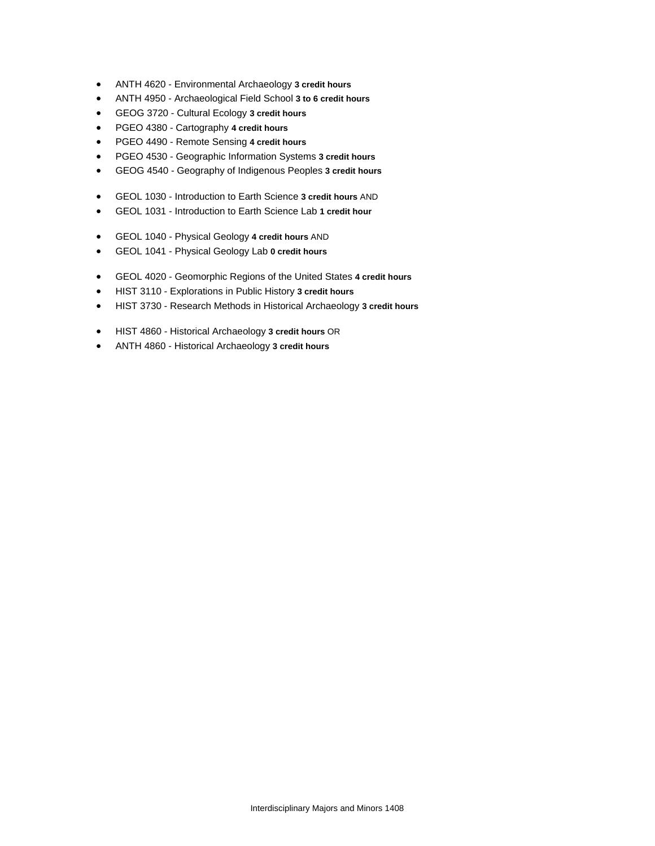- ANTH 4620 Environmental Archaeology **3 credit hours**
- ANTH 4950 Archaeological Field School **3 to 6 credit hours**
- GEOG 3720 Cultural Ecology **3 credit hours**
- PGEO 4380 Cartography **4 credit hours**
- PGEO 4490 Remote Sensing **4 credit hours**
- PGEO 4530 Geographic Information Systems **3 credit hours**
- GEOG 4540 Geography of Indigenous Peoples **3 credit hours**
- GEOL 1030 Introduction to Earth Science **3 credit hours** AND
- GEOL 1031 Introduction to Earth Science Lab **1 credit hour**
- GEOL 1040 Physical Geology **4 credit hours** AND
- GEOL 1041 Physical Geology Lab **0 credit hours**
- GEOL 4020 Geomorphic Regions of the United States **4 credit hours**
- HIST 3110 Explorations in Public History **3 credit hours**
- HIST 3730 Research Methods in Historical Archaeology **3 credit hours**
- HIST 4860 Historical Archaeology **3 credit hours** OR
- ANTH 4860 Historical Archaeology **3 credit hours**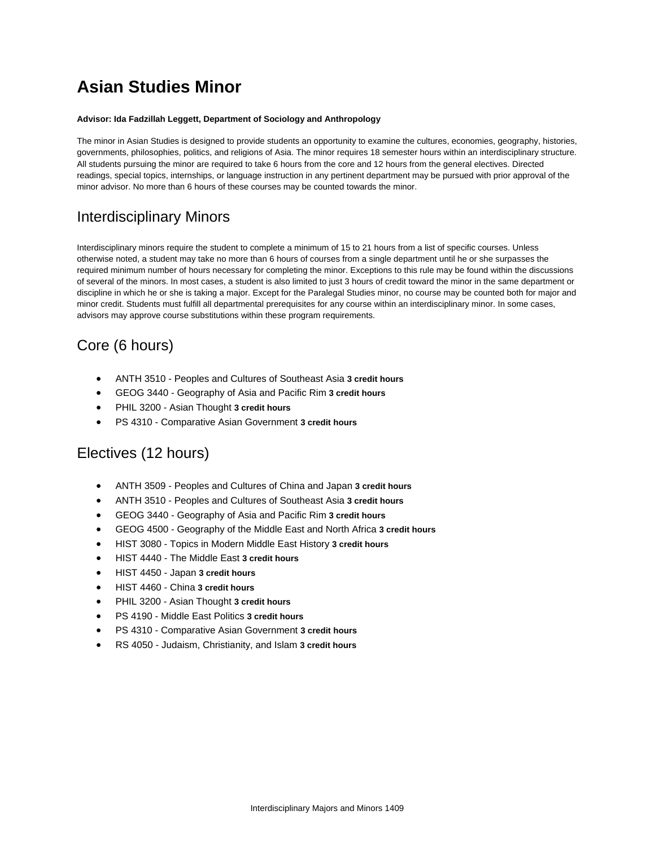# **Asian Studies Minor**

#### **Advisor: Ida Fadzillah Leggett, Department of Sociology and Anthropology**

The minor in Asian Studies is designed to provide students an opportunity to examine the cultures, economies, geography, histories, governments, philosophies, politics, and religions of Asia. The minor requires 18 semester hours within an interdisciplinary structure. All students pursuing the minor are required to take 6 hours from the core and 12 hours from the general electives. Directed readings, special topics, internships, or language instruction in any pertinent department may be pursued with prior approval of the minor advisor. No more than 6 hours of these courses may be counted towards the minor.

### Interdisciplinary Minors

Interdisciplinary minors require the student to complete a minimum of 15 to 21 hours from a list of specific courses. Unless otherwise noted, a student may take no more than 6 hours of courses from a single department until he or she surpasses the required minimum number of hours necessary for completing the minor. Exceptions to this rule may be found within the discussions of several of the minors. In most cases, a student is also limited to just 3 hours of credit toward the minor in the same department or discipline in which he or she is taking a major. Except for the Paralegal Studies minor, no course may be counted both for major and minor credit. Students must fulfill all departmental prerequisites for any course within an interdisciplinary minor. In some cases, advisors may approve course substitutions within these program requirements.

## Core (6 hours)

- ANTH 3510 Peoples and Cultures of Southeast Asia **3 credit hours**
- GEOG 3440 Geography of Asia and Pacific Rim **3 credit hours**
- PHIL 3200 Asian Thought **3 credit hours**
- PS 4310 Comparative Asian Government **3 credit hours**

## Electives (12 hours)

- ANTH 3509 Peoples and Cultures of China and Japan **3 credit hours**
- ANTH 3510 Peoples and Cultures of Southeast Asia **3 credit hours**
- GEOG 3440 Geography of Asia and Pacific Rim **3 credit hours**
- GEOG 4500 Geography of the Middle East and North Africa **3 credit hours**
- HIST 3080 Topics in Modern Middle East History **3 credit hours**
- HIST 4440 The Middle East **3 credit hours**
- HIST 4450 Japan **3 credit hours**
- HIST 4460 China **3 credit hours**
- PHIL 3200 Asian Thought **3 credit hours**
- PS 4190 Middle East Politics **3 credit hours**
- PS 4310 Comparative Asian Government **3 credit hours**
- RS 4050 Judaism, Christianity, and Islam **3 credit hours**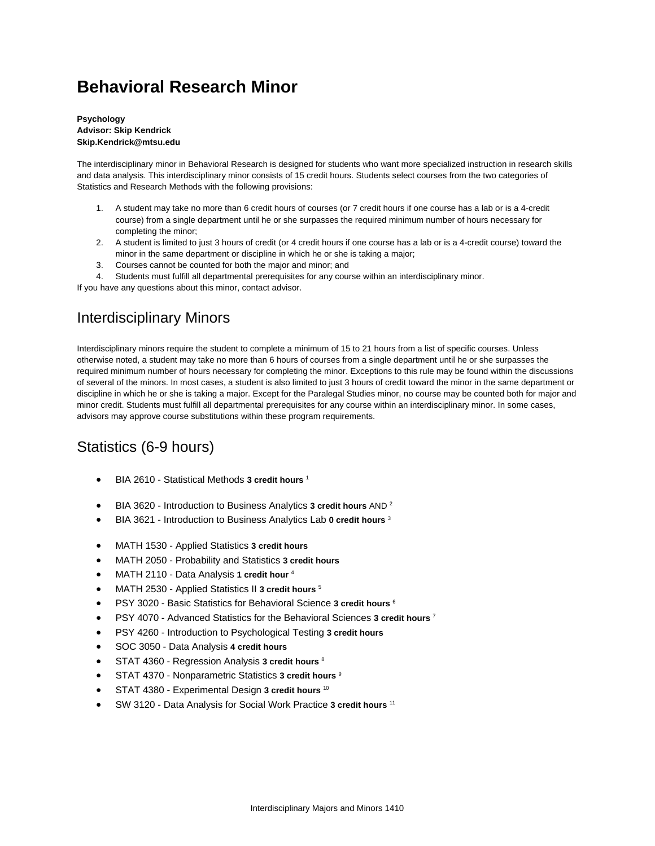# **Behavioral Research Minor**

**Psychology Advisor: Skip Kendrick Skip.Kendrick@mtsu.edu**

The interdisciplinary minor in Behavioral Research is designed for students who want more specialized instruction in research skills and data analysis. This interdisciplinary minor consists of 15 credit hours. Students select courses from the two categories of Statistics and Research Methods with the following provisions:

- 1. A student may take no more than 6 credit hours of courses (or 7 credit hours if one course has a lab or is a 4-credit course) from a single department until he or she surpasses the required minimum number of hours necessary for completing the minor;
- 2. A student is limited to just 3 hours of credit (or 4 credit hours if one course has a lab or is a 4-credit course) toward the minor in the same department or discipline in which he or she is taking a major;
- 3. Courses cannot be counted for both the major and minor; and
- 4. Students must fulfill all departmental prerequisites for any course within an interdisciplinary minor.

If you have any questions about this minor, contact advisor.

## Interdisciplinary Minors

Interdisciplinary minors require the student to complete a minimum of 15 to 21 hours from a list of specific courses. Unless otherwise noted, a student may take no more than 6 hours of courses from a single department until he or she surpasses the required minimum number of hours necessary for completing the minor. Exceptions to this rule may be found within the discussions of several of the minors. In most cases, a student is also limited to just 3 hours of credit toward the minor in the same department or discipline in which he or she is taking a major. Except for the Paralegal Studies minor, no course may be counted both for major and minor credit. Students must fulfill all departmental prerequisites for any course within an interdisciplinary minor. In some cases, advisors may approve course substitutions within these program requirements.

## Statistics (6-9 hours)

- BIA 2610 Statistical Methods **3 credit hours** <sup>1</sup>
- BIA 3620 Introduction to Business Analytics **3 credit hours** AND 2
- BIA 3621 Introduction to Business Analytics Lab **0 credit hours** <sup>3</sup>
- MATH 1530 Applied Statistics **3 credit hours**
- MATH 2050 Probability and Statistics **3 credit hours**
- MATH 2110 Data Analysis **1 credit hour** <sup>4</sup>
- MATH 2530 Applied Statistics II **3 credit hours** <sup>5</sup>
- PSY 3020 Basic Statistics for Behavioral Science **3 credit hours** <sup>6</sup>
- PSY 4070 Advanced Statistics for the Behavioral Sciences **3 credit hours** <sup>7</sup>
- PSY 4260 Introduction to Psychological Testing **3 credit hours**
- SOC 3050 Data Analysis **4 credit hours**
- STAT 4360 Regression Analysis **3 credit hours** <sup>8</sup>
- STAT 4370 Nonparametric Statistics **3 credit hours** <sup>9</sup>
- STAT 4380 Experimental Design **3 credit hours** <sup>10</sup>
- SW 3120 Data Analysis for Social Work Practice **3 credit hours** <sup>11</sup>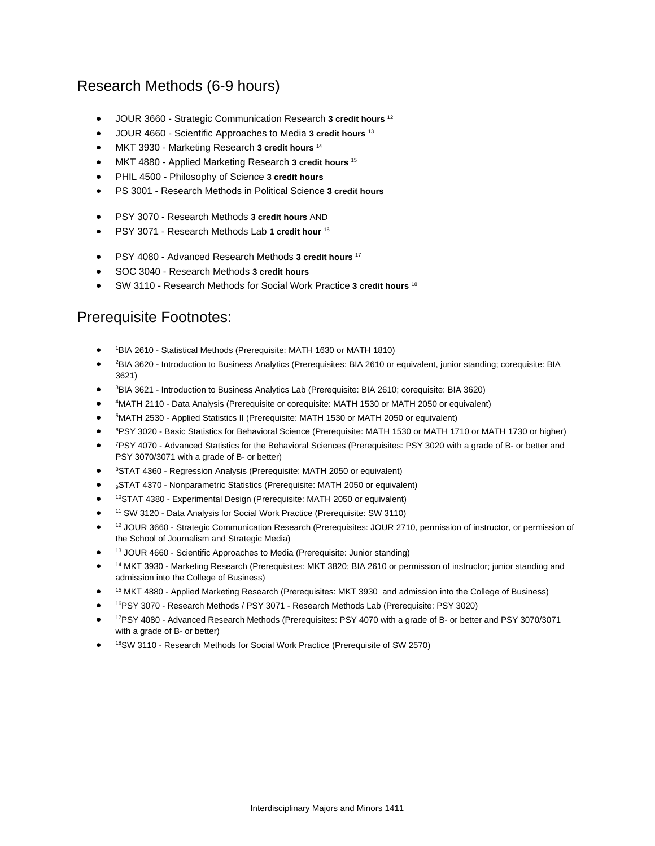### Research Methods (6-9 hours)

- JOUR 3660 Strategic Communication Research **3 credit hours** <sup>12</sup>
- JOUR 4660 Scientific Approaches to Media **3 credit hours** <sup>13</sup>
- MKT 3930 Marketing Research **3 credit hours** <sup>14</sup>
- MKT 4880 Applied Marketing Research **3 credit hours** <sup>15</sup>
- PHIL 4500 Philosophy of Science **3 credit hours**
- PS 3001 Research Methods in Political Science **3 credit hours**
- PSY 3070 Research Methods **3 credit hours** AND
- PSY 3071 Research Methods Lab **1 credit hour** <sup>16</sup>
- PSY 4080 Advanced Research Methods **3 credit hours** <sup>17</sup>
- SOC 3040 Research Methods **3 credit hours**
- SW 3110 Research Methods for Social Work Practice **3 credit hours** <sup>18</sup>

### Prerequisite Footnotes:

- <sup>1</sup>BIA 2610 Statistical Methods (Prerequisite: MATH 1630 or MATH 1810)
- <sup>2</sup>BIA 3620 Introduction to Business Analytics (Prerequisites: BIA 2610 or equivalent, junior standing; corequisite: BIA 3621)
- <sup>3</sup>BIA 3621 Introduction to Business Analytics Lab (Prerequisite: BIA 2610; corequisite: BIA 3620)
- <sup>4</sup> MATH 2110 Data Analysis (Prerequisite or corequisite: MATH 1530 or MATH 2050 or equivalent)
- **FMATH 2530 Applied Statistics II (Prerequisite: MATH 1530 or MATH 2050 or equivalent)**
- <sup>6</sup>PSY 3020 Basic Statistics for Behavioral Science (Prerequisite: MATH 1530 or MATH 1710 or MATH 1730 or higher)
- <sup>7</sup>PSY 4070 Advanced Statistics for the Behavioral Sciences (Prerequisites: PSY 3020 with a grade of B- or better and PSY 3070/3071 with a grade of B- or better)
- <sup>8</sup>STAT 4360 Regression Analysis (Prerequisite: MATH 2050 or equivalent)
- 9STAT 4370 Nonparametric Statistics (Prerequisite: MATH 2050 or equivalent)
- 10STAT 4380 Experimental Design (Prerequisite: MATH 2050 or equivalent)
- 11 SW 3120 Data Analysis for Social Work Practice (Prerequisite: SW 3110)
- <sup>12</sup> JOUR 3660 Strategic Communication Research (Prerequisites: JOUR 2710, permission of instructor, or permission of the School of Journalism and Strategic Media)
- <sup>13</sup> JOUR 4660 Scientific Approaches to Media (Prerequisite: Junior standing)
- 14 MKT 3930 Marketing Research (Prerequisites: MKT 3820; BIA 2610 or permission of instructor; junior standing and admission into the College of Business)
- 15 MKT 4880 Applied Marketing Research (Prerequisites: MKT 3930 and admission into the College of Business)
- 16PSY 3070 Research Methods / PSY 3071 Research Methods Lab (Prerequisite: PSY 3020)
- 17PSY 4080 Advanced Research Methods (Prerequisites: PSY 4070 with a grade of B- or better and PSY 3070/3071 with a grade of B- or better)
- <sup>18</sup>SW 3110 Research Methods for Social Work Practice (Prerequisite of SW 2570)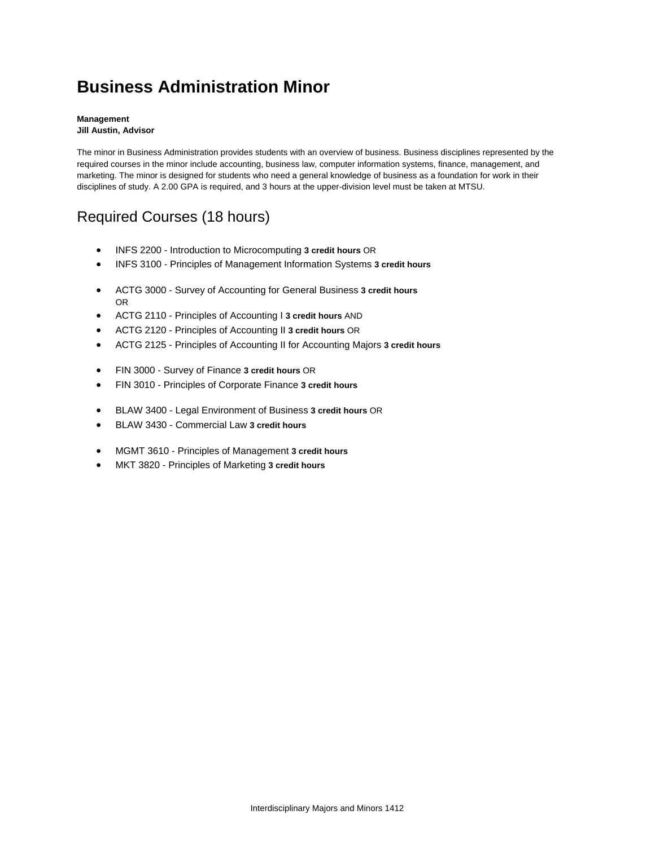# **Business Administration Minor**

#### **Management Jill Austin, Advisor**

The minor in Business Administration provides students with an overview of business. Business disciplines represented by the required courses in the minor include accounting, business law, computer information systems, finance, management, and marketing. The minor is designed for students who need a general knowledge of business as a foundation for work in their disciplines of study. A 2.00 GPA is required, and 3 hours at the upper-division level must be taken at MTSU.

## Required Courses (18 hours)

- INFS 2200 Introduction to Microcomputing **3 credit hours** OR
- INFS 3100 Principles of Management Information Systems **3 credit hours**
- ACTG 3000 Survey of Accounting for General Business **3 credit hours** OR
- ACTG 2110 Principles of Accounting I **3 credit hours** AND
- ACTG 2120 Principles of Accounting II **3 credit hours** OR
- ACTG 2125 Principles of Accounting II for Accounting Majors **3 credit hours**
- FIN 3000 Survey of Finance **3 credit hours** OR
- FIN 3010 Principles of Corporate Finance **3 credit hours**
- BLAW 3400 Legal Environment of Business **3 credit hours** OR
- BLAW 3430 Commercial Law **3 credit hours**
- MGMT 3610 Principles of Management **3 credit hours**
- MKT 3820 Principles of Marketing **3 credit hours**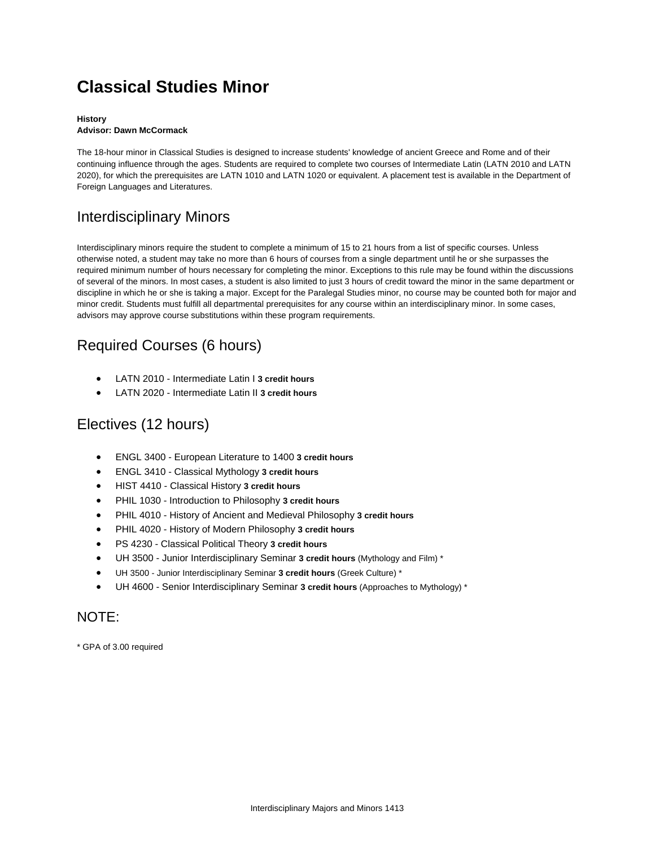# **Classical Studies Minor**

#### **History Advisor: Dawn McCormack**

The 18-hour minor in Classical Studies is designed to increase students' knowledge of ancient Greece and Rome and of their continuing influence through the ages. Students are required to complete two courses of Intermediate Latin (LATN 2010 and LATN 2020), for which the prerequisites are LATN 1010 and LATN 1020 or equivalent. A placement test is available in the Department of Foreign Languages and Literatures.

## Interdisciplinary Minors

Interdisciplinary minors require the student to complete a minimum of 15 to 21 hours from a list of specific courses. Unless otherwise noted, a student may take no more than 6 hours of courses from a single department until he or she surpasses the required minimum number of hours necessary for completing the minor. Exceptions to this rule may be found within the discussions of several of the minors. In most cases, a student is also limited to just 3 hours of credit toward the minor in the same department or discipline in which he or she is taking a major. Except for the Paralegal Studies minor, no course may be counted both for major and minor credit. Students must fulfill all departmental prerequisites for any course within an interdisciplinary minor. In some cases, advisors may approve course substitutions within these program requirements.

## Required Courses (6 hours)

- LATN 2010 Intermediate Latin I **3 credit hours**
- LATN 2020 Intermediate Latin II **3 credit hours**

## Electives (12 hours)

- ENGL 3400 European Literature to 1400 **3 credit hours**
- ENGL 3410 Classical Mythology **3 credit hours**
- HIST 4410 Classical History **3 credit hours**
- PHIL 1030 Introduction to Philosophy **3 credit hours**
- PHIL 4010 History of Ancient and Medieval Philosophy **3 credit hours**
- PHIL 4020 History of Modern Philosophy **3 credit hours**
- PS 4230 Classical Political Theory **3 credit hours**
- UH 3500 Junior Interdisciplinary Seminar **3 credit hours** (Mythology and Film) \*
- UH 3500 Junior Interdisciplinary Seminar **3 credit hours** (Greek Culture) \*
- UH 4600 Senior Interdisciplinary Seminar **3 credit hours** (Approaches to Mythology) \*

### NOTE:

\* GPA of 3.00 required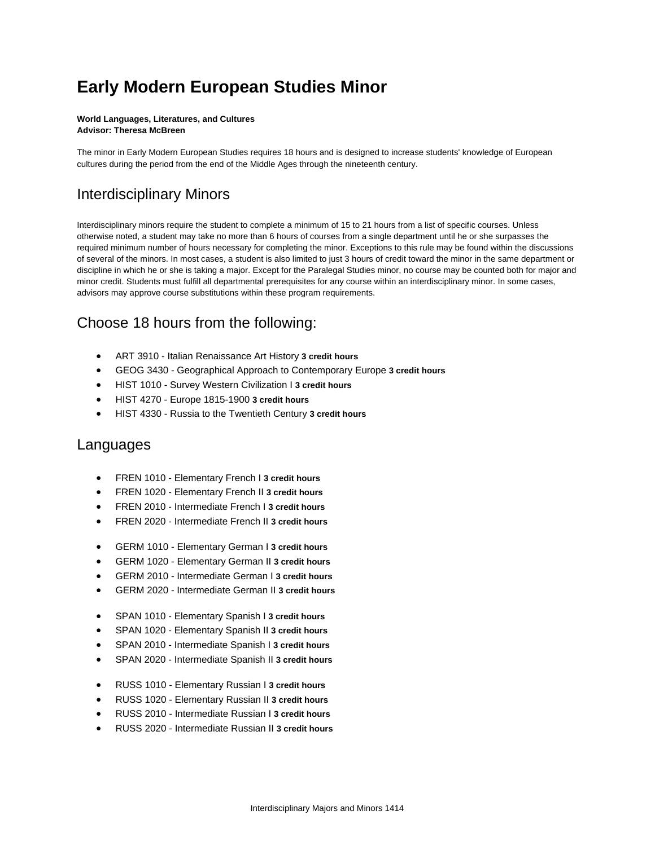# **Early Modern European Studies Minor**

#### **World Languages, Literatures, and Cultures Advisor: Theresa McBreen**

The minor in Early Modern European Studies requires 18 hours and is designed to increase students' knowledge of European cultures during the period from the end of the Middle Ages through the nineteenth century.

### Interdisciplinary Minors

Interdisciplinary minors require the student to complete a minimum of 15 to 21 hours from a list of specific courses. Unless otherwise noted, a student may take no more than 6 hours of courses from a single department until he or she surpasses the required minimum number of hours necessary for completing the minor. Exceptions to this rule may be found within the discussions of several of the minors. In most cases, a student is also limited to just 3 hours of credit toward the minor in the same department or discipline in which he or she is taking a major. Except for the Paralegal Studies minor, no course may be counted both for major and minor credit. Students must fulfill all departmental prerequisites for any course within an interdisciplinary minor. In some cases, advisors may approve course substitutions within these program requirements.

### Choose 18 hours from the following:

- ART 3910 Italian Renaissance Art History **3 credit hours**
- GEOG 3430 Geographical Approach to Contemporary Europe **3 credit hours**
- HIST 1010 Survey Western Civilization I **3 credit hours**
- HIST 4270 Europe 1815-1900 **3 credit hours**
- HIST 4330 Russia to the Twentieth Century **3 credit hours**

### Languages

- FREN 1010 Elementary French I **3 credit hours**
- FREN 1020 Elementary French II **3 credit hours**
- FREN 2010 Intermediate French I **3 credit hours**
- FREN 2020 Intermediate French II **3 credit hours**
- GERM 1010 Elementary German I **3 credit hours**
- GERM 1020 Elementary German II **3 credit hours**
- GERM 2010 Intermediate German I **3 credit hours**
- GERM 2020 Intermediate German II **3 credit hours**
- SPAN 1010 Elementary Spanish I **3 credit hours**
- SPAN 1020 Elementary Spanish II **3 credit hours**
- SPAN 2010 Intermediate Spanish I **3 credit hours**
- SPAN 2020 Intermediate Spanish II **3 credit hours**
- RUSS 1010 Elementary Russian I **3 credit hours**
- RUSS 1020 Elementary Russian II **3 credit hours**
- RUSS 2010 Intermediate Russian I **3 credit hours**
- RUSS 2020 Intermediate Russian II **3 credit hours**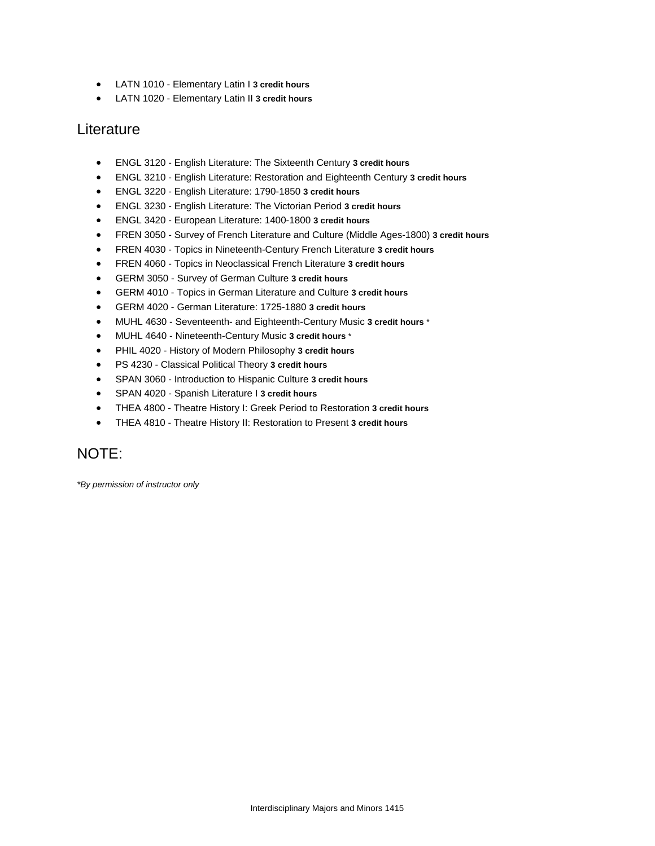- LATN 1010 Elementary Latin I **3 credit hours**
- LATN 1020 Elementary Latin II **3 credit hours**

### **Literature**

- ENGL 3120 English Literature: The Sixteenth Century **3 credit hours**
- ENGL 3210 English Literature: Restoration and Eighteenth Century **3 credit hours**
- ENGL 3220 English Literature: 1790-1850 **3 credit hours**
- ENGL 3230 English Literature: The Victorian Period **3 credit hours**
- ENGL 3420 European Literature: 1400-1800 **3 credit hours**
- FREN 3050 Survey of French Literature and Culture (Middle Ages-1800) **3 credit hours**
- FREN 4030 Topics in Nineteenth-Century French Literature **3 credit hours**
- FREN 4060 Topics in Neoclassical French Literature **3 credit hours**
- GERM 3050 Survey of German Culture **3 credit hours**
- GERM 4010 Topics in German Literature and Culture **3 credit hours**
- GERM 4020 German Literature: 1725-1880 **3 credit hours**
- MUHL 4630 Seventeenth- and Eighteenth-Century Music **3 credit hours** \*
- MUHL 4640 Nineteenth-Century Music **3 credit hours** \*
- PHIL 4020 History of Modern Philosophy **3 credit hours**
- PS 4230 Classical Political Theory **3 credit hours**
- SPAN 3060 Introduction to Hispanic Culture **3 credit hours**
- SPAN 4020 Spanish Literature I **3 credit hours**
- THEA 4800 Theatre History I: Greek Period to Restoration **3 credit hours**
- THEA 4810 Theatre History II: Restoration to Present **3 credit hours**

### NOTE:

*\*By permission of instructor only*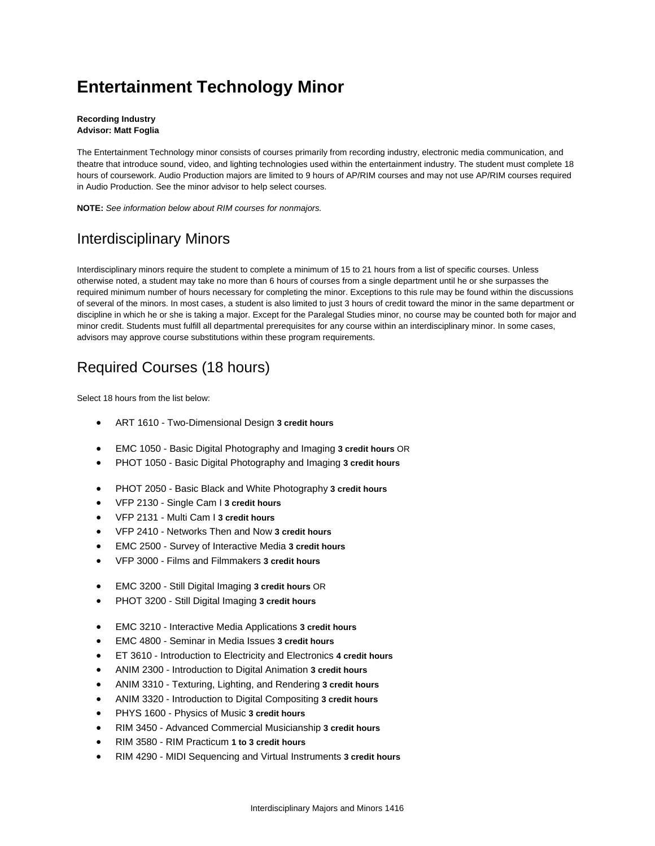# **Entertainment Technology Minor**

#### **Recording Industry Advisor: Matt Foglia**

The Entertainment Technology minor consists of courses primarily from recording industry, electronic media communication, and theatre that introduce sound, video, and lighting technologies used within the entertainment industry. The student must complete 18 hours of coursework. Audio Production majors are limited to 9 hours of AP/RIM courses and may not use AP/RIM courses required in Audio Production. See the minor advisor to help select courses.

**NOTE:** *See information below about RIM courses for nonmajors.*

## Interdisciplinary Minors

Interdisciplinary minors require the student to complete a minimum of 15 to 21 hours from a list of specific courses. Unless otherwise noted, a student may take no more than 6 hours of courses from a single department until he or she surpasses the required minimum number of hours necessary for completing the minor. Exceptions to this rule may be found within the discussions of several of the minors. In most cases, a student is also limited to just 3 hours of credit toward the minor in the same department or discipline in which he or she is taking a major. Except for the Paralegal Studies minor, no course may be counted both for major and minor credit. Students must fulfill all departmental prerequisites for any course within an interdisciplinary minor. In some cases, advisors may approve course substitutions within these program requirements.

## Required Courses (18 hours)

Select 18 hours from the list below:

- ART 1610 Two-Dimensional Design **3 credit hours**
- EMC 1050 Basic Digital Photography and Imaging **3 credit hours** OR
- PHOT 1050 Basic Digital Photography and Imaging **3 credit hours**
- PHOT 2050 Basic Black and White Photography **3 credit hours**
- VFP 2130 Single Cam I **3 credit hours**
- VFP 2131 Multi Cam I **3 credit hours**
- VFP 2410 Networks Then and Now **3 credit hours**
- EMC 2500 Survey of Interactive Media **3 credit hours**
- VFP 3000 Films and Filmmakers **3 credit hours**
- EMC 3200 Still Digital Imaging **3 credit hours** OR
- PHOT 3200 Still Digital Imaging **3 credit hours**
- EMC 3210 Interactive Media Applications **3 credit hours**
- EMC 4800 Seminar in Media Issues **3 credit hours**
- ET 3610 Introduction to Electricity and Electronics **4 credit hours**
- ANIM 2300 Introduction to Digital Animation **3 credit hours**
- ANIM 3310 Texturing, Lighting, and Rendering **3 credit hours**
- ANIM 3320 Introduction to Digital Compositing **3 credit hours**
- PHYS 1600 Physics of Music **3 credit hours**
- RIM 3450 Advanced Commercial Musicianship **3 credit hours**
- RIM 3580 RIM Practicum **1 to 3 credit hours**
- RIM 4290 MIDI Sequencing and Virtual Instruments **3 credit hours**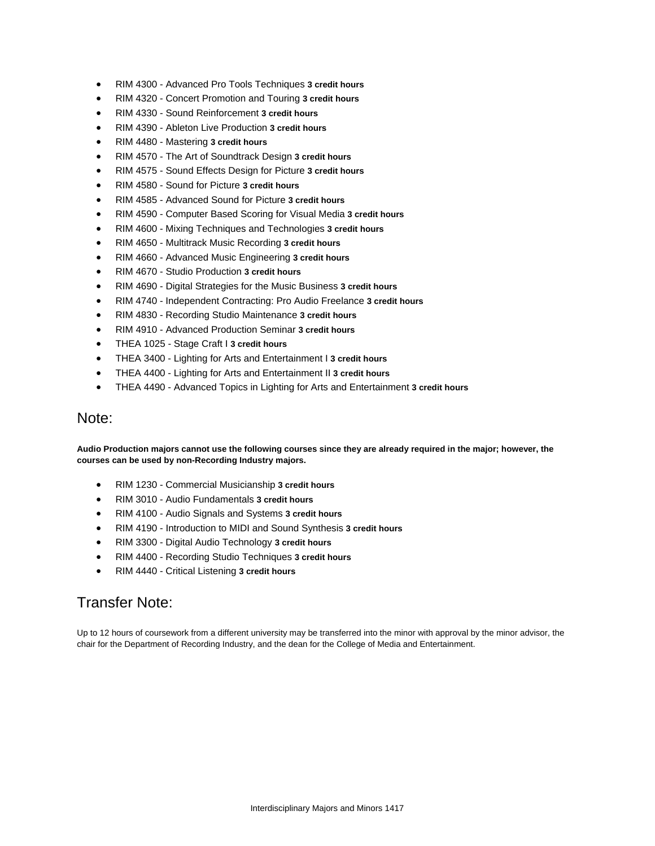- RIM 4300 Advanced Pro Tools Techniques **3 credit hours**
- RIM 4320 Concert Promotion and Touring **3 credit hours**
- RIM 4330 Sound Reinforcement **3 credit hours**
- RIM 4390 Ableton Live Production **3 credit hours**
- RIM 4480 Mastering **3 credit hours**
- RIM 4570 The Art of Soundtrack Design **3 credit hours**
- RIM 4575 Sound Effects Design for Picture **3 credit hours**
- RIM 4580 Sound for Picture **3 credit hours**
- RIM 4585 Advanced Sound for Picture **3 credit hours**
- RIM 4590 Computer Based Scoring for Visual Media **3 credit hours**
- RIM 4600 Mixing Techniques and Technologies **3 credit hours**
- RIM 4650 Multitrack Music Recording **3 credit hours**
- RIM 4660 Advanced Music Engineering **3 credit hours**
- RIM 4670 Studio Production **3 credit hours**
- RIM 4690 Digital Strategies for the Music Business **3 credit hours**
- RIM 4740 Independent Contracting: Pro Audio Freelance **3 credit hours**
- RIM 4830 Recording Studio Maintenance **3 credit hours**
- RIM 4910 Advanced Production Seminar **3 credit hours**
- THEA 1025 Stage Craft I **3 credit hours**
- THEA 3400 Lighting for Arts and Entertainment I **3 credit hours**
- THEA 4400 Lighting for Arts and Entertainment II **3 credit hours**
- THEA 4490 Advanced Topics in Lighting for Arts and Entertainment **3 credit hours**

### Note:

**Audio Production majors cannot use the following courses since they are already required in the major; however, the courses can be used by non-Recording Industry majors.**

- RIM 1230 Commercial Musicianship **3 credit hours**
- RIM 3010 Audio Fundamentals **3 credit hours**
- RIM 4100 Audio Signals and Systems **3 credit hours**
- RIM 4190 Introduction to MIDI and Sound Synthesis **3 credit hours**
- RIM 3300 Digital Audio Technology **3 credit hours**
- RIM 4400 Recording Studio Techniques **3 credit hours**
- RIM 4440 Critical Listening **3 credit hours**

### Transfer Note:

Up to 12 hours of coursework from a different university may be transferred into the minor with approval by the minor advisor, the chair for the Department of Recording Industry, and the dean for the College of Media and Entertainment.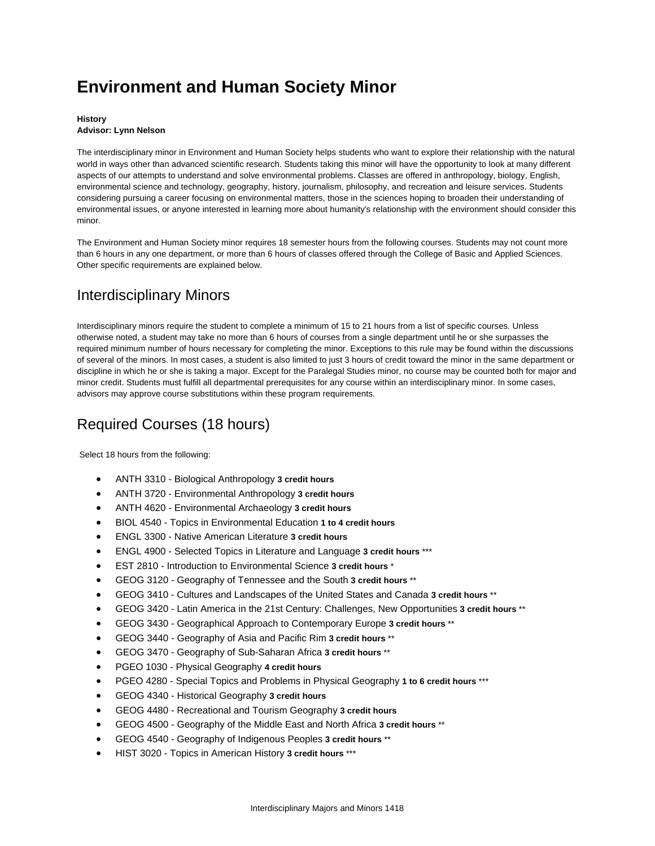# **Environment and Human Society Minor**

#### **History Advisor: Lynn Nelson**

The interdisciplinary minor in Environment and Human Society helps students who want to explore their relationship with the natural world in ways other than advanced scientific research. Students taking this minor will have the opportunity to look at many different aspects of our attempts to understand and solve environmental problems. Classes are offered in anthropology, biology, English, environmental science and technology, geography, history, journalism, philosophy, and recreation and leisure services. Students considering pursuing a career focusing on environmental matters, those in the sciences hoping to broaden their understanding of environmental issues, or anyone interested in learning more about humanity's relationship with the environment should consider this minor.

The Environment and Human Society minor requires 18 semester hours from the following courses. Students may not count more than 6 hours in any one department, or more than 6 hours of classes offered through the College of Basic and Applied Sciences. Other specific requirements are explained below.

## Interdisciplinary Minors

Interdisciplinary minors require the student to complete a minimum of 15 to 21 hours from a list of specific courses. Unless otherwise noted, a student may take no more than 6 hours of courses from a single department until he or she surpasses the required minimum number of hours necessary for completing the minor. Exceptions to this rule may be found within the discussions of several of the minors. In most cases, a student is also limited to just 3 hours of credit toward the minor in the same department or discipline in which he or she is taking a major. Except for the Paralegal Studies minor, no course may be counted both for major and minor credit. Students must fulfill all departmental prerequisites for any course within an interdisciplinary minor. In some cases, advisors may approve course substitutions within these program requirements.

## Required Courses (18 hours)

Select 18 hours from the following:

- ANTH 3310 Biological Anthropology **3 credit hours**
- ANTH 3720 Environmental Anthropology **3 credit hours**
- ANTH 4620 Environmental Archaeology **3 credit hours**
- BIOL 4540 Topics in Environmental Education **1 to 4 credit hours**
- ENGL 3300 Native American Literature **3 credit hours**
- ENGL 4900 Selected Topics in Literature and Language **3 credit hours** \*\*\*
- EST 2810 Introduction to Environmental Science **3 credit hours** \*
- GEOG 3120 Geography of Tennessee and the South **3 credit hours** \*\*
- GEOG 3410 Cultures and Landscapes of the United States and Canada **3 credit hours** \*\*
- GEOG 3420 Latin America in the 21st Century: Challenges, New Opportunities **3 credit hours** \*\*
- GEOG 3430 Geographical Approach to Contemporary Europe **3 credit hours** \*\*
- GEOG 3440 Geography of Asia and Pacific Rim **3 credit hours** \*\*
- GEOG 3470 Geography of Sub-Saharan Africa **3 credit hours** \*\*
- PGEO 1030 Physical Geography **4 credit hours**
- PGEO 4280 Special Topics and Problems in Physical Geography **1 to 6 credit hours** \*\*\*
- GEOG 4340 Historical Geography **3 credit hours**
- GEOG 4480 Recreational and Tourism Geography **3 credit hours**
- GEOG 4500 Geography of the Middle East and North Africa **3 credit hours** \*\*
- GEOG 4540 Geography of Indigenous Peoples **3 credit hours** \*\*
- HIST 3020 Topics in American History **3 credit hours** \*\*\*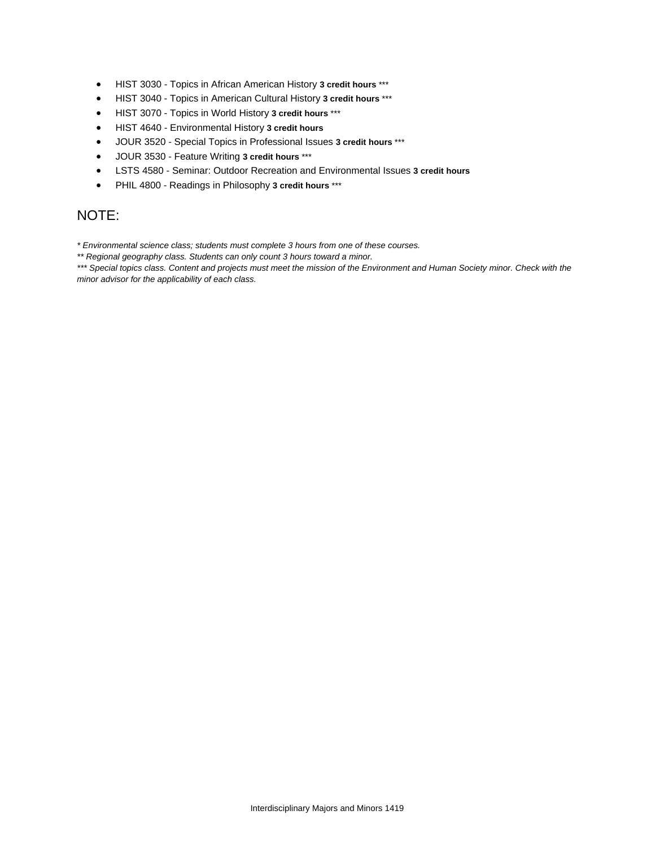- HIST 3030 Topics in African American History **3 credit hours** \*\*\*
- HIST 3040 Topics in American Cultural History **3 credit hours** \*\*\*
- HIST 3070 Topics in World History **3 credit hours** \*\*\*
- HIST 4640 Environmental History **3 credit hours**
- JOUR 3520 Special Topics in Professional Issues **3 credit hours** \*\*\*
- JOUR 3530 Feature Writing **3 credit hours** \*\*\*
- LSTS 4580 Seminar: Outdoor Recreation and Environmental Issues **3 credit hours**
- PHIL 4800 Readings in Philosophy **3 credit hours** \*\*\*

### NOTE:

*\* Environmental science class; students must complete 3 hours from one of these courses.* 

*\*\* Regional geography class. Students can only count 3 hours toward a minor.* 

*\*\*\* Special topics class. Content and projects must meet the mission of the Environment and Human Society minor. Check with the minor advisor for the applicability of each class.*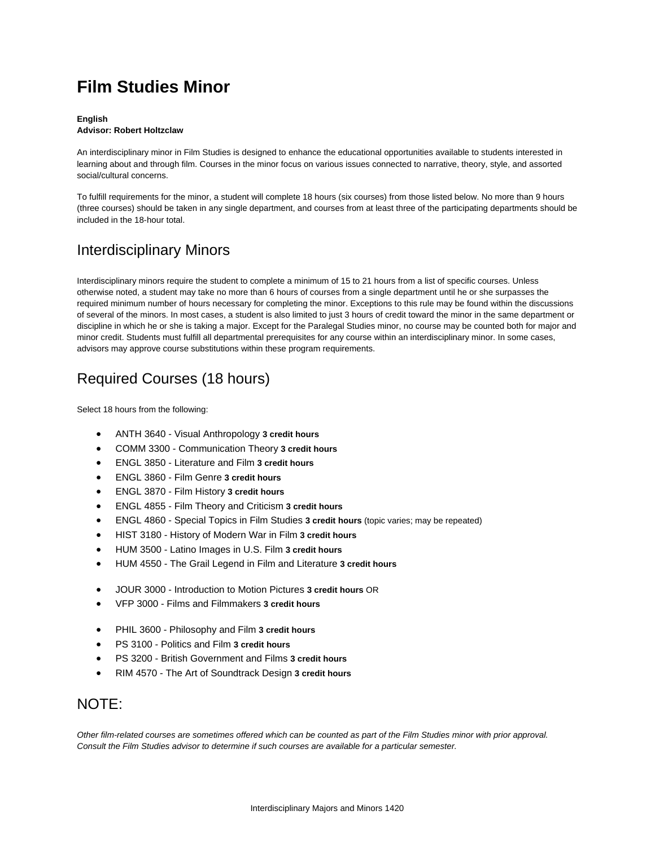# **Film Studies Minor**

#### **English Advisor: Robert Holtzclaw**

An interdisciplinary minor in Film Studies is designed to enhance the educational opportunities available to students interested in learning about and through film. Courses in the minor focus on various issues connected to narrative, theory, style, and assorted social/cultural concerns.

To fulfill requirements for the minor, a student will complete 18 hours (six courses) from those listed below. No more than 9 hours (three courses) should be taken in any single department, and courses from at least three of the participating departments should be included in the 18-hour total.

## Interdisciplinary Minors

Interdisciplinary minors require the student to complete a minimum of 15 to 21 hours from a list of specific courses. Unless otherwise noted, a student may take no more than 6 hours of courses from a single department until he or she surpasses the required minimum number of hours necessary for completing the minor. Exceptions to this rule may be found within the discussions of several of the minors. In most cases, a student is also limited to just 3 hours of credit toward the minor in the same department or discipline in which he or she is taking a major. Except for the Paralegal Studies minor, no course may be counted both for major and minor credit. Students must fulfill all departmental prerequisites for any course within an interdisciplinary minor. In some cases, advisors may approve course substitutions within these program requirements.

## Required Courses (18 hours)

Select 18 hours from the following:

- ANTH 3640 Visual Anthropology **3 credit hours**
- COMM 3300 Communication Theory **3 credit hours**
- ENGL 3850 Literature and Film **3 credit hours**
- ENGL 3860 Film Genre **3 credit hours**
- ENGL 3870 Film History **3 credit hours**
- ENGL 4855 Film Theory and Criticism **3 credit hours**
- ENGL 4860 Special Topics in Film Studies **3 credit hours** (topic varies; may be repeated)
- HIST 3180 History of Modern War in Film **3 credit hours**
- HUM 3500 Latino Images in U.S. Film **3 credit hours**
- HUM 4550 The Grail Legend in Film and Literature **3 credit hours**
- JOUR 3000 Introduction to Motion Pictures **3 credit hours** OR
- VFP 3000 Films and Filmmakers **3 credit hours**
- PHIL 3600 Philosophy and Film **3 credit hours**
- PS 3100 Politics and Film **3 credit hours**
- PS 3200 British Government and Films **3 credit hours**
- RIM 4570 The Art of Soundtrack Design **3 credit hours**

### NOTE:

*Other film-related courses are sometimes offered which can be counted as part of the Film Studies minor with prior approval. Consult the Film Studies advisor to determine if such courses are available for a particular semester.*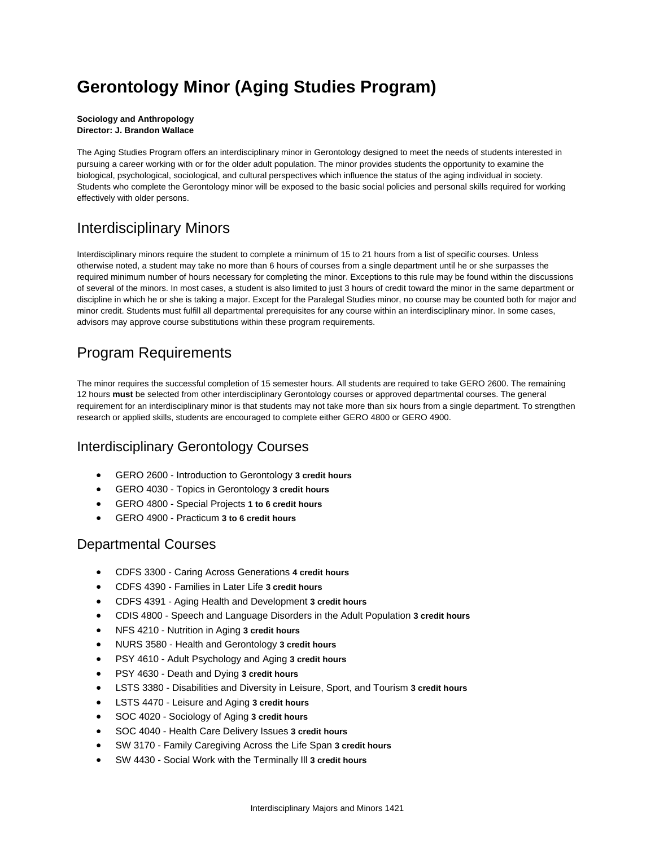# **Gerontology Minor (Aging Studies Program)**

#### **Sociology and Anthropology Director: J. Brandon Wallace**

The Aging Studies Program offers an interdisciplinary minor in Gerontology designed to meet the needs of students interested in pursuing a career working with or for the older adult population. The minor provides students the opportunity to examine the biological, psychological, sociological, and cultural perspectives which influence the status of the aging individual in society. Students who complete the Gerontology minor will be exposed to the basic social policies and personal skills required for working effectively with older persons.

## Interdisciplinary Minors

Interdisciplinary minors require the student to complete a minimum of 15 to 21 hours from a list of specific courses. Unless otherwise noted, a student may take no more than 6 hours of courses from a single department until he or she surpasses the required minimum number of hours necessary for completing the minor. Exceptions to this rule may be found within the discussions of several of the minors. In most cases, a student is also limited to just 3 hours of credit toward the minor in the same department or discipline in which he or she is taking a major. Except for the Paralegal Studies minor, no course may be counted both for major and minor credit. Students must fulfill all departmental prerequisites for any course within an interdisciplinary minor. In some cases, advisors may approve course substitutions within these program requirements.

## Program Requirements

The minor requires the successful completion of 15 semester hours. All students are required to take GERO 2600. The remaining 12 hours **must** be selected from other interdisciplinary Gerontology courses or approved departmental courses. The general requirement for an interdisciplinary minor is that students may not take more than six hours from a single department. To strengthen research or applied skills, students are encouraged to complete either GERO 4800 or GERO 4900.

### Interdisciplinary Gerontology Courses

- GERO 2600 Introduction to Gerontology **3 credit hours**
- GERO 4030 Topics in Gerontology **3 credit hours**
- GERO 4800 Special Projects **1 to 6 credit hours**
- GERO 4900 Practicum **3 to 6 credit hours**

### Departmental Courses

- CDFS 3300 Caring Across Generations **4 credit hours**
- CDFS 4390 Families in Later Life **3 credit hours**
- CDFS 4391 Aging Health and Development **3 credit hours**
- CDIS 4800 Speech and Language Disorders in the Adult Population **3 credit hours**
- NFS 4210 Nutrition in Aging **3 credit hours**
- NURS 3580 Health and Gerontology **3 credit hours**
- PSY 4610 Adult Psychology and Aging **3 credit hours**
- PSY 4630 Death and Dying **3 credit hours**
- LSTS 3380 Disabilities and Diversity in Leisure, Sport, and Tourism **3 credit hours**
- LSTS 4470 Leisure and Aging **3 credit hours**
- SOC 4020 Sociology of Aging **3 credit hours**
- SOC 4040 Health Care Delivery Issues **3 credit hours**
- SW 3170 Family Caregiving Across the Life Span **3 credit hours**
- SW 4430 Social Work with the Terminally Ill **3 credit hours**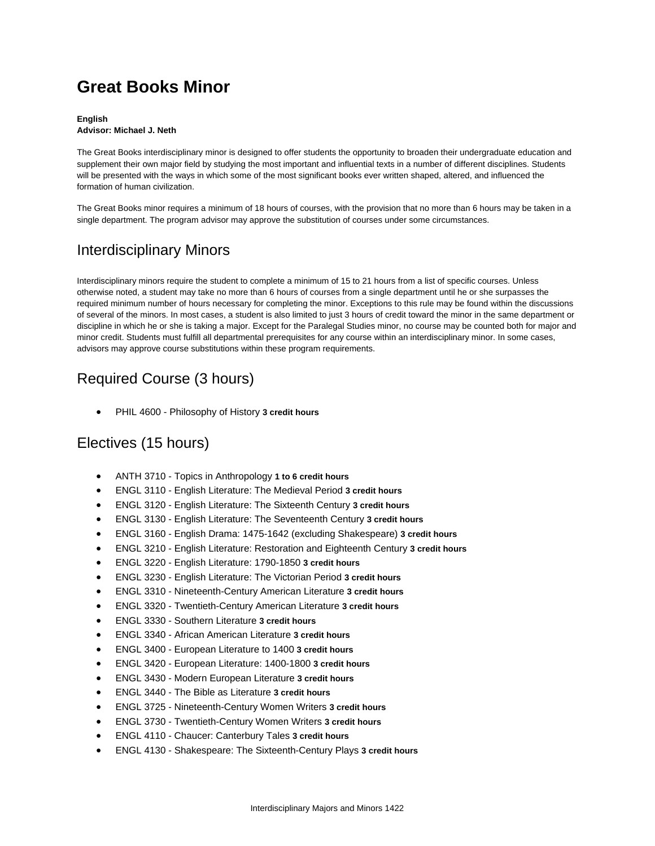# **Great Books Minor**

#### **English Advisor: Michael J. Neth**

The Great Books interdisciplinary minor is designed to offer students the opportunity to broaden their undergraduate education and supplement their own major field by studying the most important and influential texts in a number of different disciplines. Students will be presented with the ways in which some of the most significant books ever written shaped, altered, and influenced the formation of human civilization.

The Great Books minor requires a minimum of 18 hours of courses, with the provision that no more than 6 hours may be taken in a single department. The program advisor may approve the substitution of courses under some circumstances.

## Interdisciplinary Minors

Interdisciplinary minors require the student to complete a minimum of 15 to 21 hours from a list of specific courses. Unless otherwise noted, a student may take no more than 6 hours of courses from a single department until he or she surpasses the required minimum number of hours necessary for completing the minor. Exceptions to this rule may be found within the discussions of several of the minors. In most cases, a student is also limited to just 3 hours of credit toward the minor in the same department or discipline in which he or she is taking a major. Except for the Paralegal Studies minor, no course may be counted both for major and minor credit. Students must fulfill all departmental prerequisites for any course within an interdisciplinary minor. In some cases, advisors may approve course substitutions within these program requirements.

## Required Course (3 hours)

PHIL 4600 - Philosophy of History **3 credit hours**

### Electives (15 hours)

- ANTH 3710 Topics in Anthropology **1 to 6 credit hours**
- ENGL 3110 English Literature: The Medieval Period **3 credit hours**
- ENGL 3120 English Literature: The Sixteenth Century **3 credit hours**
- ENGL 3130 English Literature: The Seventeenth Century **3 credit hours**
- ENGL 3160 English Drama: 1475-1642 (excluding Shakespeare) **3 credit hours**
- ENGL 3210 English Literature: Restoration and Eighteenth Century **3 credit hours**
- ENGL 3220 English Literature: 1790-1850 **3 credit hours**
- ENGL 3230 English Literature: The Victorian Period **3 credit hours**
- ENGL 3310 Nineteenth-Century American Literature **3 credit hours**
- ENGL 3320 Twentieth-Century American Literature **3 credit hours**
- ENGL 3330 Southern Literature **3 credit hours**
- ENGL 3340 African American Literature **3 credit hours**
- ENGL 3400 European Literature to 1400 **3 credit hours**
- ENGL 3420 European Literature: 1400-1800 **3 credit hours**
- ENGL 3430 Modern European Literature **3 credit hours**
- ENGL 3440 The Bible as Literature **3 credit hours**
- ENGL 3725 Nineteenth-Century Women Writers **3 credit hours**
- ENGL 3730 Twentieth-Century Women Writers **3 credit hours**
- ENGL 4110 Chaucer: Canterbury Tales **3 credit hours**
- ENGL 4130 Shakespeare: The Sixteenth-Century Plays **3 credit hours**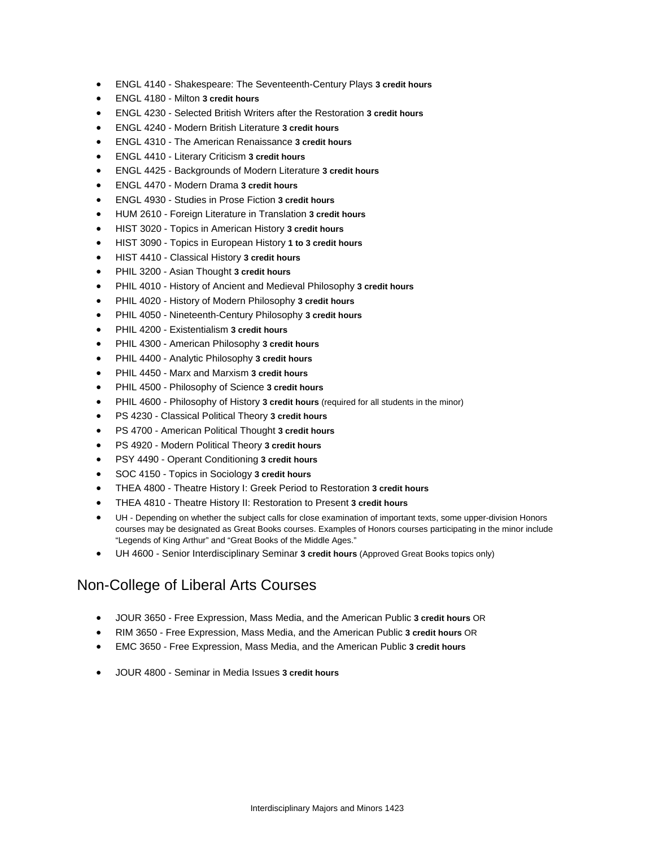- ENGL 4140 Shakespeare: The Seventeenth-Century Plays **3 credit hours**
- ENGL 4180 Milton **3 credit hours**
- ENGL 4230 Selected British Writers after the Restoration **3 credit hours**
- ENGL 4240 Modern British Literature **3 credit hours**
- ENGL 4310 The American Renaissance **3 credit hours**
- ENGL 4410 Literary Criticism **3 credit hours**
- ENGL 4425 Backgrounds of Modern Literature **3 credit hours**
- ENGL 4470 Modern Drama **3 credit hours**
- ENGL 4930 Studies in Prose Fiction **3 credit hours**
- HUM 2610 Foreign Literature in Translation **3 credit hours**
- HIST 3020 Topics in American History **3 credit hours**
- HIST 3090 Topics in European History **1 to 3 credit hours**
- HIST 4410 Classical History **3 credit hours**
- PHIL 3200 Asian Thought **3 credit hours**
- PHIL 4010 History of Ancient and Medieval Philosophy **3 credit hours**
- PHIL 4020 History of Modern Philosophy **3 credit hours**
- PHIL 4050 Nineteenth-Century Philosophy **3 credit hours**
- PHIL 4200 Existentialism **3 credit hours**
- PHIL 4300 American Philosophy **3 credit hours**
- PHIL 4400 Analytic Philosophy **3 credit hours**
- PHIL 4450 Marx and Marxism **3 credit hours**
- PHIL 4500 Philosophy of Science **3 credit hours**
- PHIL 4600 Philosophy of History **3 credit hours** (required for all students in the minor)
- PS 4230 Classical Political Theory **3 credit hours**
- PS 4700 American Political Thought **3 credit hours**
- PS 4920 Modern Political Theory **3 credit hours**
- PSY 4490 Operant Conditioning **3 credit hours**
- SOC 4150 Topics in Sociology **3 credit hours**
- THEA 4800 Theatre History I: Greek Period to Restoration **3 credit hours**
- THEA 4810 Theatre History II: Restoration to Present **3 credit hours**
- UH Depending on whether the subject calls for close examination of important texts, some upper-division Honors courses may be designated as Great Books courses. Examples of Honors courses participating in the minor include "Legends of King Arthur" and "Great Books of the Middle Ages."
- UH 4600 Senior Interdisciplinary Seminar **3 credit hours** (Approved Great Books topics only)

### Non-College of Liberal Arts Courses

- JOUR 3650 Free Expression, Mass Media, and the American Public **3 credit hours** OR
- RIM 3650 Free Expression, Mass Media, and the American Public **3 credit hours** OR
- EMC 3650 Free Expression, Mass Media, and the American Public **3 credit hours**
- JOUR 4800 Seminar in Media Issues **3 credit hours**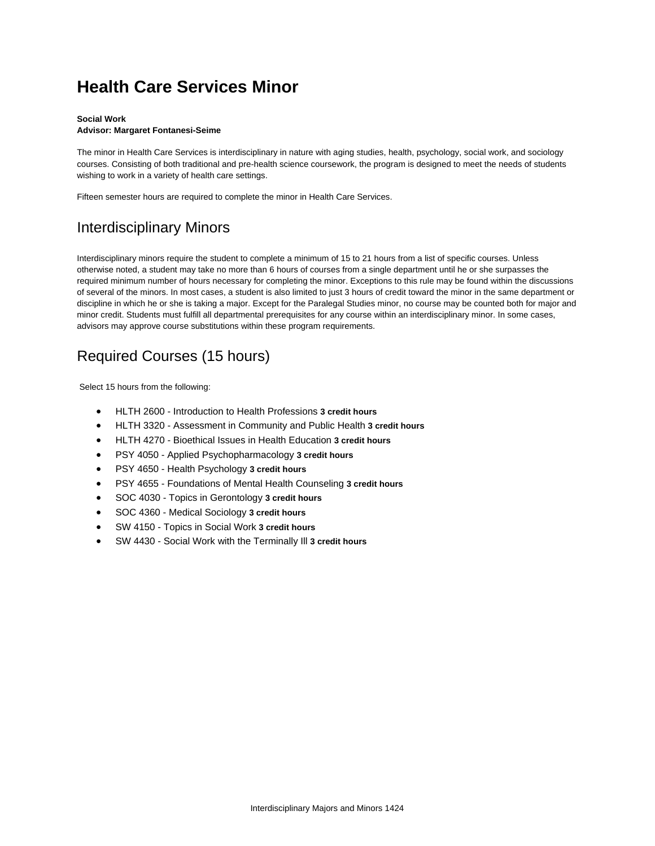## **Health Care Services Minor**

### **Social Work**

### **Advisor: Margaret Fontanesi-Seime**

The minor in Health Care Services is interdisciplinary in nature with aging studies, health, psychology, social work, and sociology courses. Consisting of both traditional and pre-health science coursework, the program is designed to meet the needs of students wishing to work in a variety of health care settings.

Fifteen semester hours are required to complete the minor in Health Care Services.

## Interdisciplinary Minors

Interdisciplinary minors require the student to complete a minimum of 15 to 21 hours from a list of specific courses. Unless otherwise noted, a student may take no more than 6 hours of courses from a single department until he or she surpasses the required minimum number of hours necessary for completing the minor. Exceptions to this rule may be found within the discussions of several of the minors. In most cases, a student is also limited to just 3 hours of credit toward the minor in the same department or discipline in which he or she is taking a major. Except for the Paralegal Studies minor, no course may be counted both for major and minor credit. Students must fulfill all departmental prerequisites for any course within an interdisciplinary minor. In some cases, advisors may approve course substitutions within these program requirements.

## Required Courses (15 hours)

Select 15 hours from the following:

- HLTH 2600 Introduction to Health Professions **3 credit hours**
- HLTH 3320 Assessment in Community and Public Health **3 credit hours**
- HLTH 4270 Bioethical Issues in Health Education **3 credit hours**
- PSY 4050 Applied Psychopharmacology **3 credit hours**
- PSY 4650 Health Psychology **3 credit hours**
- PSY 4655 Foundations of Mental Health Counseling **3 credit hours**
- SOC 4030 Topics in Gerontology **3 credit hours**
- SOC 4360 Medical Sociology **3 credit hours**
- SW 4150 Topics in Social Work **3 credit hours**
- SW 4430 Social Work with the Terminally Ill **3 credit hours**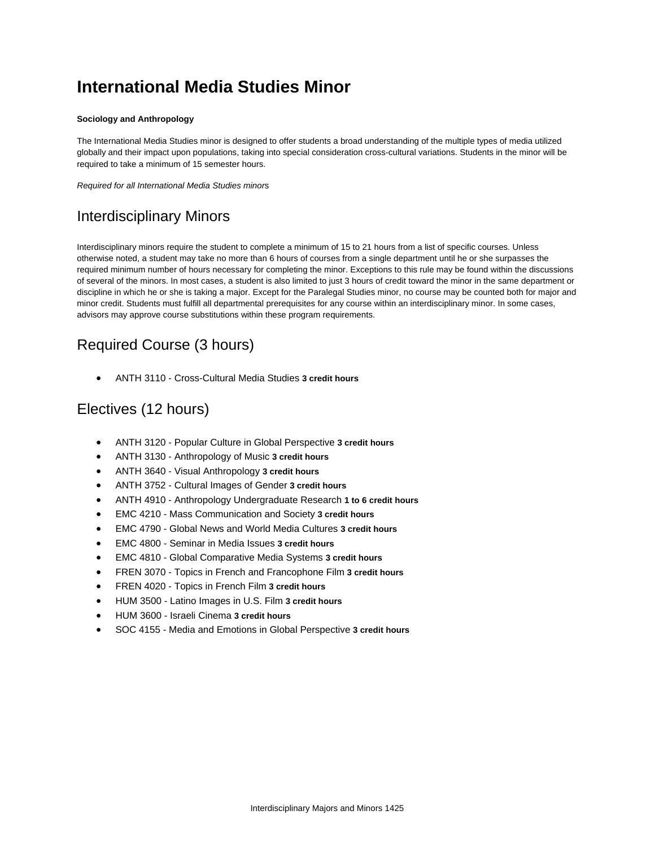# **International Media Studies Minor**

#### **Sociology and Anthropology**

The International Media Studies minor is designed to offer students a broad understanding of the multiple types of media utilized globally and their impact upon populations, taking into special consideration cross-cultural variations. Students in the minor will be required to take a minimum of 15 semester hours.

*Required for all International Media Studies minor*s

### Interdisciplinary Minors

Interdisciplinary minors require the student to complete a minimum of 15 to 21 hours from a list of specific courses. Unless otherwise noted, a student may take no more than 6 hours of courses from a single department until he or she surpasses the required minimum number of hours necessary for completing the minor. Exceptions to this rule may be found within the discussions of several of the minors. In most cases, a student is also limited to just 3 hours of credit toward the minor in the same department or discipline in which he or she is taking a major. Except for the Paralegal Studies minor, no course may be counted both for major and minor credit. Students must fulfill all departmental prerequisites for any course within an interdisciplinary minor. In some cases, advisors may approve course substitutions within these program requirements.

## Required Course (3 hours)

ANTH 3110 - Cross-Cultural Media Studies **3 credit hours**

### Electives (12 hours)

- ANTH 3120 Popular Culture in Global Perspective **3 credit hours**
- ANTH 3130 Anthropology of Music **3 credit hours**
- ANTH 3640 Visual Anthropology **3 credit hours**
- ANTH 3752 Cultural Images of Gender **3 credit hours**
- ANTH 4910 Anthropology Undergraduate Research **1 to 6 credit hours**
- EMC 4210 Mass Communication and Society **3 credit hours**
- EMC 4790 Global News and World Media Cultures **3 credit hours**
- EMC 4800 Seminar in Media Issues **3 credit hours**
- EMC 4810 Global Comparative Media Systems **3 credit hours**
- FREN 3070 Topics in French and Francophone Film **3 credit hours**
- FREN 4020 Topics in French Film **3 credit hours**
- HUM 3500 Latino Images in U.S. Film **3 credit hours**
- HUM 3600 Israeli Cinema **3 credit hours**
- SOC 4155 Media and Emotions in Global Perspective **3 credit hours**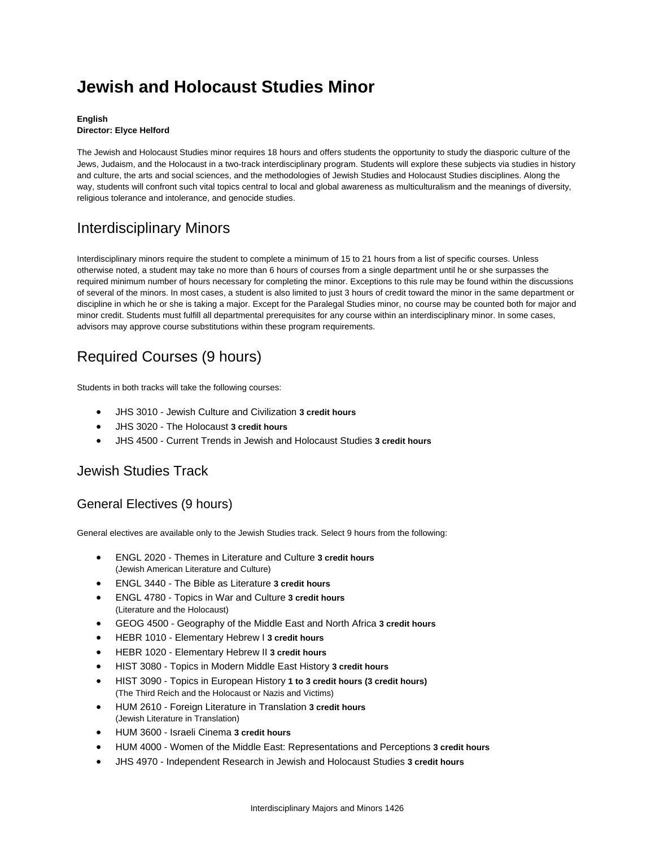# **Jewish and Holocaust Studies Minor**

#### **English Director: Elyce Helford**

The Jewish and Holocaust Studies minor requires 18 hours and offers students the opportunity to study the diasporic culture of the Jews, Judaism, and the Holocaust in a two-track interdisciplinary program. Students will explore these subjects via studies in history and culture, the arts and social sciences, and the methodologies of Jewish Studies and Holocaust Studies disciplines. Along the way, students will confront such vital topics central to local and global awareness as multiculturalism and the meanings of diversity, religious tolerance and intolerance, and genocide studies.

## Interdisciplinary Minors

Interdisciplinary minors require the student to complete a minimum of 15 to 21 hours from a list of specific courses. Unless otherwise noted, a student may take no more than 6 hours of courses from a single department until he or she surpasses the required minimum number of hours necessary for completing the minor. Exceptions to this rule may be found within the discussions of several of the minors. In most cases, a student is also limited to just 3 hours of credit toward the minor in the same department or discipline in which he or she is taking a major. Except for the Paralegal Studies minor, no course may be counted both for major and minor credit. Students must fulfill all departmental prerequisites for any course within an interdisciplinary minor. In some cases, advisors may approve course substitutions within these program requirements.

## Required Courses (9 hours)

Students in both tracks will take the following courses:

- JHS 3010 Jewish Culture and Civilization **3 credit hours**
- JHS 3020 The Holocaust **3 credit hours**
- JHS 4500 Current Trends in Jewish and Holocaust Studies **3 credit hours**

### Jewish Studies Track

### General Electives (9 hours)

General electives are available only to the Jewish Studies track. Select 9 hours from the following:

- ENGL 2020 Themes in Literature and Culture **3 credit hours** (Jewish American Literature and Culture)
- ENGL 3440 The Bible as Literature **3 credit hours**
- ENGL 4780 Topics in War and Culture **3 credit hours** (Literature and the Holocaust)
- GEOG 4500 Geography of the Middle East and North Africa **3 credit hours**
- HEBR 1010 Elementary Hebrew I **3 credit hours**
- HEBR 1020 Elementary Hebrew II **3 credit hours**
- HIST 3080 Topics in Modern Middle East History **3 credit hours**
- HIST 3090 Topics in European History **1 to 3 credit hours (3 credit hours)** (The Third Reich and the Holocaust or Nazis and Victims)
- HUM 2610 Foreign Literature in Translation **3 credit hours** (Jewish Literature in Translation)
- HUM 3600 Israeli Cinema **3 credit hours**
- HUM 4000 Women of the Middle East: Representations and Perceptions **3 credit hours**
- JHS 4970 Independent Research in Jewish and Holocaust Studies **3 credit hours**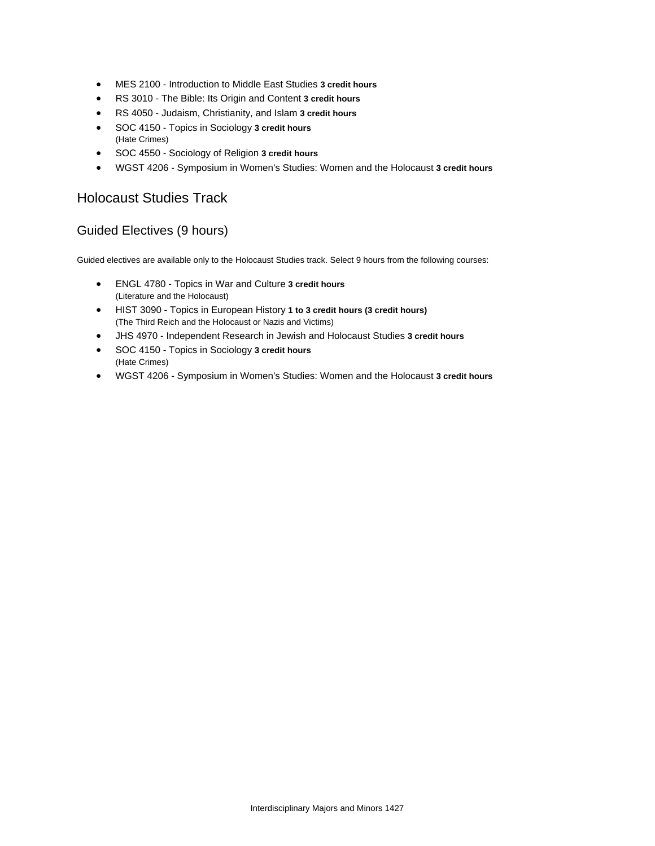- MES 2100 Introduction to Middle East Studies **3 credit hours**
- RS 3010 The Bible: Its Origin and Content **3 credit hours**
- RS 4050 Judaism, Christianity, and Islam **3 credit hours**
- SOC 4150 Topics in Sociology **3 credit hours** (Hate Crimes)
- SOC 4550 Sociology of Religion **3 credit hours**
- WGST 4206 Symposium in Women's Studies: Women and the Holocaust **3 credit hours**

### Holocaust Studies Track

### Guided Electives (9 hours)

Guided electives are available only to the Holocaust Studies track. Select 9 hours from the following courses:

- ENGL 4780 Topics in War and Culture **3 credit hours** (Literature and the Holocaust)
- HIST 3090 Topics in European History **1 to 3 credit hours (3 credit hours)** (The Third Reich and the Holocaust or Nazis and Victims)
- JHS 4970 Independent Research in Jewish and Holocaust Studies **3 credit hours**
- SOC 4150 Topics in Sociology **3 credit hours** (Hate Crimes)
- WGST 4206 Symposium in Women's Studies: Women and the Holocaust **3 credit hours**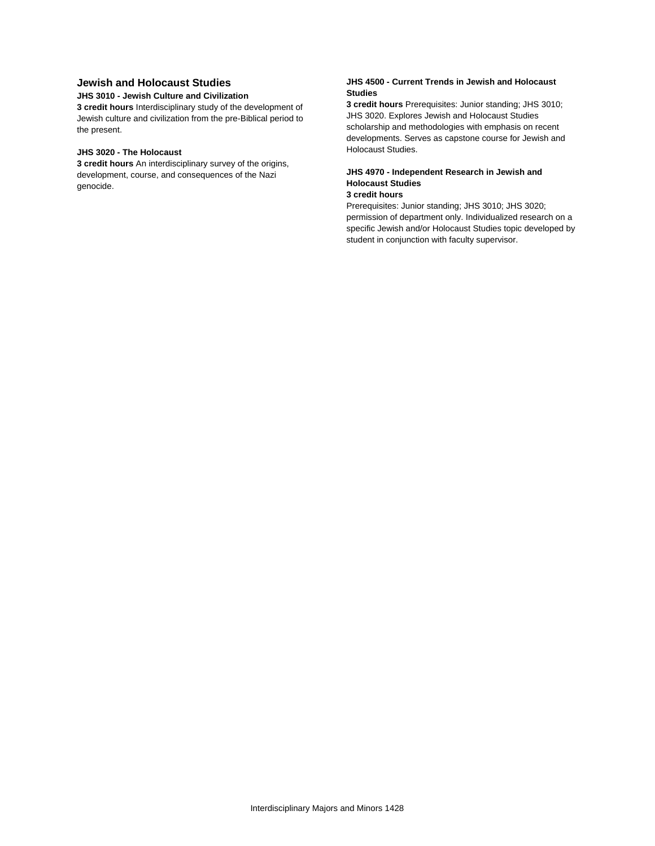#### **Jewish and Holocaust Studies**

#### **JHS 3010 - Jewish Culture and Civilization**

**3 credit hours** Interdisciplinary study of the development of Jewish culture and civilization from the pre-Biblical period to the present.

#### **JHS 3020 - The Holocaust**

**3 credit hours** An interdisciplinary survey of the origins, development, course, and consequences of the Nazi genocide.

#### **JHS 4500 - Current Trends in Jewish and Holocaust Studies**

**3 credit hours** Prerequisites: Junior standing; JHS 3010; JHS 3020. Explores Jewish and Holocaust Studies scholarship and methodologies with emphasis on recent developments. Serves as capstone course for Jewish and Holocaust Studies.

#### **JHS 4970 - Independent Research in Jewish and Holocaust Studies**

#### **3 credit hours**

Prerequisites: Junior standing; JHS 3010; JHS 3020; permission of department only. Individualized research on a specific Jewish and/or Holocaust Studies topic developed by student in conjunction with faculty supervisor.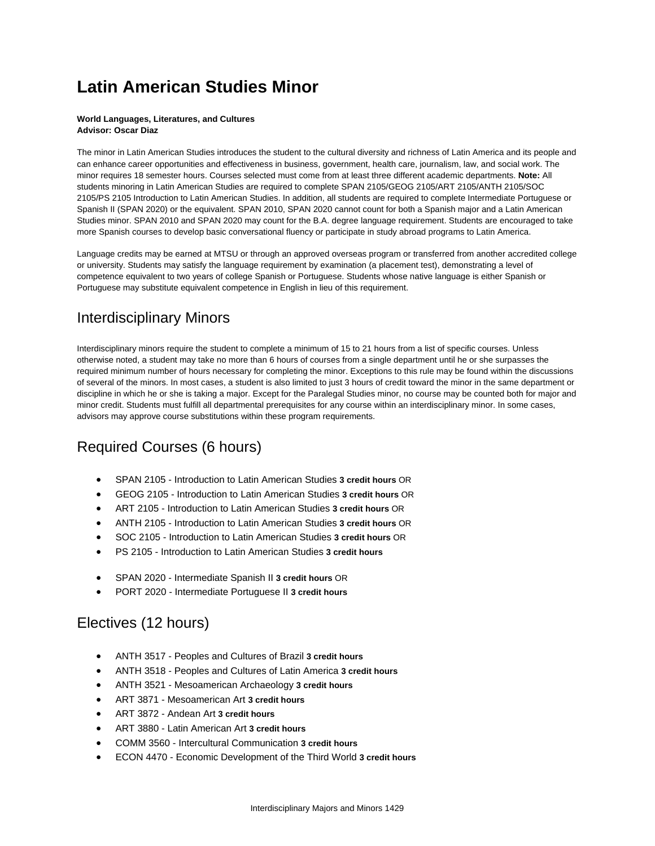# **Latin American Studies Minor**

#### **World Languages, Literatures, and Cultures Advisor: Oscar Diaz**

The minor in Latin American Studies introduces the student to the cultural diversity and richness of Latin America and its people and can enhance career opportunities and effectiveness in business, government, health care, journalism, law, and social work. The minor requires 18 semester hours. Courses selected must come from at least three different academic departments. **Note:** All students minoring in Latin American Studies are required to complete SPAN 2105/GEOG 2105/ART 2105/ANTH 2105/SOC 2105/PS 2105 Introduction to Latin American Studies. In addition, all students are required to complete Intermediate Portuguese or Spanish II (SPAN 2020) or the equivalent. SPAN 2010, SPAN 2020 cannot count for both a Spanish major and a Latin American Studies minor. SPAN 2010 and SPAN 2020 may count for the B.A. degree language requirement. Students are encouraged to take more Spanish courses to develop basic conversational fluency or participate in study abroad programs to Latin America.

Language credits may be earned at MTSU or through an approved overseas program or transferred from another accredited college or university. Students may satisfy the language requirement by examination (a placement test), demonstrating a level of competence equivalent to two years of college Spanish or Portuguese. Students whose native language is either Spanish or Portuguese may substitute equivalent competence in English in lieu of this requirement.

## Interdisciplinary Minors

Interdisciplinary minors require the student to complete a minimum of 15 to 21 hours from a list of specific courses. Unless otherwise noted, a student may take no more than 6 hours of courses from a single department until he or she surpasses the required minimum number of hours necessary for completing the minor. Exceptions to this rule may be found within the discussions of several of the minors. In most cases, a student is also limited to just 3 hours of credit toward the minor in the same department or discipline in which he or she is taking a major. Except for the Paralegal Studies minor, no course may be counted both for major and minor credit. Students must fulfill all departmental prerequisites for any course within an interdisciplinary minor. In some cases, advisors may approve course substitutions within these program requirements.

## Required Courses (6 hours)

- SPAN 2105 Introduction to Latin American Studies **3 credit hours** OR
- GEOG 2105 Introduction to Latin American Studies **3 credit hours** OR
- ART 2105 Introduction to Latin American Studies **3 credit hours** OR
- ANTH 2105 Introduction to Latin American Studies **3 credit hours** OR
- SOC 2105 Introduction to Latin American Studies **3 credit hours** OR
- PS 2105 Introduction to Latin American Studies **3 credit hours**
- SPAN 2020 Intermediate Spanish II **3 credit hours** OR
- PORT 2020 Intermediate Portuguese II **3 credit hours**

### Electives (12 hours)

- ANTH 3517 Peoples and Cultures of Brazil **3 credit hours**
- ANTH 3518 Peoples and Cultures of Latin America **3 credit hours**
- ANTH 3521 Mesoamerican Archaeology **3 credit hours**
- ART 3871 Mesoamerican Art **3 credit hours**
- ART 3872 Andean Art **3 credit hours**
- ART 3880 Latin American Art **3 credit hours**
- COMM 3560 Intercultural Communication **3 credit hours**
- ECON 4470 Economic Development of the Third World **3 credit hours**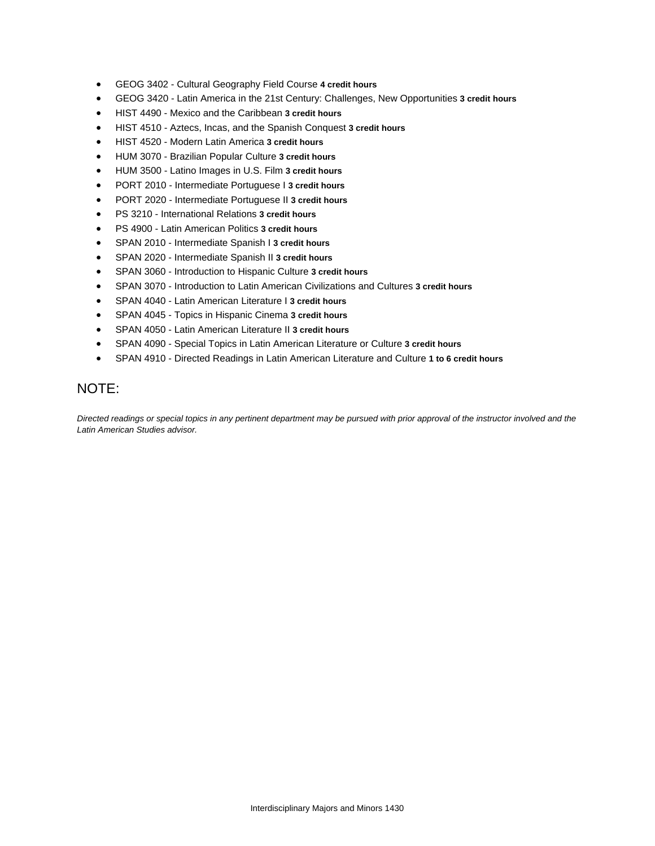- GEOG 3402 Cultural Geography Field Course **4 credit hours**
- GEOG 3420 Latin America in the 21st Century: Challenges, New Opportunities **3 credit hours**
- HIST 4490 Mexico and the Caribbean **3 credit hours**
- HIST 4510 Aztecs, Incas, and the Spanish Conquest **3 credit hours**
- HIST 4520 Modern Latin America **3 credit hours**
- HUM 3070 Brazilian Popular Culture **3 credit hours**
- HUM 3500 Latino Images in U.S. Film **3 credit hours**
- PORT 2010 Intermediate Portuguese I **3 credit hours**
- PORT 2020 Intermediate Portuguese II **3 credit hours**
- PS 3210 International Relations **3 credit hours**
- PS 4900 Latin American Politics **3 credit hours**
- SPAN 2010 Intermediate Spanish I **3 credit hours**
- SPAN 2020 Intermediate Spanish II **3 credit hours**
- SPAN 3060 Introduction to Hispanic Culture **3 credit hours**
- SPAN 3070 Introduction to Latin American Civilizations and Cultures **3 credit hours**
- SPAN 4040 Latin American Literature I **3 credit hours**
- SPAN 4045 Topics in Hispanic Cinema **3 credit hours**
- SPAN 4050 Latin American Literature II **3 credit hours**
- SPAN 4090 Special Topics in Latin American Literature or Culture **3 credit hours**
- SPAN 4910 Directed Readings in Latin American Literature and Culture **1 to 6 credit hours**

### NOTE:

*Directed readings or special topics in any pertinent department may be pursued with prior approval of the instructor involved and the Latin American Studies advisor.*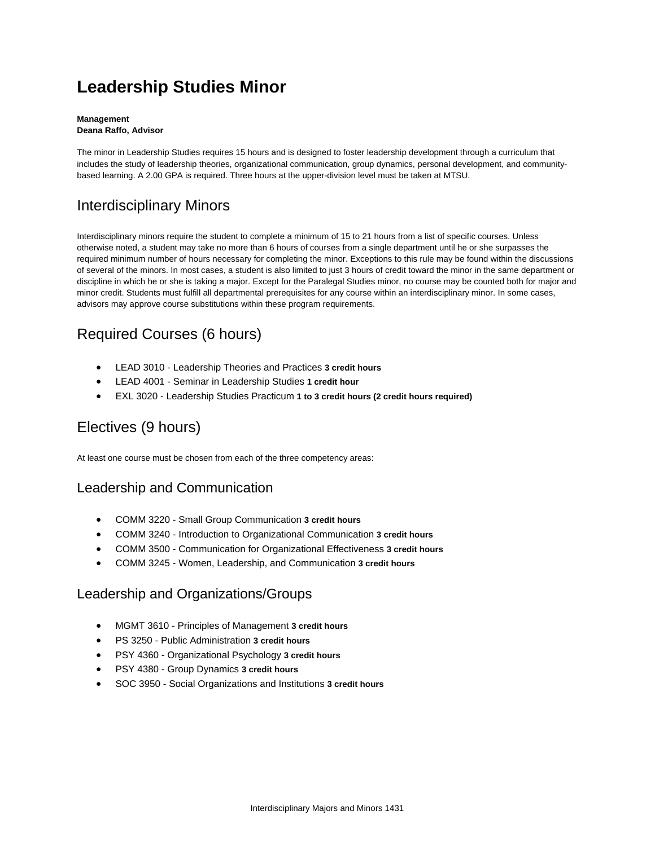# **Leadership Studies Minor**

#### **Management Deana Raffo, Advisor**

The minor in Leadership Studies requires 15 hours and is designed to foster leadership development through a curriculum that includes the study of leadership theories, organizational communication, group dynamics, personal development, and communitybased learning. A 2.00 GPA is required. Three hours at the upper-division level must be taken at MTSU.

## Interdisciplinary Minors

Interdisciplinary minors require the student to complete a minimum of 15 to 21 hours from a list of specific courses. Unless otherwise noted, a student may take no more than 6 hours of courses from a single department until he or she surpasses the required minimum number of hours necessary for completing the minor. Exceptions to this rule may be found within the discussions of several of the minors. In most cases, a student is also limited to just 3 hours of credit toward the minor in the same department or discipline in which he or she is taking a major. Except for the Paralegal Studies minor, no course may be counted both for major and minor credit. Students must fulfill all departmental prerequisites for any course within an interdisciplinary minor. In some cases, advisors may approve course substitutions within these program requirements.

## Required Courses (6 hours)

- LEAD 3010 Leadership Theories and Practices **3 credit hours**
- LEAD 4001 Seminar in Leadership Studies **1 credit hour**
- EXL 3020 Leadership Studies Practicum **1 to 3 credit hours (2 credit hours required)**

## Electives (9 hours)

At least one course must be chosen from each of the three competency areas:

### Leadership and Communication

- COMM 3220 Small Group Communication **3 credit hours**
- COMM 3240 Introduction to Organizational Communication **3 credit hours**
- COMM 3500 Communication for Organizational Effectiveness **3 credit hours**
- COMM 3245 Women, Leadership, and Communication **3 credit hours**

### Leadership and Organizations/Groups

- MGMT 3610 Principles of Management **3 credit hours**
- PS 3250 Public Administration **3 credit hours**
- PSY 4360 Organizational Psychology **3 credit hours**
- PSY 4380 Group Dynamics **3 credit hours**
- SOC 3950 Social Organizations and Institutions **3 credit hours**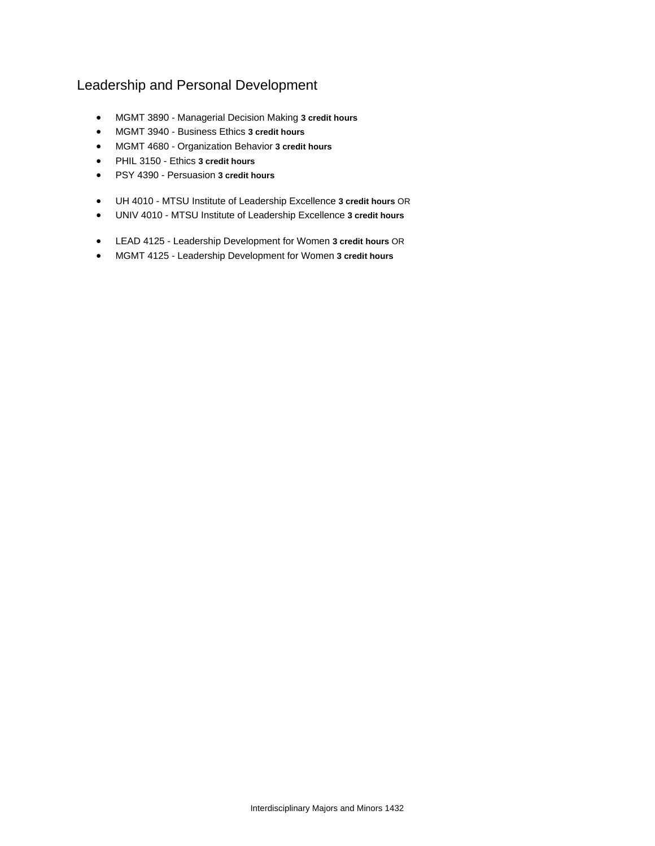### Leadership and Personal Development

- MGMT 3890 Managerial Decision Making **3 credit hours**
- MGMT 3940 Business Ethics **3 credit hours**
- MGMT 4680 Organization Behavior **3 credit hours**
- PHIL 3150 Ethics **3 credit hours**
- PSY 4390 Persuasion **3 credit hours**
- UH 4010 MTSU Institute of Leadership Excellence **3 credit hours** OR
- UNIV 4010 MTSU Institute of Leadership Excellence **3 credit hours**
- LEAD 4125 Leadership Development for Women **3 credit hours** OR
- MGMT 4125 Leadership Development for Women **3 credit hours**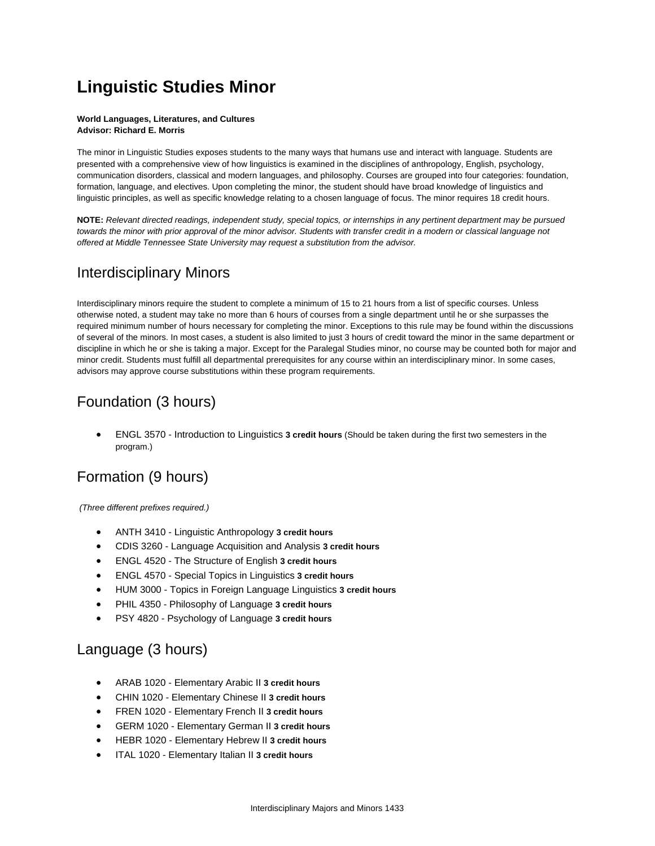# **Linguistic Studies Minor**

#### **World Languages, Literatures, and Cultures Advisor: Richard E. Morris**

The minor in Linguistic Studies exposes students to the many ways that humans use and interact with language. Students are presented with a comprehensive view of how linguistics is examined in the disciplines of anthropology, English, psychology, communication disorders, classical and modern languages, and philosophy. Courses are grouped into four categories: foundation, formation, language, and electives. Upon completing the minor, the student should have broad knowledge of linguistics and linguistic principles, as well as specific knowledge relating to a chosen language of focus. The minor requires 18 credit hours.

**NOTE:** *Relevant directed readings, independent study, special topics, or internships in any pertinent department may be pursued towards the minor with prior approval of the minor advisor. Students with transfer credit in a modern or classical language not offered at Middle Tennessee State University may request a substitution from the advisor.*

### Interdisciplinary Minors

Interdisciplinary minors require the student to complete a minimum of 15 to 21 hours from a list of specific courses. Unless otherwise noted, a student may take no more than 6 hours of courses from a single department until he or she surpasses the required minimum number of hours necessary for completing the minor. Exceptions to this rule may be found within the discussions of several of the minors. In most cases, a student is also limited to just 3 hours of credit toward the minor in the same department or discipline in which he or she is taking a major. Except for the Paralegal Studies minor, no course may be counted both for major and minor credit. Students must fulfill all departmental prerequisites for any course within an interdisciplinary minor. In some cases, advisors may approve course substitutions within these program requirements.

## Foundation (3 hours)

 ENGL 3570 - Introduction to Linguistics **3 credit hours** (Should be taken during the first two semesters in the program.)

## Formation (9 hours)

*(Three different prefixes required.)*

- ANTH 3410 Linguistic Anthropology **3 credit hours**
- CDIS 3260 Language Acquisition and Analysis **3 credit hours**
- ENGL 4520 The Structure of English **3 credit hours**
- ENGL 4570 Special Topics in Linguistics **3 credit hours**
- HUM 3000 Topics in Foreign Language Linguistics **3 credit hours**
- PHIL 4350 Philosophy of Language **3 credit hours**
- PSY 4820 Psychology of Language **3 credit hours**

### Language (3 hours)

- ARAB 1020 Elementary Arabic II **3 credit hours**
- CHIN 1020 Elementary Chinese II **3 credit hours**
- FREN 1020 Elementary French II **3 credit hours**
- GERM 1020 Elementary German II **3 credit hours**
- HEBR 1020 Elementary Hebrew II **3 credit hours**
- ITAL 1020 Elementary Italian II **3 credit hours**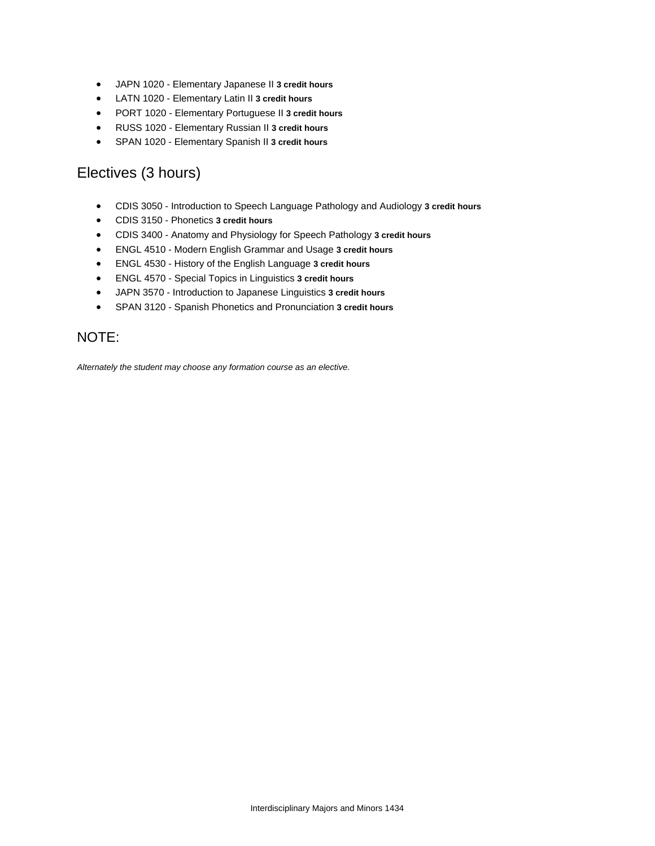- JAPN 1020 Elementary Japanese II **3 credit hours**
- LATN 1020 Elementary Latin II **3 credit hours**
- PORT 1020 Elementary Portuguese II **3 credit hours**
- RUSS 1020 Elementary Russian II **3 credit hours**
- SPAN 1020 Elementary Spanish II **3 credit hours**

### Electives (3 hours)

- CDIS 3050 Introduction to Speech Language Pathology and Audiology **3 credit hours**
- CDIS 3150 Phonetics **3 credit hours**
- CDIS 3400 Anatomy and Physiology for Speech Pathology **3 credit hours**
- ENGL 4510 Modern English Grammar and Usage **3 credit hours**
- ENGL 4530 History of the English Language **3 credit hours**
- ENGL 4570 Special Topics in Linguistics **3 credit hours**
- JAPN 3570 Introduction to Japanese Linguistics **3 credit hours**
- SPAN 3120 Spanish Phonetics and Pronunciation **3 credit hours**

### NOTE:

*Alternately the student may choose any formation course as an elective.*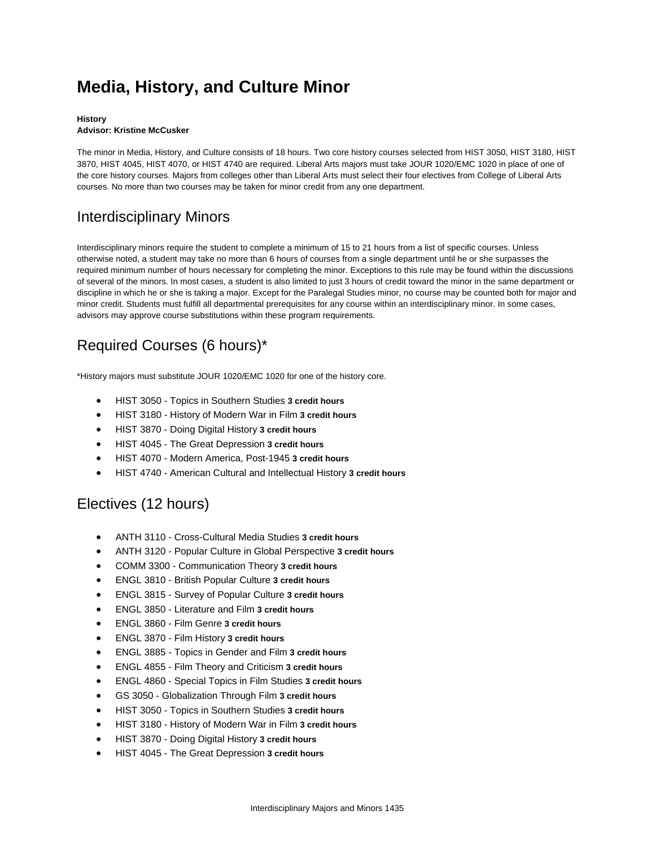# **Media, History, and Culture Minor**

#### **History**

#### **Advisor: Kristine McCusker**

The minor in Media, History, and Culture consists of 18 hours. Two core history courses selected from HIST 3050, HIST 3180, HIST 3870, HIST 4045, HIST 4070, or HIST 4740 are required. Liberal Arts majors must take JOUR 1020/EMC 1020 in place of one of the core history courses. Majors from colleges other than Liberal Arts must select their four electives from College of Liberal Arts courses. No more than two courses may be taken for minor credit from any one department.

### Interdisciplinary Minors

Interdisciplinary minors require the student to complete a minimum of 15 to 21 hours from a list of specific courses. Unless otherwise noted, a student may take no more than 6 hours of courses from a single department until he or she surpasses the required minimum number of hours necessary for completing the minor. Exceptions to this rule may be found within the discussions of several of the minors. In most cases, a student is also limited to just 3 hours of credit toward the minor in the same department or discipline in which he or she is taking a major. Except for the Paralegal Studies minor, no course may be counted both for major and minor credit. Students must fulfill all departmental prerequisites for any course within an interdisciplinary minor. In some cases, advisors may approve course substitutions within these program requirements.

## Required Courses (6 hours)\*

\*History majors must substitute JOUR 1020/EMC 1020 for one of the history core.

- HIST 3050 Topics in Southern Studies **3 credit hours**
- HIST 3180 History of Modern War in Film **3 credit hours**
- HIST 3870 Doing Digital History **3 credit hours**
- HIST 4045 The Great Depression **3 credit hours**
- HIST 4070 Modern America, Post-1945 **3 credit hours**
- HIST 4740 American Cultural and Intellectual History **3 credit hours**

### Electives (12 hours)

- ANTH 3110 Cross-Cultural Media Studies **3 credit hours**
- ANTH 3120 Popular Culture in Global Perspective **3 credit hours**
- COMM 3300 Communication Theory **3 credit hours**
- ENGL 3810 British Popular Culture **3 credit hours**
- ENGL 3815 Survey of Popular Culture **3 credit hours**
- ENGL 3850 Literature and Film **3 credit hours**
- ENGL 3860 Film Genre **3 credit hours**
- ENGL 3870 Film History **3 credit hours**
- ENGL 3885 Topics in Gender and Film **3 credit hours**
- ENGL 4855 Film Theory and Criticism **3 credit hours**
- ENGL 4860 Special Topics in Film Studies **3 credit hours**
- GS 3050 Globalization Through Film **3 credit hours**
- HIST 3050 Topics in Southern Studies **3 credit hours**
- HIST 3180 History of Modern War in Film **3 credit hours**
- HIST 3870 Doing Digital History **3 credit hours**
- HIST 4045 The Great Depression **3 credit hours**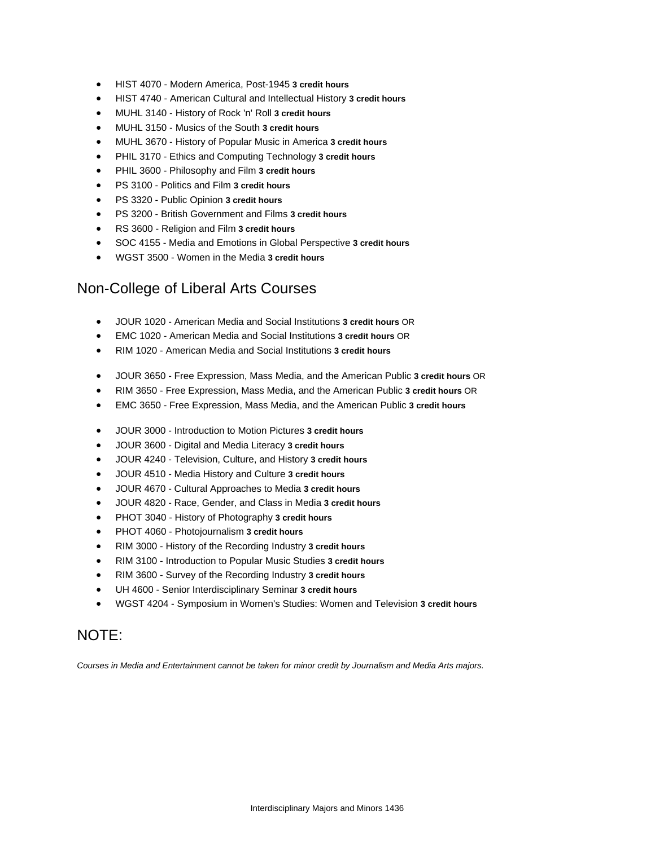- HIST 4070 Modern America, Post-1945 **3 credit hours**
- HIST 4740 American Cultural and Intellectual History **3 credit hours**
- MUHL 3140 History of Rock 'n' Roll **3 credit hours**
- MUHL 3150 Musics of the South **3 credit hours**
- MUHL 3670 History of Popular Music in America **3 credit hours**
- PHIL 3170 Ethics and Computing Technology **3 credit hours**
- PHIL 3600 Philosophy and Film **3 credit hours**
- PS 3100 Politics and Film **3 credit hours**
- PS 3320 Public Opinion **3 credit hours**
- PS 3200 British Government and Films **3 credit hours**
- RS 3600 Religion and Film **3 credit hours**
- SOC 4155 Media and Emotions in Global Perspective **3 credit hours**
- WGST 3500 Women in the Media **3 credit hours**

### Non-College of Liberal Arts Courses

- JOUR 1020 American Media and Social Institutions **3 credit hours** OR
- EMC 1020 American Media and Social Institutions **3 credit hours** OR
- RIM 1020 American Media and Social Institutions **3 credit hours**
- JOUR 3650 Free Expression, Mass Media, and the American Public **3 credit hours** OR
- RIM 3650 Free Expression, Mass Media, and the American Public **3 credit hours** OR
- EMC 3650 Free Expression, Mass Media, and the American Public **3 credit hours**
- JOUR 3000 Introduction to Motion Pictures **3 credit hours**
- JOUR 3600 Digital and Media Literacy **3 credit hours**
- JOUR 4240 Television, Culture, and History **3 credit hours**
- JOUR 4510 Media History and Culture **3 credit hours**
- JOUR 4670 Cultural Approaches to Media **3 credit hours**
- JOUR 4820 Race, Gender, and Class in Media **3 credit hours**
- PHOT 3040 History of Photography **3 credit hours**
- PHOT 4060 Photojournalism **3 credit hours**
- RIM 3000 History of the Recording Industry **3 credit hours**
- RIM 3100 Introduction to Popular Music Studies **3 credit hours**
- RIM 3600 Survey of the Recording Industry **3 credit hours**
- UH 4600 Senior Interdisciplinary Seminar **3 credit hours**
- WGST 4204 Symposium in Women's Studies: Women and Television **3 credit hours**

### NOTE:

*Courses in Media and Entertainment cannot be taken for minor credit by Journalism and Media Arts majors.*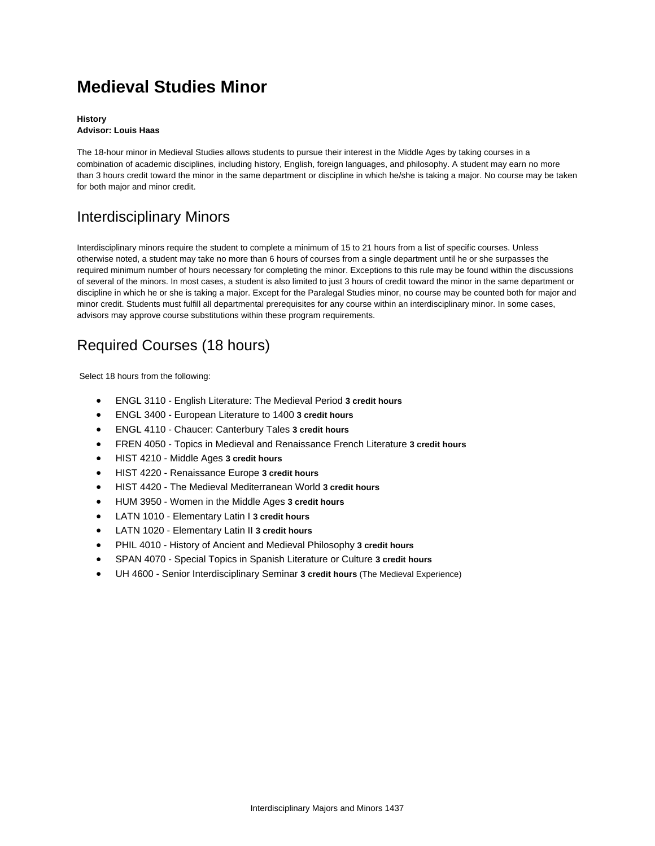# **Medieval Studies Minor**

#### **History Advisor: Louis Haas**

The 18-hour minor in Medieval Studies allows students to pursue their interest in the Middle Ages by taking courses in a combination of academic disciplines, including history, English, foreign languages, and philosophy. A student may earn no more than 3 hours credit toward the minor in the same department or discipline in which he/she is taking a major. No course may be taken for both major and minor credit.

## Interdisciplinary Minors

Interdisciplinary minors require the student to complete a minimum of 15 to 21 hours from a list of specific courses. Unless otherwise noted, a student may take no more than 6 hours of courses from a single department until he or she surpasses the required minimum number of hours necessary for completing the minor. Exceptions to this rule may be found within the discussions of several of the minors. In most cases, a student is also limited to just 3 hours of credit toward the minor in the same department or discipline in which he or she is taking a major. Except for the Paralegal Studies minor, no course may be counted both for major and minor credit. Students must fulfill all departmental prerequisites for any course within an interdisciplinary minor. In some cases, advisors may approve course substitutions within these program requirements.

## Required Courses (18 hours)

Select 18 hours from the following:

- ENGL 3110 English Literature: The Medieval Period **3 credit hours**
- ENGL 3400 European Literature to 1400 **3 credit hours**
- ENGL 4110 Chaucer: Canterbury Tales **3 credit hours**
- FREN 4050 Topics in Medieval and Renaissance French Literature **3 credit hours**
- HIST 4210 Middle Ages **3 credit hours**
- HIST 4220 Renaissance Europe **3 credit hours**
- HIST 4420 The Medieval Mediterranean World **3 credit hours**
- HUM 3950 Women in the Middle Ages **3 credit hours**
- LATN 1010 Elementary Latin I **3 credit hours**
- LATN 1020 Elementary Latin II **3 credit hours**
- PHIL 4010 History of Ancient and Medieval Philosophy **3 credit hours**
- SPAN 4070 Special Topics in Spanish Literature or Culture **3 credit hours**
- UH 4600 Senior Interdisciplinary Seminar **3 credit hours** (The Medieval Experience)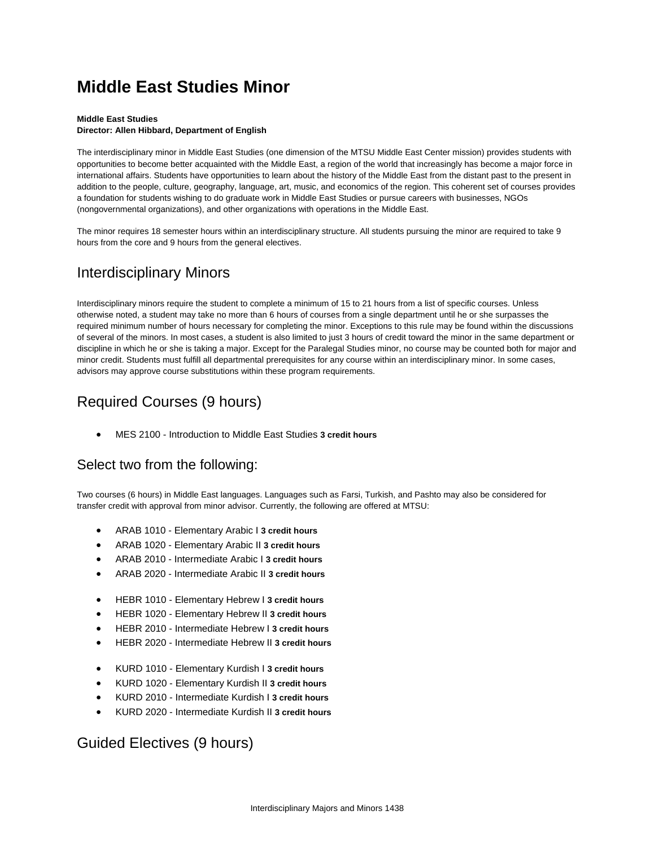## **Middle East Studies Minor**

#### **Middle East Studies**

#### **Director: Allen Hibbard, Department of English**

The interdisciplinary minor in Middle East Studies (one dimension of the MTSU Middle East Center mission) provides students with opportunities to become better acquainted with the Middle East, a region of the world that increasingly has become a major force in international affairs. Students have opportunities to learn about the history of the Middle East from the distant past to the present in addition to the people, culture, geography, language, art, music, and economics of the region. This coherent set of courses provides a foundation for students wishing to do graduate work in Middle East Studies or pursue careers with businesses, NGOs (nongovernmental organizations), and other organizations with operations in the Middle East.

The minor requires 18 semester hours within an interdisciplinary structure. All students pursuing the minor are required to take 9 hours from the core and 9 hours from the general electives.

### Interdisciplinary Minors

Interdisciplinary minors require the student to complete a minimum of 15 to 21 hours from a list of specific courses. Unless otherwise noted, a student may take no more than 6 hours of courses from a single department until he or she surpasses the required minimum number of hours necessary for completing the minor. Exceptions to this rule may be found within the discussions of several of the minors. In most cases, a student is also limited to just 3 hours of credit toward the minor in the same department or discipline in which he or she is taking a major. Except for the Paralegal Studies minor, no course may be counted both for major and minor credit. Students must fulfill all departmental prerequisites for any course within an interdisciplinary minor. In some cases, advisors may approve course substitutions within these program requirements.

## Required Courses (9 hours)

MES 2100 - Introduction to Middle East Studies **3 credit hours**

### Select two from the following:

Two courses (6 hours) in Middle East languages. Languages such as Farsi, Turkish, and Pashto may also be considered for transfer credit with approval from minor advisor. Currently, the following are offered at MTSU:

- ARAB 1010 Elementary Arabic I **3 credit hours**
- ARAB 1020 Elementary Arabic II **3 credit hours**
- ARAB 2010 Intermediate Arabic I **3 credit hours**
- ARAB 2020 Intermediate Arabic II **3 credit hours**
- HEBR 1010 Elementary Hebrew I **3 credit hours**
- HEBR 1020 Elementary Hebrew II **3 credit hours**
- HEBR 2010 Intermediate Hebrew I **3 credit hours**
- HEBR 2020 Intermediate Hebrew II **3 credit hours**
- KURD 1010 Elementary Kurdish I **3 credit hours**
- KURD 1020 Elementary Kurdish II **3 credit hours**
- KURD 2010 Intermediate Kurdish I **3 credit hours**
- KURD 2020 Intermediate Kurdish II **3 credit hours**

### Guided Electives (9 hours)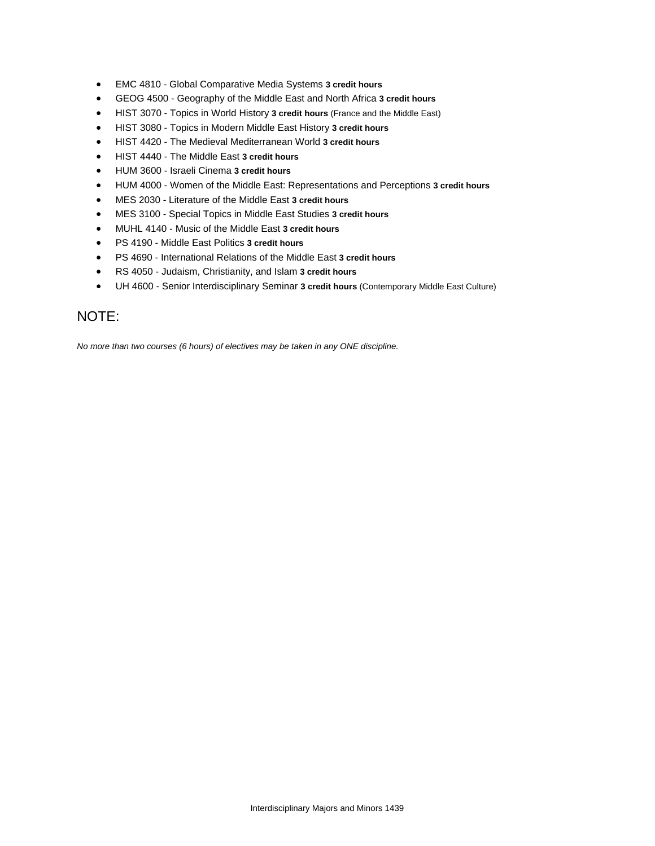- EMC 4810 Global Comparative Media Systems **3 credit hours**
- GEOG 4500 Geography of the Middle East and North Africa **3 credit hours**
- HIST 3070 Topics in World History **3 credit hours** (France and the Middle East)
- HIST 3080 Topics in Modern Middle East History **3 credit hours**
- HIST 4420 The Medieval Mediterranean World **3 credit hours**
- HIST 4440 The Middle East **3 credit hours**
- HUM 3600 Israeli Cinema **3 credit hours**
- HUM 4000 Women of the Middle East: Representations and Perceptions **3 credit hours**
- MES 2030 Literature of the Middle East **3 credit hours**
- MES 3100 Special Topics in Middle East Studies **3 credit hours**
- MUHL 4140 Music of the Middle East **3 credit hours**
- PS 4190 Middle East Politics **3 credit hours**
- PS 4690 International Relations of the Middle East **3 credit hours**
- RS 4050 Judaism, Christianity, and Islam **3 credit hours**
- UH 4600 Senior Interdisciplinary Seminar **3 credit hours** (Contemporary Middle East Culture)

### NOTE:

*No more than two courses (6 hours) of electives may be taken in any ONE discipline.*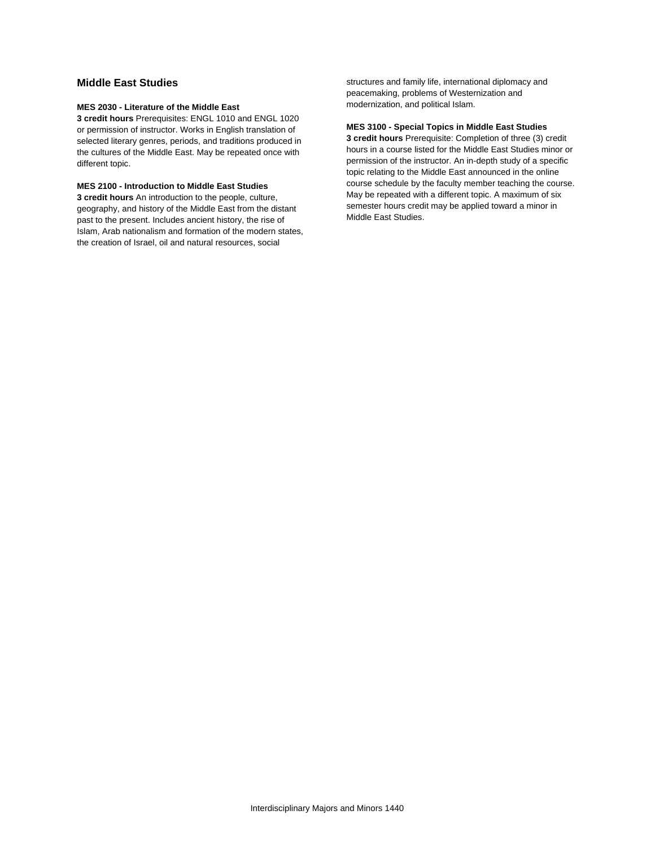#### **Middle East Studies**

#### **MES 2030 - Literature of the Middle East**

**3 credit hours** Prerequisites: ENGL 1010 and ENGL 1020 or permission of instructor. Works in English translation of selected literary genres, periods, and traditions produced in the cultures of the Middle East. May be repeated once with different topic.

#### **MES 2100 - Introduction to Middle East Studies**

**3 credit hours** An introduction to the people, culture, geography, and history of the Middle East from the distant past to the present. Includes ancient history, the rise of Islam, Arab nationalism and formation of the modern states, the creation of Israel, oil and natural resources, social

structures and family life, international diplomacy and peacemaking, problems of Westernization and modernization, and political Islam.

#### **MES 3100 - Special Topics in Middle East Studies**

**3 credit hours** Prerequisite: Completion of three (3) credit hours in a course listed for the Middle East Studies minor or permission of the instructor. An in-depth study of a specific topic relating to the Middle East announced in the online course schedule by the faculty member teaching the course. May be repeated with a different topic. A maximum of six semester hours credit may be applied toward a minor in Middle East Studies.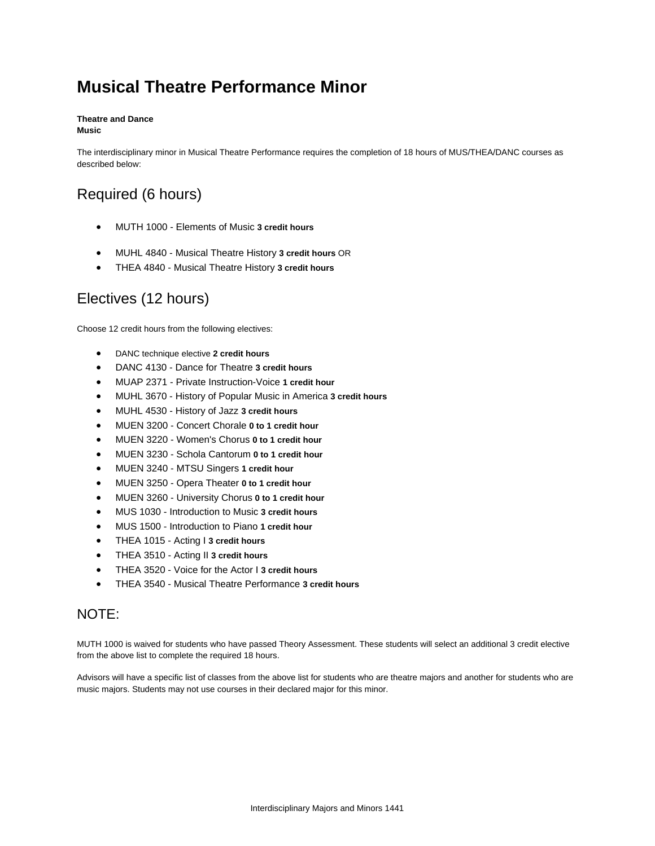# **Musical Theatre Performance Minor**

#### **Theatre and Dance Music**

The interdisciplinary minor in Musical Theatre Performance requires the completion of 18 hours of MUS/THEA/DANC courses as described below:

## Required (6 hours)

- MUTH 1000 Elements of Music **3 credit hours**
- MUHL 4840 Musical Theatre History **3 credit hours** OR
- THEA 4840 Musical Theatre History **3 credit hours**

## Electives (12 hours)

Choose 12 credit hours from the following electives:

- DANC technique elective **2 credit hours**
- DANC 4130 Dance for Theatre **3 credit hours**
- MUAP 2371 Private Instruction-Voice **1 credit hour**
- MUHL 3670 History of Popular Music in America **3 credit hours**
- MUHL 4530 History of Jazz **3 credit hours**
- MUEN 3200 Concert Chorale **0 to 1 credit hour**
- MUEN 3220 Women's Chorus **0 to 1 credit hour**
- MUEN 3230 Schola Cantorum **0 to 1 credit hour**
- MUEN 3240 MTSU Singers **1 credit hour**
- MUEN 3250 Opera Theater **0 to 1 credit hour**
- MUEN 3260 University Chorus **0 to 1 credit hour**
- MUS 1030 Introduction to Music **3 credit hours**
- MUS 1500 Introduction to Piano **1 credit hour**
- THEA 1015 Acting I **3 credit hours**
- THEA 3510 Acting II **3 credit hours**
- THEA 3520 Voice for the Actor I **3 credit hours**
- THEA 3540 Musical Theatre Performance **3 credit hours**

### NOTE:

MUTH 1000 is waived for students who have passed Theory Assessment. These students will select an additional 3 credit elective from the above list to complete the required 18 hours.

Advisors will have a specific list of classes from the above list for students who are theatre majors and another for students who are music majors. Students may not use courses in their declared major for this minor.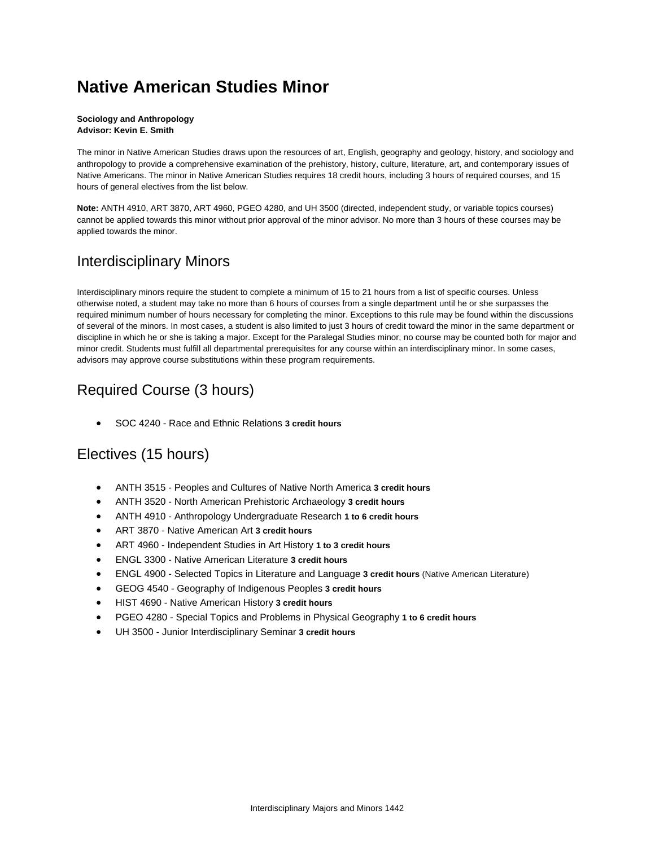## **Native American Studies Minor**

#### **Sociology and Anthropology Advisor: Kevin E. Smith**

The minor in Native American Studies draws upon the resources of art, English, geography and geology, history, and sociology and anthropology to provide a comprehensive examination of the prehistory, history, culture, literature, art, and contemporary issues of Native Americans. The minor in Native American Studies requires 18 credit hours, including 3 hours of required courses, and 15 hours of general electives from the list below.

**Note:** ANTH 4910, ART 3870, ART 4960, PGEO 4280, and UH 3500 (directed, independent study, or variable topics courses) cannot be applied towards this minor without prior approval of the minor advisor. No more than 3 hours of these courses may be applied towards the minor.

### Interdisciplinary Minors

Interdisciplinary minors require the student to complete a minimum of 15 to 21 hours from a list of specific courses. Unless otherwise noted, a student may take no more than 6 hours of courses from a single department until he or she surpasses the required minimum number of hours necessary for completing the minor. Exceptions to this rule may be found within the discussions of several of the minors. In most cases, a student is also limited to just 3 hours of credit toward the minor in the same department or discipline in which he or she is taking a major. Except for the Paralegal Studies minor, no course may be counted both for major and minor credit. Students must fulfill all departmental prerequisites for any course within an interdisciplinary minor. In some cases, advisors may approve course substitutions within these program requirements.

## Required Course (3 hours)

SOC 4240 - Race and Ethnic Relations **3 credit hours**

## Electives (15 hours)

- ANTH 3515 Peoples and Cultures of Native North America **3 credit hours**
- ANTH 3520 North American Prehistoric Archaeology **3 credit hours**
- ANTH 4910 Anthropology Undergraduate Research **1 to 6 credit hours**
- ART 3870 Native American Art **3 credit hours**
- ART 4960 Independent Studies in Art History **1 to 3 credit hours**
- ENGL 3300 Native American Literature **3 credit hours**
- ENGL 4900 Selected Topics in Literature and Language **3 credit hours** (Native American Literature)
- GEOG 4540 Geography of Indigenous Peoples **3 credit hours**
- HIST 4690 Native American History **3 credit hours**
- PGEO 4280 Special Topics and Problems in Physical Geography **1 to 6 credit hours**
- UH 3500 Junior Interdisciplinary Seminar **3 credit hours**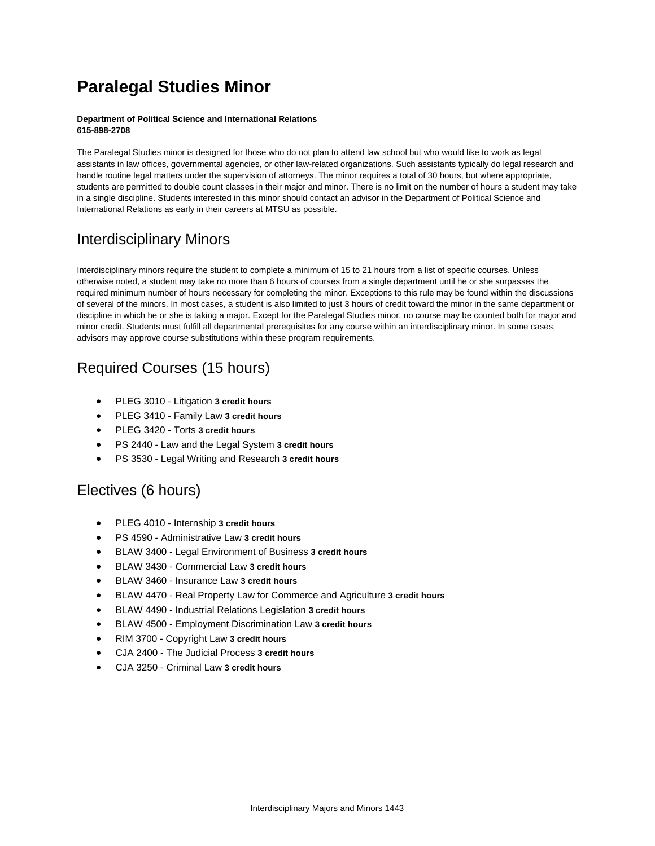# **Paralegal Studies Minor**

#### **Department of Political Science and International Relations 615-898-2708**

The Paralegal Studies minor is designed for those who do not plan to attend law school but who would like to work as legal assistants in law offices, governmental agencies, or other law-related organizations. Such assistants typically do legal research and handle routine legal matters under the supervision of attorneys. The minor requires a total of 30 hours, but where appropriate, students are permitted to double count classes in their major and minor. There is no limit on the number of hours a student may take in a single discipline. Students interested in this minor should contact an advisor in the Department of Political Science and International Relations as early in their careers at MTSU as possible.

## Interdisciplinary Minors

Interdisciplinary minors require the student to complete a minimum of 15 to 21 hours from a list of specific courses. Unless otherwise noted, a student may take no more than 6 hours of courses from a single department until he or she surpasses the required minimum number of hours necessary for completing the minor. Exceptions to this rule may be found within the discussions of several of the minors. In most cases, a student is also limited to just 3 hours of credit toward the minor in the same department or discipline in which he or she is taking a major. Except for the Paralegal Studies minor, no course may be counted both for major and minor credit. Students must fulfill all departmental prerequisites for any course within an interdisciplinary minor. In some cases, advisors may approve course substitutions within these program requirements.

## Required Courses (15 hours)

- PLEG 3010 Litigation **3 credit hours**
- PLEG 3410 Family Law **3 credit hours**
- PLEG 3420 Torts **3 credit hours**
- PS 2440 Law and the Legal System **3 credit hours**
- PS 3530 Legal Writing and Research **3 credit hours**

### Electives (6 hours)

- PLEG 4010 Internship **3 credit hours**
- PS 4590 Administrative Law **3 credit hours**
- BLAW 3400 Legal Environment of Business **3 credit hours**
- BLAW 3430 Commercial Law **3 credit hours**
- BLAW 3460 Insurance Law **3 credit hours**
- BLAW 4470 Real Property Law for Commerce and Agriculture **3 credit hours**
- BLAW 4490 Industrial Relations Legislation **3 credit hours**
- BLAW 4500 Employment Discrimination Law **3 credit hours**
- RIM 3700 Copyright Law **3 credit hours**
- CJA 2400 The Judicial Process **3 credit hours**
- CJA 3250 Criminal Law **3 credit hours**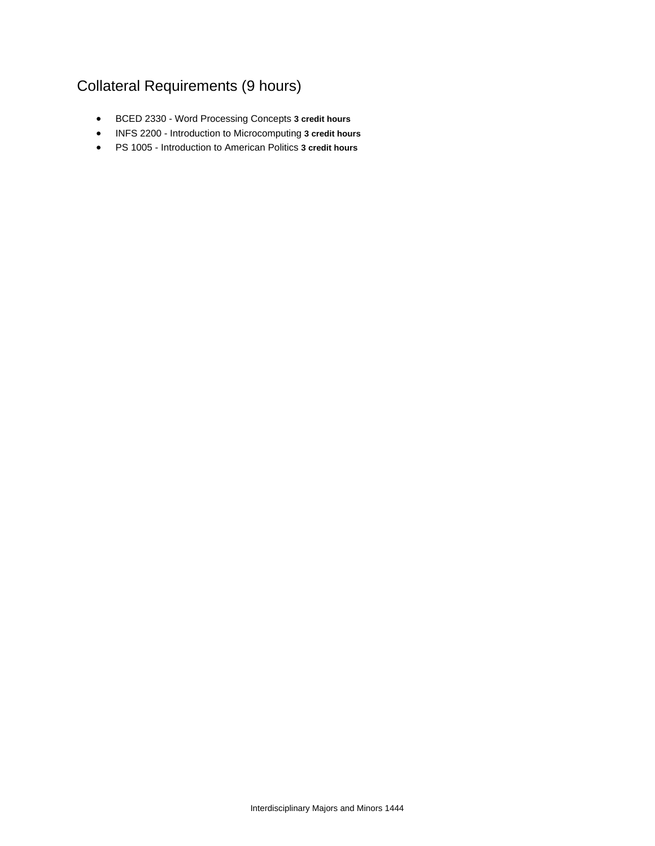## Collateral Requirements (9 hours)

- BCED 2330 Word Processing Concepts **3 credit hours**
- INFS 2200 Introduction to Microcomputing **3 credit hours**
- PS 1005 Introduction to American Politics **3 credit hours**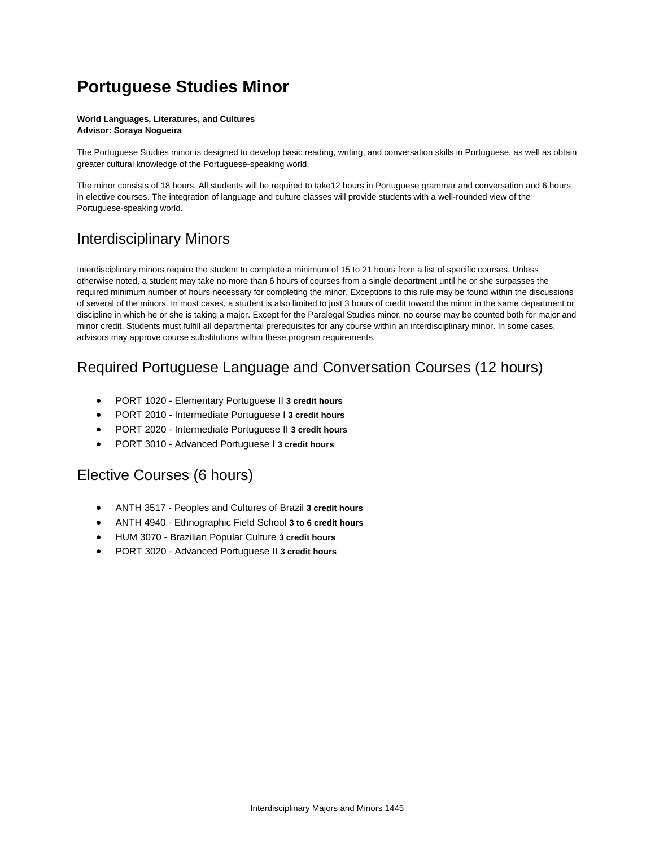## **Portuguese Studies Minor**

#### **World Languages, Literatures, and Cultures Advisor: Soraya Nogueira**

The Portuguese Studies minor is designed to develop basic reading, writing, and conversation skills in Portuguese, as well as obtain greater cultural knowledge of the Portuguese-speaking world.

The minor consists of 18 hours. All students will be required to take12 hours in Portuguese grammar and conversation and 6 hours in elective courses. The integration of language and culture classes will provide students with a well-rounded view of the Portuguese-speaking world.

### Interdisciplinary Minors

Interdisciplinary minors require the student to complete a minimum of 15 to 21 hours from a list of specific courses. Unless otherwise noted, a student may take no more than 6 hours of courses from a single department until he or she surpasses the required minimum number of hours necessary for completing the minor. Exceptions to this rule may be found within the discussions of several of the minors. In most cases, a student is also limited to just 3 hours of credit toward the minor in the same department or discipline in which he or she is taking a major. Except for the Paralegal Studies minor, no course may be counted both for major and minor credit. Students must fulfill all departmental prerequisites for any course within an interdisciplinary minor. In some cases, advisors may approve course substitutions within these program requirements.

### Required Portuguese Language and Conversation Courses (12 hours)

- PORT 1020 Elementary Portuguese II **3 credit hours**
- PORT 2010 Intermediate Portuguese I **3 credit hours**
- PORT 2020 Intermediate Portuguese II **3 credit hours**
- PORT 3010 Advanced Portuguese I **3 credit hours**

### Elective Courses (6 hours)

- ANTH 3517 Peoples and Cultures of Brazil **3 credit hours**
- ANTH 4940 Ethnographic Field School **3 to 6 credit hours**
- HUM 3070 Brazilian Popular Culture **3 credit hours**
- PORT 3020 Advanced Portuguese II **3 credit hours**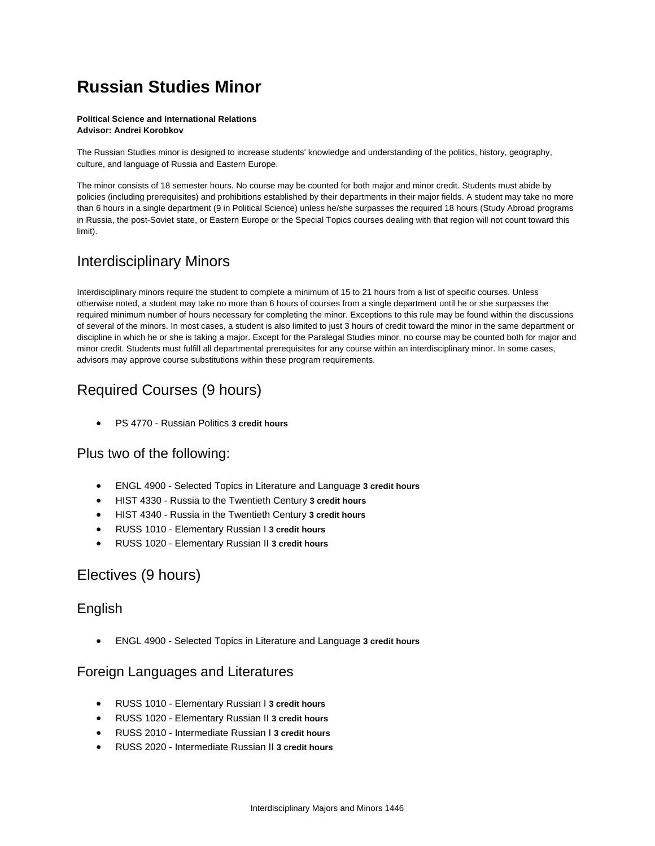# **Russian Studies Minor**

#### **Political Science and International Relations Advisor: Andrei Korobkov**

The Russian Studies minor is designed to increase students' knowledge and understanding of the politics, history, geography, culture, and language of Russia and Eastern Europe.

The minor consists of 18 semester hours. No course may be counted for both major and minor credit. Students must abide by policies (including prerequisites) and prohibitions established by their departments in their major fields. A student may take no more than 6 hours in a single department (9 in Political Science) unless he/she surpasses the required 18 hours (Study Abroad programs in Russia, the post-Soviet state, or Eastern Europe or the Special Topics courses dealing with that region will not count toward this limit).

### Interdisciplinary Minors

Interdisciplinary minors require the student to complete a minimum of 15 to 21 hours from a list of specific courses. Unless otherwise noted, a student may take no more than 6 hours of courses from a single department until he or she surpasses the required minimum number of hours necessary for completing the minor. Exceptions to this rule may be found within the discussions of several of the minors. In most cases, a student is also limited to just 3 hours of credit toward the minor in the same department or discipline in which he or she is taking a major. Except for the Paralegal Studies minor, no course may be counted both for major and minor credit. Students must fulfill all departmental prerequisites for any course within an interdisciplinary minor. In some cases, advisors may approve course substitutions within these program requirements.

## Required Courses (9 hours)

PS 4770 - Russian Politics **3 credit hours**

### Plus two of the following:

- ENGL 4900 Selected Topics in Literature and Language **3 credit hours**
- HIST 4330 Russia to the Twentieth Century **3 credit hours**
- HIST 4340 Russia in the Twentieth Century **3 credit hours**
- RUSS 1010 Elementary Russian I **3 credit hours**
- RUSS 1020 Elementary Russian II **3 credit hours**

### Electives (9 hours)

### English

ENGL 4900 - Selected Topics in Literature and Language **3 credit hours**

### Foreign Languages and Literatures

- RUSS 1010 Elementary Russian I **3 credit hours**
- RUSS 1020 Elementary Russian II **3 credit hours**
- RUSS 2010 Intermediate Russian I **3 credit hours**
- RUSS 2020 Intermediate Russian II **3 credit hours**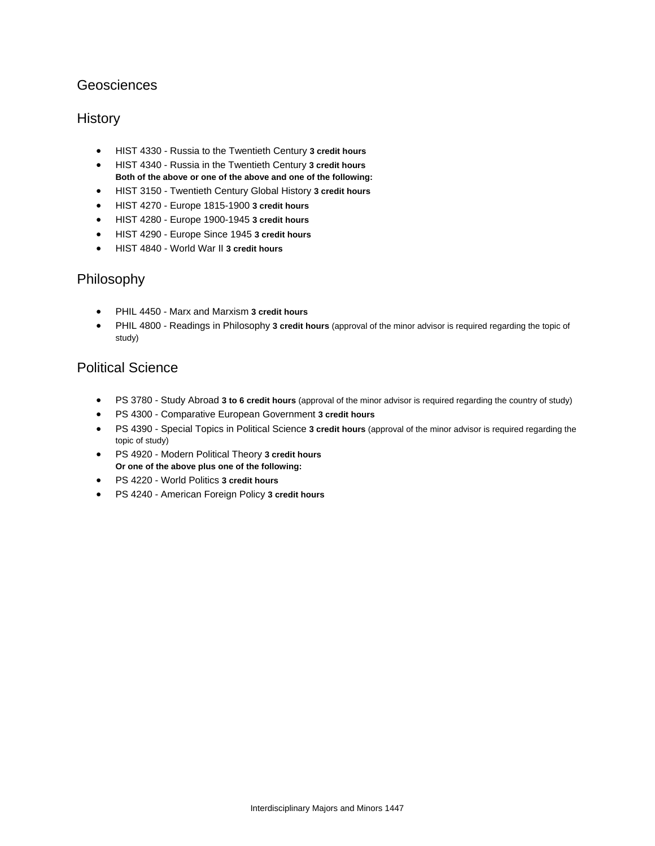### Geosciences

### **History**

- HIST 4330 Russia to the Twentieth Century **3 credit hours**
- HIST 4340 Russia in the Twentieth Century **3 credit hours Both of the above or one of the above and one of the following:**
- HIST 3150 Twentieth Century Global History **3 credit hours**
- HIST 4270 Europe 1815-1900 **3 credit hours**
- HIST 4280 Europe 1900-1945 **3 credit hours**
- HIST 4290 Europe Since 1945 **3 credit hours**
- HIST 4840 World War II **3 credit hours**

### Philosophy

- PHIL 4450 Marx and Marxism **3 credit hours**
- PHIL 4800 Readings in Philosophy **3 credit hours** (approval of the minor advisor is required regarding the topic of study)

### Political Science

- PS 3780 Study Abroad **3 to 6 credit hours** (approval of the minor advisor is required regarding the country of study)
- PS 4300 Comparative European Government **3 credit hours**
- PS 4390 Special Topics in Political Science **3 credit hours** (approval of the minor advisor is required regarding the topic of study)
- PS 4920 Modern Political Theory **3 credit hours Or one of the above plus one of the following:**
- PS 4220 World Politics **3 credit hours**
- PS 4240 American Foreign Policy **3 credit hours**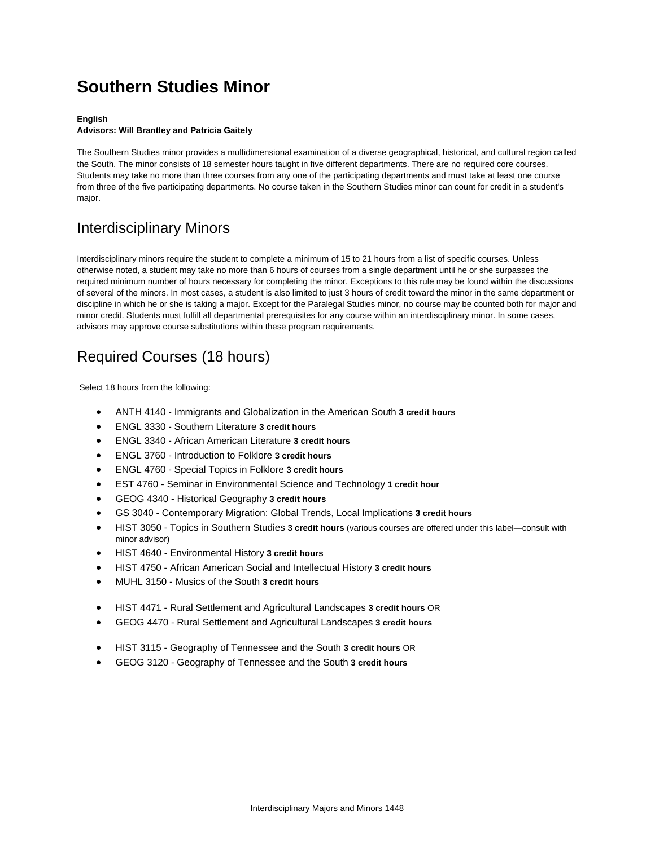# **Southern Studies Minor**

#### **English**

#### **Advisors: Will Brantley and Patricia Gaitely**

The Southern Studies minor provides a multidimensional examination of a diverse geographical, historical, and cultural region called the South. The minor consists of 18 semester hours taught in five different departments. There are no required core courses. Students may take no more than three courses from any one of the participating departments and must take at least one course from three of the five participating departments. No course taken in the Southern Studies minor can count for credit in a student's major.

### Interdisciplinary Minors

Interdisciplinary minors require the student to complete a minimum of 15 to 21 hours from a list of specific courses. Unless otherwise noted, a student may take no more than 6 hours of courses from a single department until he or she surpasses the required minimum number of hours necessary for completing the minor. Exceptions to this rule may be found within the discussions of several of the minors. In most cases, a student is also limited to just 3 hours of credit toward the minor in the same department or discipline in which he or she is taking a major. Except for the Paralegal Studies minor, no course may be counted both for major and minor credit. Students must fulfill all departmental prerequisites for any course within an interdisciplinary minor. In some cases, advisors may approve course substitutions within these program requirements.

### Required Courses (18 hours)

Select 18 hours from the following:

- ANTH 4140 Immigrants and Globalization in the American South **3 credit hours**
- ENGL 3330 Southern Literature **3 credit hours**
- ENGL 3340 African American Literature **3 credit hours**
- ENGL 3760 Introduction to Folklore **3 credit hours**
- ENGL 4760 Special Topics in Folklore **3 credit hours**
- EST 4760 Seminar in Environmental Science and Technology **1 credit hour**
- GEOG 4340 Historical Geography **3 credit hours**
- GS 3040 Contemporary Migration: Global Trends, Local Implications **3 credit hours**
- HIST 3050 Topics in Southern Studies **3 credit hours** (various courses are offered under this label—consult with minor advisor)
- HIST 4640 Environmental History **3 credit hours**
- HIST 4750 African American Social and Intellectual History **3 credit hours**
- MUHL 3150 Musics of the South **3 credit hours**
- HIST 4471 Rural Settlement and Agricultural Landscapes **3 credit hours** OR
- GEOG 4470 Rural Settlement and Agricultural Landscapes **3 credit hours**
- HIST 3115 Geography of Tennessee and the South **3 credit hours** OR
- GEOG 3120 Geography of Tennessee and the South **3 credit hours**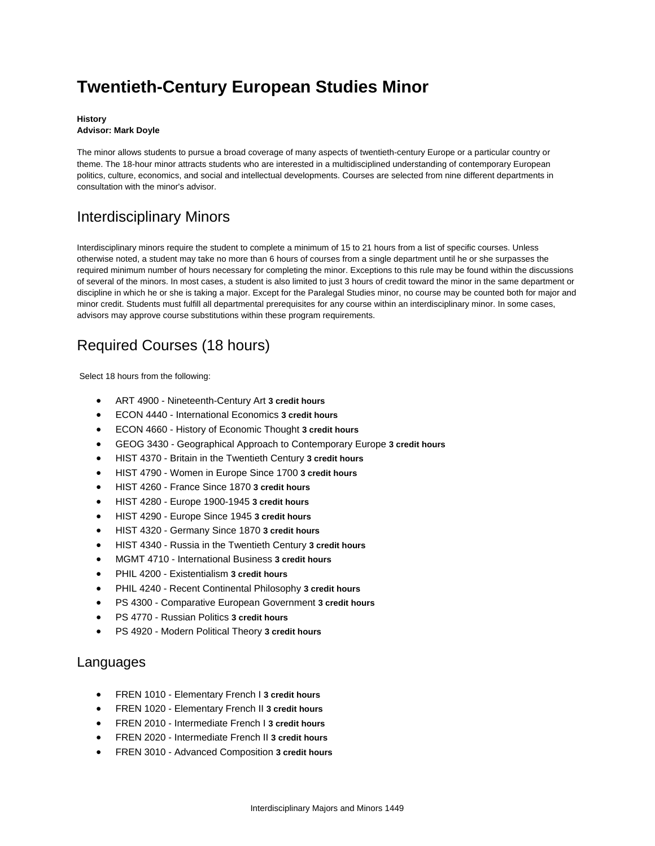# **Twentieth-Century European Studies Minor**

#### **History Advisor: Mark Doyle**

The minor allows students to pursue a broad coverage of many aspects of twentieth-century Europe or a particular country or theme. The 18-hour minor attracts students who are interested in a multidisciplined understanding of contemporary European politics, culture, economics, and social and intellectual developments. Courses are selected from nine different departments in consultation with the minor's advisor.

## Interdisciplinary Minors

Interdisciplinary minors require the student to complete a minimum of 15 to 21 hours from a list of specific courses. Unless otherwise noted, a student may take no more than 6 hours of courses from a single department until he or she surpasses the required minimum number of hours necessary for completing the minor. Exceptions to this rule may be found within the discussions of several of the minors. In most cases, a student is also limited to just 3 hours of credit toward the minor in the same department or discipline in which he or she is taking a major. Except for the Paralegal Studies minor, no course may be counted both for major and minor credit. Students must fulfill all departmental prerequisites for any course within an interdisciplinary minor. In some cases, advisors may approve course substitutions within these program requirements.

## Required Courses (18 hours)

Select 18 hours from the following:

- ART 4900 Nineteenth-Century Art **3 credit hours**
- ECON 4440 International Economics **3 credit hours**
- ECON 4660 History of Economic Thought **3 credit hours**
- GEOG 3430 Geographical Approach to Contemporary Europe **3 credit hours**
- HIST 4370 Britain in the Twentieth Century **3 credit hours**
- HIST 4790 Women in Europe Since 1700 **3 credit hours**
- HIST 4260 France Since 1870 **3 credit hours**
- HIST 4280 Europe 1900-1945 **3 credit hours**
- HIST 4290 Europe Since 1945 **3 credit hours**
- HIST 4320 Germany Since 1870 **3 credit hours**
- HIST 4340 Russia in the Twentieth Century **3 credit hours**
- MGMT 4710 International Business **3 credit hours**
- PHIL 4200 Existentialism **3 credit hours**
- PHIL 4240 Recent Continental Philosophy **3 credit hours**
- PS 4300 Comparative European Government **3 credit hours**
- PS 4770 Russian Politics **3 credit hours**
- PS 4920 Modern Political Theory **3 credit hours**

### Languages

- FREN 1010 Elementary French I **3 credit hours**
- FREN 1020 Elementary French II **3 credit hours**
- FREN 2010 Intermediate French I **3 credit hours**
- FREN 2020 Intermediate French II **3 credit hours**
- FREN 3010 Advanced Composition **3 credit hours**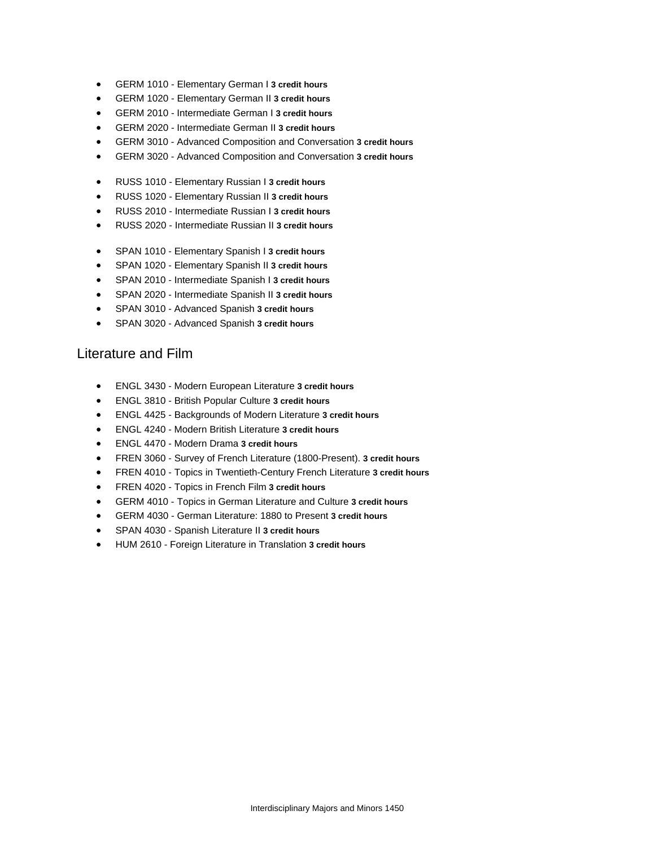- GERM 1010 Elementary German I **3 credit hours**
- GERM 1020 Elementary German II **3 credit hours**
- GERM 2010 Intermediate German I **3 credit hours**
- GERM 2020 Intermediate German II **3 credit hours**
- GERM 3010 Advanced Composition and Conversation **3 credit hours**
- GERM 3020 Advanced Composition and Conversation **3 credit hours**
- RUSS 1010 Elementary Russian I **3 credit hours**
- RUSS 1020 Elementary Russian II **3 credit hours**
- RUSS 2010 Intermediate Russian I **3 credit hours**
- RUSS 2020 Intermediate Russian II **3 credit hours**
- SPAN 1010 Elementary Spanish I **3 credit hours**
- SPAN 1020 Elementary Spanish II **3 credit hours**
- SPAN 2010 Intermediate Spanish I **3 credit hours**
- SPAN 2020 Intermediate Spanish II **3 credit hours**
- SPAN 3010 Advanced Spanish **3 credit hours**
- SPAN 3020 Advanced Spanish **3 credit hours**

### Literature and Film

- ENGL 3430 Modern European Literature **3 credit hours**
- ENGL 3810 British Popular Culture **3 credit hours**
- ENGL 4425 Backgrounds of Modern Literature **3 credit hours**
- ENGL 4240 Modern British Literature **3 credit hours**
- ENGL 4470 Modern Drama **3 credit hours**
- FREN 3060 Survey of French Literature (1800-Present). **3 credit hours**
- FREN 4010 Topics in Twentieth-Century French Literature **3 credit hours**
- FREN 4020 Topics in French Film **3 credit hours**
- GERM 4010 Topics in German Literature and Culture **3 credit hours**
- GERM 4030 German Literature: 1880 to Present **3 credit hours**
- SPAN 4030 Spanish Literature II **3 credit hours**
- HUM 2610 Foreign Literature in Translation **3 credit hours**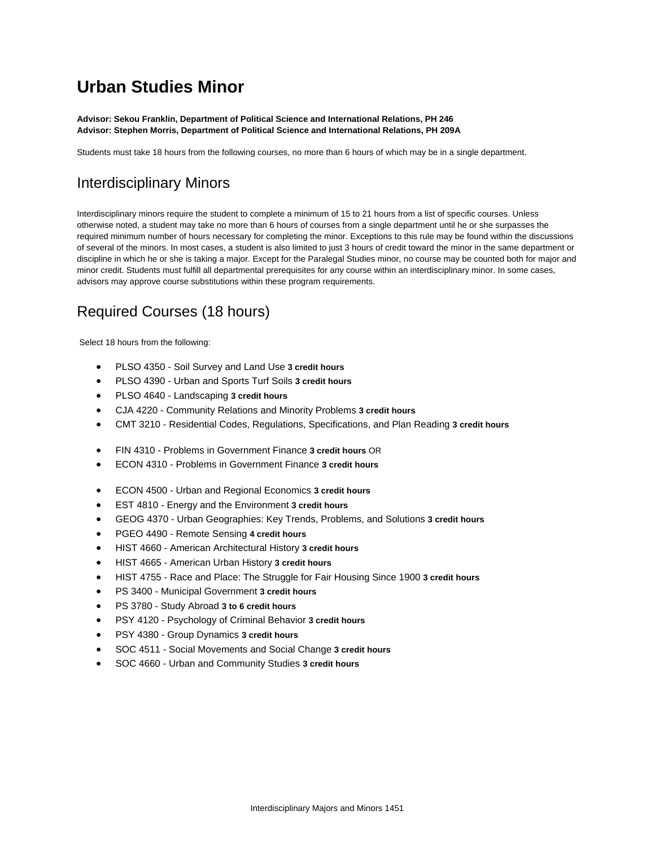## **Urban Studies Minor**

**Advisor: Sekou Franklin, Department of Political Science and International Relations, PH 246 Advisor: Stephen Morris, Department of Political Science and International Relations, PH 209A**

Students must take 18 hours from the following courses, no more than 6 hours of which may be in a single department.

## Interdisciplinary Minors

Interdisciplinary minors require the student to complete a minimum of 15 to 21 hours from a list of specific courses. Unless otherwise noted, a student may take no more than 6 hours of courses from a single department until he or she surpasses the required minimum number of hours necessary for completing the minor. Exceptions to this rule may be found within the discussions of several of the minors. In most cases, a student is also limited to just 3 hours of credit toward the minor in the same department or discipline in which he or she is taking a major. Except for the Paralegal Studies minor, no course may be counted both for major and minor credit. Students must fulfill all departmental prerequisites for any course within an interdisciplinary minor. In some cases, advisors may approve course substitutions within these program requirements.

## Required Courses (18 hours)

Select 18 hours from the following:

- PLSO 4350 Soil Survey and Land Use **3 credit hours**
- PLSO 4390 Urban and Sports Turf Soils **3 credit hours**
- PLSO 4640 Landscaping **3 credit hours**
- CJA 4220 Community Relations and Minority Problems **3 credit hours**
- CMT 3210 Residential Codes, Regulations, Specifications, and Plan Reading **3 credit hours**
- FIN 4310 Problems in Government Finance **3 credit hours** OR
- ECON 4310 Problems in Government Finance **3 credit hours**
- ECON 4500 Urban and Regional Economics **3 credit hours**
- EST 4810 Energy and the Environment **3 credit hours**
- GEOG 4370 Urban Geographies: Key Trends, Problems, and Solutions **3 credit hours**
- PGEO 4490 Remote Sensing **4 credit hours**
- HIST 4660 American Architectural History **3 credit hours**
- HIST 4665 American Urban History **3 credit hours**
- HIST 4755 Race and Place: The Struggle for Fair Housing Since 1900 **3 credit hours**
- PS 3400 Municipal Government **3 credit hours**
- PS 3780 Study Abroad **3 to 6 credit hours**
- PSY 4120 Psychology of Criminal Behavior **3 credit hours**
- PSY 4380 Group Dynamics **3 credit hours**
- SOC 4511 Social Movements and Social Change **3 credit hours**
- SOC 4660 Urban and Community Studies **3 credit hours**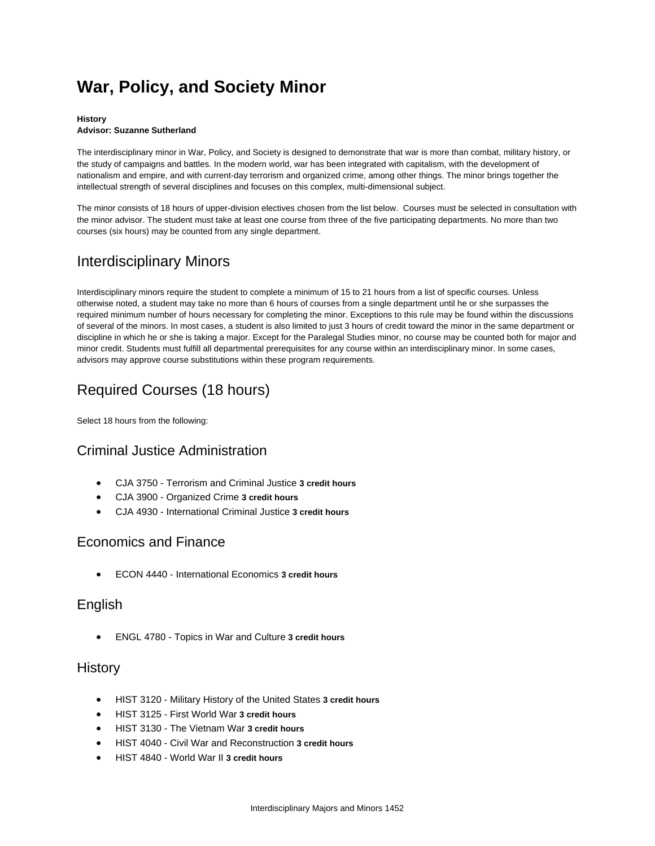# **War, Policy, and Society Minor**

#### **History Advisor: Suzanne Sutherland**

The interdisciplinary minor in War, Policy, and Society is designed to demonstrate that war is more than combat, military history, or the study of campaigns and battles. In the modern world, war has been integrated with capitalism, with the development of nationalism and empire, and with current-day terrorism and organized crime, among other things. The minor brings together the intellectual strength of several disciplines and focuses on this complex, multi-dimensional subject.

The minor consists of 18 hours of upper-division electives chosen from the list below. Courses must be selected in consultation with the minor advisor. The student must take at least one course from three of the five participating departments. No more than two courses (six hours) may be counted from any single department.

## Interdisciplinary Minors

Interdisciplinary minors require the student to complete a minimum of 15 to 21 hours from a list of specific courses. Unless otherwise noted, a student may take no more than 6 hours of courses from a single department until he or she surpasses the required minimum number of hours necessary for completing the minor. Exceptions to this rule may be found within the discussions of several of the minors. In most cases, a student is also limited to just 3 hours of credit toward the minor in the same department or discipline in which he or she is taking a major. Except for the Paralegal Studies minor, no course may be counted both for major and minor credit. Students must fulfill all departmental prerequisites for any course within an interdisciplinary minor. In some cases, advisors may approve course substitutions within these program requirements.

## Required Courses (18 hours)

Select 18 hours from the following:

### Criminal Justice Administration

- CJA 3750 Terrorism and Criminal Justice **3 credit hours**
- CJA 3900 Organized Crime **3 credit hours**
- CJA 4930 International Criminal Justice **3 credit hours**

### Economics and Finance

ECON 4440 - International Economics **3 credit hours**

### English

ENGL 4780 - Topics in War and Culture **3 credit hours**

### **History**

- HIST 3120 Military History of the United States **3 credit hours**
- HIST 3125 First World War **3 credit hours**
- HIST 3130 The Vietnam War **3 credit hours**
- HIST 4040 Civil War and Reconstruction **3 credit hours**
- HIST 4840 World War II **3 credit hours**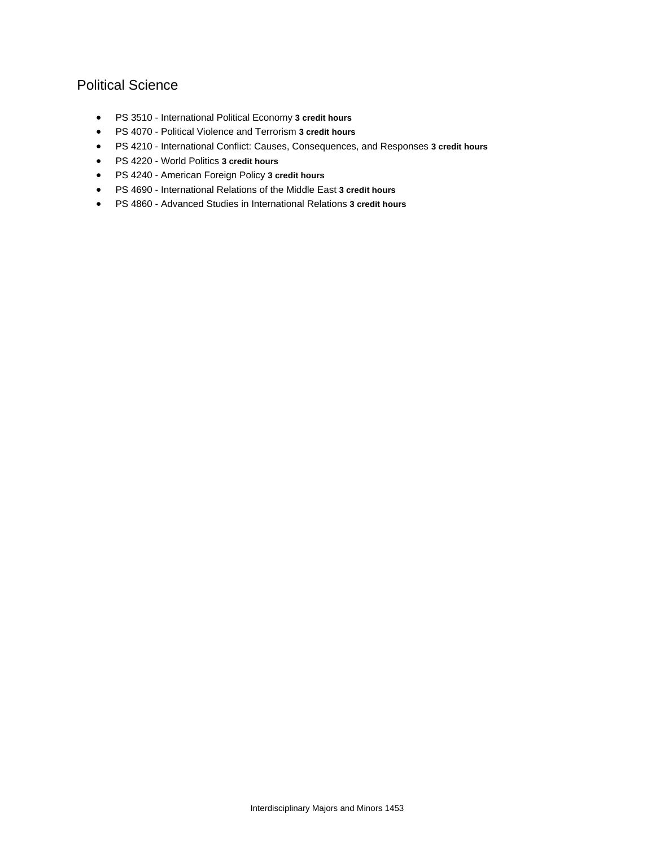### Political Science

- PS 3510 International Political Economy **3 credit hours**
- PS 4070 Political Violence and Terrorism **3 credit hours**
- PS 4210 International Conflict: Causes, Consequences, and Responses **3 credit hours**
- PS 4220 World Politics **3 credit hours**
- PS 4240 American Foreign Policy **3 credit hours**
- PS 4690 International Relations of the Middle East **3 credit hours**
- PS 4860 Advanced Studies in International Relations **3 credit hours**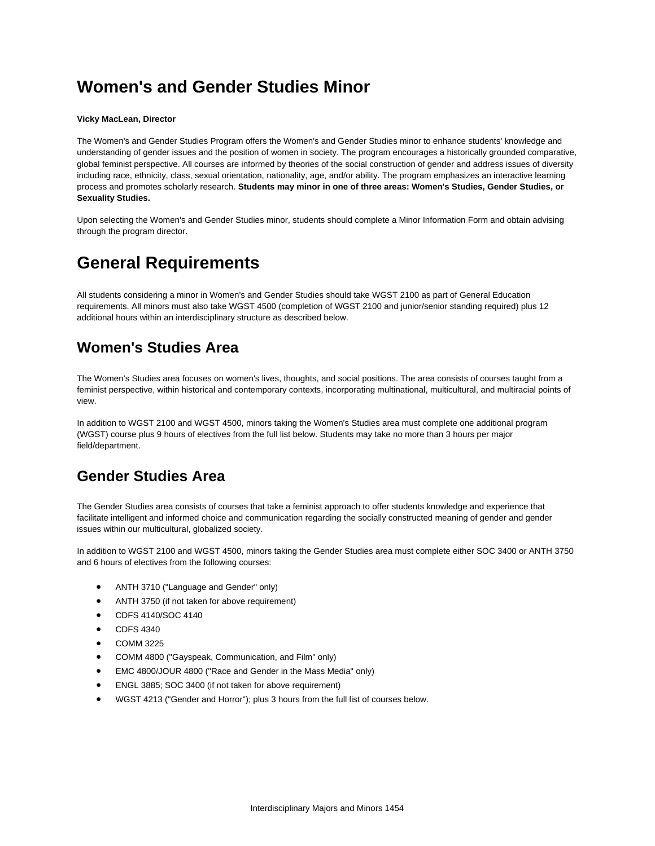# **Women's and Gender Studies Minor**

#### **Vicky MacLean, Director**

The Women's and Gender Studies Program offers the Women's and Gender Studies minor to enhance students' knowledge and understanding of gender issues and the position of women in society. The program encourages a historically grounded comparative, global feminist perspective. All courses are informed by theories of the social construction of gender and address issues of diversity including race, ethnicity, class, sexual orientation, nationality, age, and/or ability. The program emphasizes an interactive learning process and promotes scholarly research. **Students may minor in one of three areas: Women's Studies, Gender Studies, or Sexuality Studies.**

Upon selecting the Women's and Gender Studies minor, students should complete a Minor Information Form and obtain advising through the program director.

## **General Requirements**

All students considering a minor in Women's and Gender Studies should take WGST 2100 as part of General Education requirements. All minors must also take WGST 4500 (completion of WGST 2100 and junior/senior standing required) plus 12 additional hours within an interdisciplinary structure as described below.

## **Women's Studies Area**

The Women's Studies area focuses on women's lives, thoughts, and social positions. The area consists of courses taught from a feminist perspective, within historical and contemporary contexts, incorporating multinational, multicultural, and multiracial points of view.

In addition to WGST 2100 and WGST 4500, minors taking the Women's Studies area must complete one additional program (WGST) course plus 9 hours of electives from the full list below. Students may take no more than 3 hours per major field/department.

### **Gender Studies Area**

The Gender Studies area consists of courses that take a feminist approach to offer students knowledge and experience that facilitate intelligent and informed choice and communication regarding the socially constructed meaning of gender and gender issues within our multicultural, globalized society.

In addition to WGST 2100 and WGST 4500, minors taking the Gender Studies area must complete either SOC 3400 or ANTH 3750 and 6 hours of electives from the following courses:

- ANTH 3710 ("Language and Gender" only)
- ANTH 3750 (if not taken for above requirement)
- CDFS 4140/SOC 4140
- CDFS 4340
- COMM 3225
- COMM 4800 ("Gayspeak, Communication, and Film" only)
- EMC 4800/JOUR 4800 ("Race and Gender in the Mass Media" only)
- ENGL 3885; SOC 3400 (if not taken for above requirement)
- WGST 4213 ("Gender and Horror"); plus 3 hours from the full list of courses below.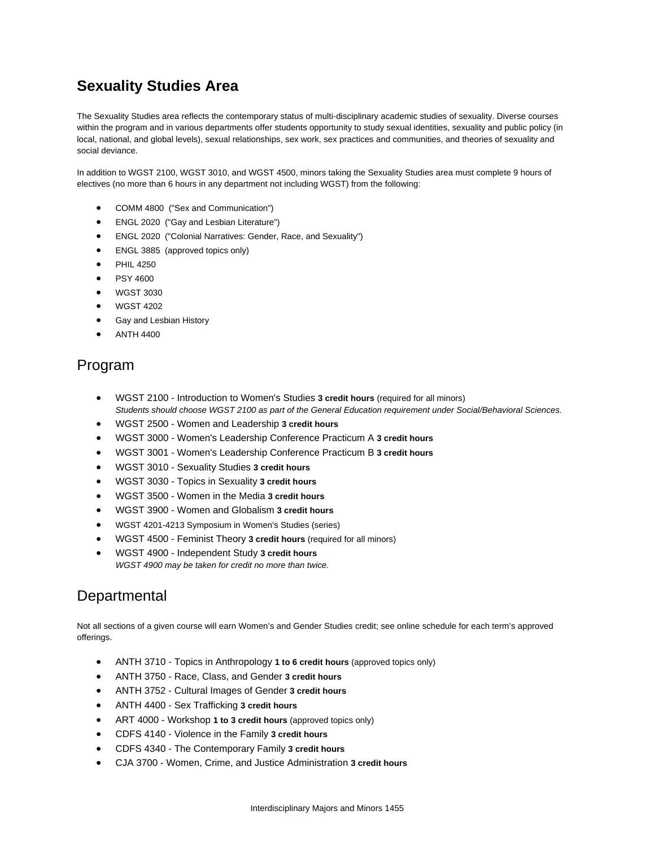## **Sexuality Studies Area**

The Sexuality Studies area reflects the contemporary status of multi-disciplinary academic studies of sexuality. Diverse courses within the program and in various departments offer students opportunity to study sexual identities, sexuality and public policy (in local, national, and global levels), sexual relationships, sex work, sex practices and communities, and theories of sexuality and social deviance.

In addition to WGST 2100, WGST 3010, and WGST 4500, minors taking the Sexuality Studies area must complete 9 hours of electives (no more than 6 hours in any department not including WGST) from the following:

- COMM 4800 ("Sex and Communication")
- ENGL 2020 ("Gay and Lesbian Literature")
- ENGL 2020 ("Colonial Narratives: Gender, Race, and Sexuality")
- ENGL 3885 (approved topics only)
- PHIL 4250
- PSY 4600
- WGST 3030
- WGST 4202
- **•** Gay and Lesbian History
- ANTH 4400

### Program

- WGST 2100 Introduction to Women's Studies **3 credit hours** (required for all minors) *Students should choose WGST 2100 as part of the General Education requirement under Social/Behavioral Sciences.*
- WGST 2500 Women and Leadership **3 credit hours**
- WGST 3000 Women's Leadership Conference Practicum A **3 credit hours**
- WGST 3001 Women's Leadership Conference Practicum B **3 credit hours**
- WGST 3010 Sexuality Studies **3 credit hours**
- WGST 3030 Topics in Sexuality **3 credit hours**
- WGST 3500 Women in the Media **3 credit hours**
- WGST 3900 Women and Globalism **3 credit hours**
- WGST 4201-4213 Symposium in Women's Studies (series)
- WGST 4500 Feminist Theory **3 credit hours** (required for all minors)
- WGST 4900 Independent Study **3 credit hours** *WGST 4900 may be taken for credit no more than twice.*

### **Departmental**

Not all sections of a given course will earn Women's and Gender Studies credit; see online schedule for each term's approved offerings.

- ANTH 3710 Topics in Anthropology **1 to 6 credit hours** (approved topics only)
- ANTH 3750 Race, Class, and Gender **3 credit hours**
- ANTH 3752 Cultural Images of Gender **3 credit hours**
- ANTH 4400 Sex Trafficking **3 credit hours**
- ART 4000 Workshop **1 to 3 credit hours** (approved topics only)
- CDFS 4140 Violence in the Family **3 credit hours**
- CDFS 4340 The Contemporary Family **3 credit hours**
- CJA 3700 Women, Crime, and Justice Administration **3 credit hours**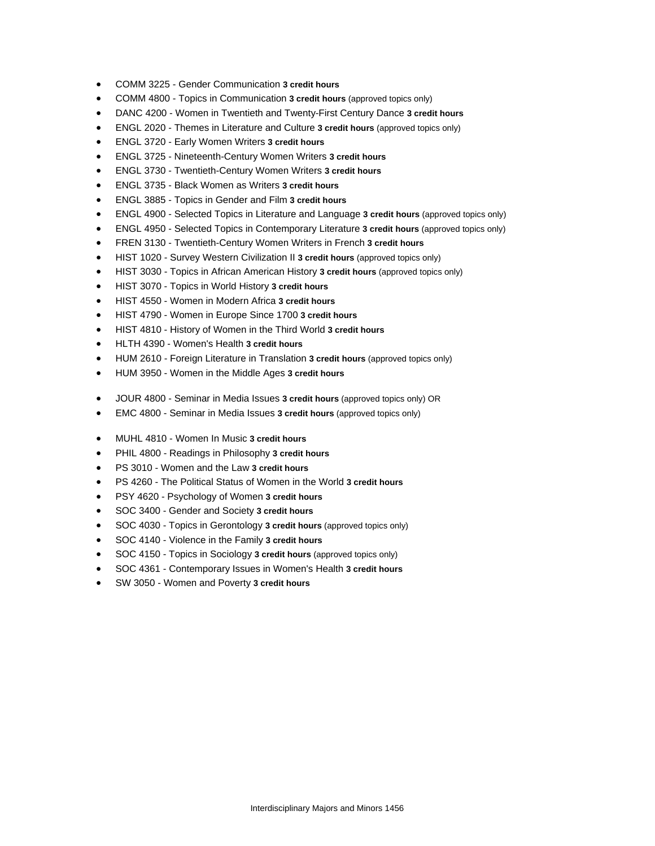- COMM 3225 Gender Communication **3 credit hours**
- COMM 4800 Topics in Communication **3 credit hours** (approved topics only)
- DANC 4200 Women in Twentieth and Twenty-First Century Dance **3 credit hours**
- ENGL 2020 Themes in Literature and Culture **3 credit hours** (approved topics only)
- ENGL 3720 Early Women Writers **3 credit hours**
- ENGL 3725 Nineteenth-Century Women Writers **3 credit hours**
- ENGL 3730 Twentieth-Century Women Writers **3 credit hours**
- ENGL 3735 Black Women as Writers **3 credit hours**
- ENGL 3885 Topics in Gender and Film **3 credit hours**
- ENGL 4900 Selected Topics in Literature and Language **3 credit hours** (approved topics only)
- ENGL 4950 Selected Topics in Contemporary Literature **3 credit hours** (approved topics only)
- FREN 3130 Twentieth-Century Women Writers in French **3 credit hours**
- HIST 1020 Survey Western Civilization II **3 credit hours** (approved topics only)
- HIST 3030 Topics in African American History **3 credit hours** (approved topics only)
- HIST 3070 Topics in World History **3 credit hours**
- HIST 4550 Women in Modern Africa **3 credit hours**
- HIST 4790 Women in Europe Since 1700 **3 credit hours**
- HIST 4810 History of Women in the Third World **3 credit hours**
- HLTH 4390 Women's Health **3 credit hours**
- HUM 2610 Foreign Literature in Translation **3 credit hours** (approved topics only)
- HUM 3950 Women in the Middle Ages **3 credit hours**
- JOUR 4800 Seminar in Media Issues **3 credit hours** (approved topics only) OR
- EMC 4800 Seminar in Media Issues **3 credit hours** (approved topics only)
- MUHL 4810 Women In Music **3 credit hours**
- PHIL 4800 Readings in Philosophy **3 credit hours**
- PS 3010 Women and the Law **3 credit hours**
- PS 4260 The Political Status of Women in the World **3 credit hours**
- PSY 4620 Psychology of Women **3 credit hours**
- SOC 3400 Gender and Society **3 credit hours**
- SOC 4030 Topics in Gerontology **3 credit hours** (approved topics only)
- SOC 4140 Violence in the Family **3 credit hours**
- SOC 4150 Topics in Sociology **3 credit hours** (approved topics only)
- SOC 4361 Contemporary Issues in Women's Health **3 credit hours**
- SW 3050 Women and Poverty **3 credit hours**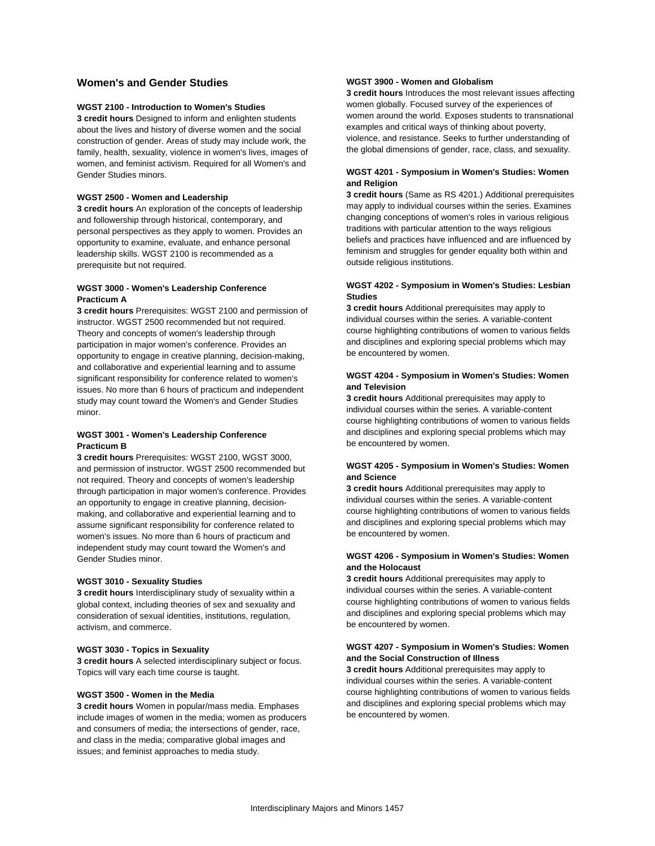#### **Women's and Gender Studies**

#### **WGST 2100 - Introduction to Women's Studies**

**3 credit hours** Designed to inform and enlighten students about the lives and history of diverse women and the social construction of gender. Areas of study may include work, the family, health, sexuality, violence in women's lives, images of women, and feminist activism. Required for all Women's and Gender Studies minors.

#### **WGST 2500 - Women and Leadership**

**3 credit hours** An exploration of the concepts of leadership and followership through historical, contemporary, and personal perspectives as they apply to women. Provides an opportunity to examine, evaluate, and enhance personal leadership skills. WGST 2100 is recommended as a prerequisite but not required.

#### **WGST 3000 - Women's Leadership Conference Practicum A**

**3 credit hours** Prerequisites: WGST 2100 and permission of instructor. WGST 2500 recommended but not required. Theory and concepts of women's leadership through participation in major women's conference. Provides an opportunity to engage in creative planning, decision-making, and collaborative and experiential learning and to assume significant responsibility for conference related to women's issues. No more than 6 hours of practicum and independent study may count toward the Women's and Gender Studies minor.

#### **WGST 3001 - Women's Leadership Conference Practicum B**

**3 credit hours** Prerequisites: WGST 2100, WGST 3000, and permission of instructor. WGST 2500 recommended but not required. Theory and concepts of women's leadership through participation in major women's conference. Provides an opportunity to engage in creative planning, decisionmaking, and collaborative and experiential learning and to assume significant responsibility for conference related to women's issues. No more than 6 hours of practicum and independent study may count toward the Women's and Gender Studies minor.

#### **WGST 3010 - Sexuality Studies**

**3 credit hours** Interdisciplinary study of sexuality within a global context, including theories of sex and sexuality and consideration of sexual identities, institutions, regulation, activism, and commerce.

#### **WGST 3030 - Topics in Sexuality**

**3 credit hours** A selected interdisciplinary subject or focus. Topics will vary each time course is taught.

#### **WGST 3500 - Women in the Media**

**3 credit hours** Women in popular/mass media. Emphases include images of women in the media; women as producers and consumers of media; the intersections of gender, race, and class in the media; comparative global images and issues; and feminist approaches to media study.

#### **WGST 3900 - Women and Globalism**

**3 credit hours** Introduces the most relevant issues affecting women globally. Focused survey of the experiences of women around the world. Exposes students to transnational examples and critical ways of thinking about poverty, violence, and resistance. Seeks to further understanding of the global dimensions of gender, race, class, and sexuality.

#### **WGST 4201 - Symposium in Women's Studies: Women and Religion**

**3 credit hours** (Same as RS 4201.) Additional prerequisites may apply to individual courses within the series. Examines changing conceptions of women's roles in various religious traditions with particular attention to the ways religious beliefs and practices have influenced and are influenced by feminism and struggles for gender equality both within and outside religious institutions.

#### **WGST 4202 - Symposium in Women's Studies: Lesbian Studies**

**3 credit hours** Additional prerequisites may apply to individual courses within the series. A variable-content course highlighting contributions of women to various fields and disciplines and exploring special problems which may be encountered by women.

#### **WGST 4204 - Symposium in Women's Studies: Women and Television**

**3 credit hours** Additional prerequisites may apply to individual courses within the series. A variable-content course highlighting contributions of women to various fields and disciplines and exploring special problems which may be encountered by women.

#### **WGST 4205 - Symposium in Women's Studies: Women and Science**

**3 credit hours** Additional prerequisites may apply to individual courses within the series. A variable-content course highlighting contributions of women to various fields and disciplines and exploring special problems which may be encountered by women.

#### **WGST 4206 - Symposium in Women's Studies: Women and the Holocaust**

**3 credit hours** Additional prerequisites may apply to individual courses within the series. A variable-content course highlighting contributions of women to various fields and disciplines and exploring special problems which may be encountered by women.

#### **WGST 4207 - Symposium in Women's Studies: Women and the Social Construction of Illness**

**3 credit hours** Additional prerequisites may apply to individual courses within the series. A variable-content course highlighting contributions of women to various fields and disciplines and exploring special problems which may be encountered by women.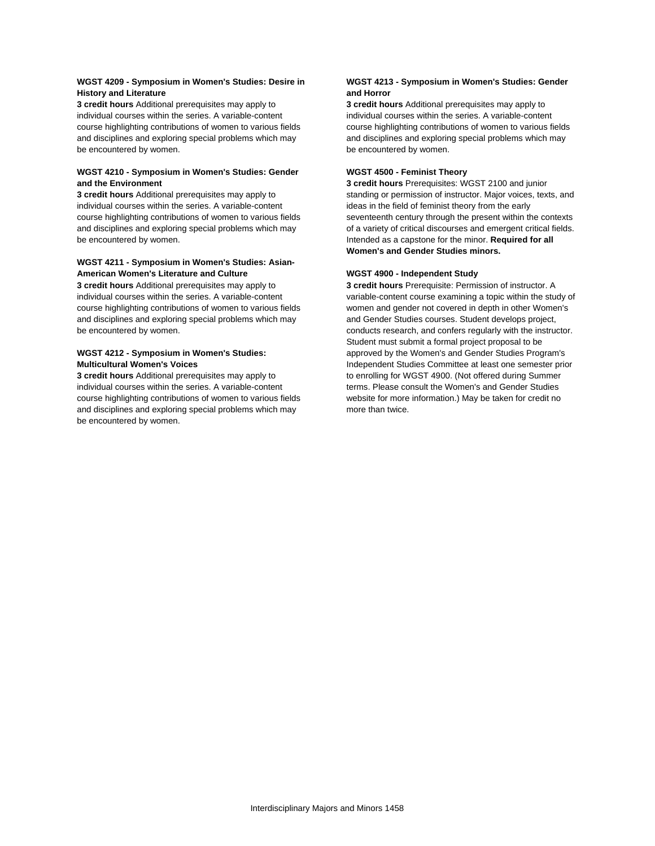#### **WGST 4209 - Symposium in Women's Studies: Desire in History and Literature**

**3 credit hours** Additional prerequisites may apply to individual courses within the series. A variable-content course highlighting contributions of women to various fields and disciplines and exploring special problems which may be encountered by women.

#### **WGST 4210 - Symposium in Women's Studies: Gender and the Environment**

**3 credit hours** Additional prerequisites may apply to individual courses within the series. A variable-content course highlighting contributions of women to various fields and disciplines and exploring special problems which may be encountered by women.

#### **WGST 4211 - Symposium in Women's Studies: Asian-American Women's Literature and Culture**

**3 credit hours** Additional prerequisites may apply to individual courses within the series. A variable-content course highlighting contributions of women to various fields and disciplines and exploring special problems which may be encountered by women.

#### **WGST 4212 - Symposium in Women's Studies: Multicultural Women's Voices**

**3 credit hours** Additional prerequisites may apply to individual courses within the series. A variable-content course highlighting contributions of women to various fields and disciplines and exploring special problems which may be encountered by women.

#### **WGST 4213 - Symposium in Women's Studies: Gender and Horror**

**3 credit hours** Additional prerequisites may apply to individual courses within the series. A variable-content course highlighting contributions of women to various fields and disciplines and exploring special problems which may be encountered by women.

#### **WGST 4500 - Feminist Theory**

**3 credit hours** Prerequisites: WGST 2100 and junior standing or permission of instructor. Major voices, texts, and ideas in the field of feminist theory from the early seventeenth century through the present within the contexts of a variety of critical discourses and emergent critical fields. Intended as a capstone for the minor. **Required for all Women's and Gender Studies minors.**

#### **WGST 4900 - Independent Study**

**3 credit hours** Prerequisite: Permission of instructor. A variable-content course examining a topic within the study of women and gender not covered in depth in other Women's and Gender Studies courses. Student develops project, conducts research, and confers regularly with the instructor. Student must submit a formal project proposal to be approved by the Women's and Gender Studies Program's Independent Studies Committee at least one semester prior to enrolling for WGST 4900. (Not offered during Summer terms. Please consult the Women's and Gender Studies website for more information.) May be taken for credit no more than twice.